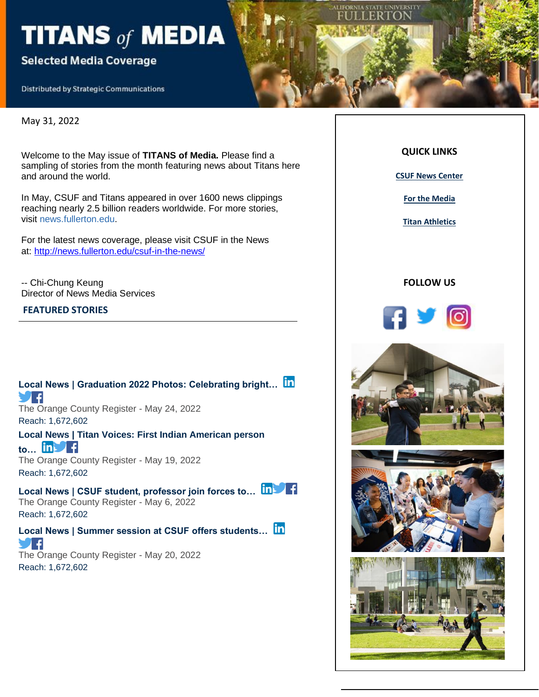# TITANS of MEDIA

### **Selected Media Coverage**

**Distributed by Strategic Communications** 

May 31, 2022

Welcome to the May issue of **TITANS of Media.** Please find a sampling of stories from the month featuring news about Titans here and around the world.

In May, CSUF and Titans appeared in over 1600 news clippings reaching nearly 2.5 billion readers worldwide. For more stories, visit news.fullerton.edu.

For the latest news coverage, please visit CSUF in the News at: [http://news.fullerton.edu/csuf-in-the-news/](https://nam10.safelinks.protection.outlook.com/?url=https%3A%2F%2Furldefense.com%2Fv3%2F__http%3A%2F%2Flink.newsletter.meltwater.com%2Fls%2Fclick%3Fupn%3Dr55B7hZ6gkaxjSNt9aQtyAYyKokcYLCdqxq7u3ZR4ebd9eIg-2FILSYEfmkeynvOD5q8JHLE4XfnW4x-2F9-2BCJi1eA-3D-3DXgoA_ixE6zOEep6yKiBB1OGxpdhnot0zTaRBPZzdS2ZIa75kRTS-2BqzWSgnT7HtKDjfh5Jpr3-2BLaxJ-2BIqOvB-2Bz-2FISD0ZU3xc-2FzVPR6dmyZDZTzwphBFFJdfiokNqchqKtkoggPK9FAoPiwHll-2BDEG90yfpOR3IhcCr-2FK6cENn1guwRU8qS9g3pOhXApLkoYBqb2ctGFEb6Fr140T0QT3838TPeIT-2BA7ysNUrS5pM5CRgkUVjIrIy3lFvbSV4Qn1p5m9rjW4330tZqWUJWKn4p84vPmsv76Y-2FmUAAt5hqvi4avQmqcH3uBdN0w2GmnP7wfIwDY-2BOk3UQCBpOxSHSlibhFCQiF3tVys-2FJi7U1XTIUVjdBRcvIUkoPK7ZSL5QEiSbs6yLWmukTDUjApDlvypmr9HSXg-3D-3D__%3B!!GF3VTAzAMGBM8A!lIUQQi7eJ4cbfSR00nlvvDgv3eMqy9eZu3uXpYVDLMaFvqvZmb6F6g5q6k0fsV20kqNijWPNMYc%24&data=04%7C01%7Ckatiekenn33%40csu.fullerton.edu%7C6aef2ac2ac5c44db4f5b08d9ceecfaf3%7C82c0b871335f4b5c9ed0a4a23565a79b%7C0%7C0%7C637768339516907343%7CUnknown%7CTWFpbGZsb3d8eyJWIjoiMC4wLjAwMDAiLCJQIjoiV2luMzIiLCJBTiI6Ik1haWwiLCJXVCI6Mn0%3D%7C3000&sdata=HuSyYbsNP8ISnervGYTgD2kZl88XwqqdLh4avkoeidY%3D&reserved=0)

-- Chi-Chung Keung Director of News Media Services

#### **FEATURED STORIES**

**[Local News | Graduation 2022 Photos: Celebrating bright…](https://app.meltwater.com/mwTransition/?url=https%3A%2F%2Fwww.ocregister.com%2F2022%2F05%2F24%2Fgraduation-2022-photos-celebrating-bright-futures-at-cal-state-fullerton%2F&uId=6271566e53a1b00009e1e669&cId=5542641db933d37e9596dc54&dId=ZP17sx8cXoIwu3PO2Vx1r5-p7fg&contextId=6279a0b05020fd00146f1637&op=open&sentiment=N&isHosted=false&publishTime=1653415632000&id=&name=&type=&transitionToken=eyJ0eXAiOiJKV1QiLCJhbGciOiJIUzUxMiJ9.eyJob3N0bmFtZSI6Ind3dy5vY3JlZ2lzdGVyLmNvbSJ9.y_7oUPeo-od2rN21pgqRNiBnDNqzhgKcSu2o9V6JTUrEHivAY1lg6kijTp_ZXee0fM7D3yIO_doLiJfE-DH-og&s=mail-newsletter) F** The Orange County Register - May 24, 2022 Reach: 1,672,602 **[Local News | Titan Voices: First Indian American person](https://app.meltwater.com/mwTransition/?url=https%3A%2F%2Fwww.ocregister.com%2F2022%2F05%2F19%2Ftitan-voices-first-indian-american-person-to-lead-csuf-2%2F&uId=6271566e53a1b00009e1e669&cId=5542641db933d37e9596dc54&dId=nO6Y0KKmHVEaowgYqmO9Y74o014&contextId=6279a0b05020fd00146f1637&op=open&sentiment=P&isHosted=false&publishTime=1652974383000&id=&name=&type=&transitionToken=eyJ0eXAiOiJKV1QiLCJhbGciOiJIUzUxMiJ9.eyJob3N0bmFtZSI6Ind3dy5vY3JlZ2lzdGVyLmNvbSJ9.y_7oUPeo-od2rN21pgqRNiBnDNqzhgKcSu2o9V6JTUrEHivAY1lg6kijTp_ZXee0fM7D3yIO_doLiJfE-DH-og&s=mail-newsletter)  [to…](https://app.meltwater.com/mwTransition/?url=https%3A%2F%2Fwww.ocregister.com%2F2022%2F05%2F19%2Ftitan-voices-first-indian-american-person-to-lead-csuf-2%2F&uId=6271566e53a1b00009e1e669&cId=5542641db933d37e9596dc54&dId=nO6Y0KKmHVEaowgYqmO9Y74o014&contextId=6279a0b05020fd00146f1637&op=open&sentiment=P&isHosted=false&publishTime=1652974383000&id=&name=&type=&transitionToken=eyJ0eXAiOiJKV1QiLCJhbGciOiJIUzUxMiJ9.eyJob3N0bmFtZSI6Ind3dy5vY3JlZ2lzdGVyLmNvbSJ9.y_7oUPeo-od2rN21pgqRNiBnDNqzhgKcSu2o9V6JTUrEHivAY1lg6kijTp_ZXee0fM7D3yIO_doLiJfE-DH-og&s=mail-newsletter)** The Orange County Register - May 19, 2022 Reach: 1,672,602 Local News | CSUF student, professor join forces to... **[n]** The Orange County Register - May 6, 2022 Reach: 1,672,602 **[Local News | Summer session at CSUF offers students…](https://app.meltwater.com/mwTransition/?url=https%3A%2F%2Fwww.ocregister.com%2F2022%2F05%2F20%2Fsummer-session-at-csuf-offers-students-convenience-flexibility%2F&uId=6271566e53a1b00009e1e669&cId=5542641db933d37e9596dc54&dId=ZVFLfcLImNDMw5XHbYGaX7KBbzo&contextId=6279a0b05020fd00146f1637&op=open&sentiment=N&isHosted=false&publishTime=1653069899000&id=&name=&type=&transitionToken=eyJ0eXAiOiJKV1QiLCJhbGciOiJIUzUxMiJ9.eyJob3N0bmFtZSI6Ind3dy5vY3JlZ2lzdGVyLmNvbSJ9.y_7oUPeo-od2rN21pgqRNiBnDNqzhgKcSu2o9V6JTUrEHivAY1lg6kijTp_ZXee0fM7D3yIO_doLiJfE-DH-og&s=mail-newsletter)** The Orange County Register - May 20, 2022 Reach: 1,672,602

**QUICK LINKS**

ORNIA STATE UNIVERSITY ER I C

**[CSUF News Center](http://news.fullerton.edu/default.aspx)**

**[For the Media](http://news.fullerton.edu/media/)**

**[Titan Athletics](http://csufullerton.prestosports.com/landing/index)**

#### **FOLLOW US**



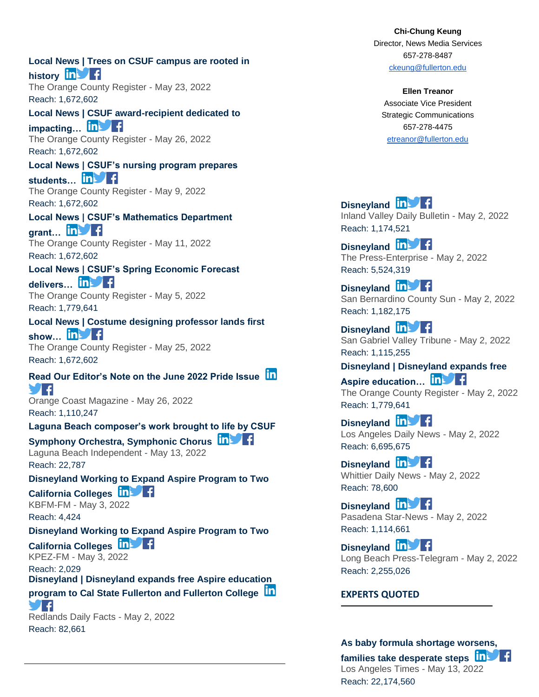**[Local News | Trees on CSUF campus are rooted in](https://app.meltwater.com/mwTransition/?url=https%3A%2F%2Fwww.ocregister.com%2F2022%2F05%2F23%2Ftrees-on-csuf-campus-are-rooted-in-history%2F&uId=6271566e53a1b00009e1e669&cId=5542641db933d37e9596dc54&dId=u1NxoWrEIZaGMShoyfJKRarsoec&contextId=6279a0b05020fd00146f1637&op=open&sentiment=N&isHosted=false&publishTime=1653317772000&id=&name=&type=&transitionToken=eyJ0eXAiOiJKV1QiLCJhbGciOiJIUzUxMiJ9.eyJob3N0bmFtZSI6Ind3dy5vY3JlZ2lzdGVyLmNvbSJ9.y_7oUPeo-od2rN21pgqRNiBnDNqzhgKcSu2o9V6JTUrEHivAY1lg6kijTp_ZXee0fM7D3yIO_doLiJfE-DH-og&s=mail-newsletter)  [history](https://app.meltwater.com/mwTransition/?url=https%3A%2F%2Fwww.ocregister.com%2F2022%2F05%2F23%2Ftrees-on-csuf-campus-are-rooted-in-history%2F&uId=6271566e53a1b00009e1e669&cId=5542641db933d37e9596dc54&dId=u1NxoWrEIZaGMShoyfJKRarsoec&contextId=6279a0b05020fd00146f1637&op=open&sentiment=N&isHosted=false&publishTime=1653317772000&id=&name=&type=&transitionToken=eyJ0eXAiOiJKV1QiLCJhbGciOiJIUzUxMiJ9.eyJob3N0bmFtZSI6Ind3dy5vY3JlZ2lzdGVyLmNvbSJ9.y_7oUPeo-od2rN21pgqRNiBnDNqzhgKcSu2o9V6JTUrEHivAY1lg6kijTp_ZXee0fM7D3yIO_doLiJfE-DH-og&s=mail-newsletter) in** The Orange County Register - May 23, 2022 Reach: 1,672,602 **[Local News | CSUF award-recipient dedicated to](https://app.meltwater.com/mwTransition/?url=https%3A%2F%2Fwww.ocregister.com%2F2022%2F05%2F26%2Fcsuf-award-recipient-dedicated-to-impacting-next-generation-of-students%2F&uId=6271566e53a1b00009e1e669&cId=5542641db933d37e9596dc54&dId=LTWfbJciPHeia9VRn9JjiYauA_c&contextId=6279a0b05020fd00146f1637&op=open&sentiment=P&isHosted=false&publishTime=1653576010000&id=&name=&type=&transitionToken=eyJ0eXAiOiJKV1QiLCJhbGciOiJIUzUxMiJ9.eyJob3N0bmFtZSI6Ind3dy5vY3JlZ2lzdGVyLmNvbSJ9.y_7oUPeo-od2rN21pgqRNiBnDNqzhgKcSu2o9V6JTUrEHivAY1lg6kijTp_ZXee0fM7D3yIO_doLiJfE-DH-og&s=mail-newsletter)  [impacting…](https://app.meltwater.com/mwTransition/?url=https%3A%2F%2Fwww.ocregister.com%2F2022%2F05%2F26%2Fcsuf-award-recipient-dedicated-to-impacting-next-generation-of-students%2F&uId=6271566e53a1b00009e1e669&cId=5542641db933d37e9596dc54&dId=LTWfbJciPHeia9VRn9JjiYauA_c&contextId=6279a0b05020fd00146f1637&op=open&sentiment=P&isHosted=false&publishTime=1653576010000&id=&name=&type=&transitionToken=eyJ0eXAiOiJKV1QiLCJhbGciOiJIUzUxMiJ9.eyJob3N0bmFtZSI6Ind3dy5vY3JlZ2lzdGVyLmNvbSJ9.y_7oUPeo-od2rN21pgqRNiBnDNqzhgKcSu2o9V6JTUrEHivAY1lg6kijTp_ZXee0fM7D3yIO_doLiJfE-DH-og&s=mail-newsletter)** The Orange County Register - May 26, 2022 Reach: 1,672,602 **[Local News | CSUF's nursing program prepares](https://app.meltwater.com/mwTransition/?url=https%3A%2F%2Fwww.ocregister.com%2F2022%2F05%2F09%2Fcsufs-nursing-program-prepares-students-to-serve-diverse-populations%2F&uId=6271566e53a1b00009e1e669&cId=5542641db933d37e9596dc54&dId=EhNtnxmdG9PvX5xwlJFyZxW2ISg&contextId=6279a0b05020fd00146f1637&op=open&sentiment=N&isHosted=false&publishTime=1652111502000&id=&name=&type=&transitionToken=eyJ0eXAiOiJKV1QiLCJhbGciOiJIUzUxMiJ9.eyJob3N0bmFtZSI6Ind3dy5vY3JlZ2lzdGVyLmNvbSJ9.y_7oUPeo-od2rN21pgqRNiBnDNqzhgKcSu2o9V6JTUrEHivAY1lg6kijTp_ZXee0fM7D3yIO_doLiJfE-DH-og&s=mail-newsletter)**  [students…](https://app.meltwater.com/mwTransition/?url=https%3A%2F%2Fwww.ocregister.com%2F2022%2F05%2F09%2Fcsufs-nursing-program-prepares-students-to-serve-diverse-populations%2F&uId=6271566e53a1b00009e1e669&cId=5542641db933d37e9596dc54&dId=EhNtnxmdG9PvX5xwlJFyZxW2ISg&contextId=6279a0b05020fd00146f1637&op=open&sentiment=N&isHosted=false&publishTime=1652111502000&id=&name=&type=&transitionToken=eyJ0eXAiOiJKV1QiLCJhbGciOiJIUzUxMiJ9.eyJob3N0bmFtZSI6Ind3dy5vY3JlZ2lzdGVyLmNvbSJ9.y_7oUPeo-od2rN21pgqRNiBnDNqzhgKcSu2o9V6JTUrEHivAY1lg6kijTp_ZXee0fM7D3yIO_doLiJfE-DH-og&s=mail-newsletter) In F The Orange County Register - May 9, 2022 Reach: 1,672,602 **[Local News | CSUF's Mathematics Department](https://app.meltwater.com/mwTransition/?url=https%3A%2F%2Fwww.ocregister.com%2F2022%2F05%2F11%2Fcsufs-mathematics-department-grant-really-adds-up%2F&uId=6271566e53a1b00009e1e669&cId=5542641db933d37e9596dc54&dId=kTi7ApjJRLfLRDNNmRi-v3nXYn4&contextId=6279a0b05020fd00146f1637&op=open&sentiment=N&isHosted=false&publishTime=1652283622000&id=&name=&type=&transitionToken=eyJ0eXAiOiJKV1QiLCJhbGciOiJIUzUxMiJ9.eyJob3N0bmFtZSI6Ind3dy5vY3JlZ2lzdGVyLmNvbSJ9.y_7oUPeo-od2rN21pgqRNiBnDNqzhgKcSu2o9V6JTUrEHivAY1lg6kijTp_ZXee0fM7D3yIO_doLiJfE-DH-og&s=mail-newsletter)**  [grant…](https://app.meltwater.com/mwTransition/?url=https%3A%2F%2Fwww.ocregister.com%2F2022%2F05%2F11%2Fcsufs-mathematics-department-grant-really-adds-up%2F&uId=6271566e53a1b00009e1e669&cId=5542641db933d37e9596dc54&dId=kTi7ApjJRLfLRDNNmRi-v3nXYn4&contextId=6279a0b05020fd00146f1637&op=open&sentiment=N&isHosted=false&publishTime=1652283622000&id=&name=&type=&transitionToken=eyJ0eXAiOiJKV1QiLCJhbGciOiJIUzUxMiJ9.eyJob3N0bmFtZSI6Ind3dy5vY3JlZ2lzdGVyLmNvbSJ9.y_7oUPeo-od2rN21pgqRNiBnDNqzhgKcSu2o9V6JTUrEHivAY1lg6kijTp_ZXee0fM7D3yIO_doLiJfE-DH-og&s=mail-newsletter) **in F** The Orange County Register - May 11, 2022 Reach: 1,672,602 **[Local News | CSUF's Spring Economic Forecast](https://app.meltwater.com/mwTransition/?url=https%3A%2F%2Fwww.ocregister.com%2F2022%2F05%2F05%2Fcsufs-spring-economic-forecast-delivers-mixed-news-for-county%2F&uId=6271566e53a1b00009e1e669&cId=5542641db933d37e9596dc54&dId=a-snp4BmlBTE5yZp1gbifd9BCsM&contextId=6279a0b05020fd00146f1637&op=open&sentiment=V&isHosted=false&publishTime=1651774410000&id=&name=&type=&transitionToken=eyJ0eXAiOiJKV1QiLCJhbGciOiJIUzUxMiJ9.eyJob3N0bmFtZSI6Ind3dy5vY3JlZ2lzdGVyLmNvbSJ9.y_7oUPeo-od2rN21pgqRNiBnDNqzhgKcSu2o9V6JTUrEHivAY1lg6kijTp_ZXee0fM7D3yIO_doLiJfE-DH-og&s=mail-newsletter)**  delivers... **in F** The Orange County Register - May 5, 2022 Reach: 1,779,641 **[Local News | Costume designing professor lands first](https://app.meltwater.com/mwTransition/?url=https%3A%2F%2Fwww.ocregister.com%2F2022%2F05%2F25%2Fcostume-designing-professor-lands-first-show-with-south-coast-repertory%2F&uId=6271566e53a1b00009e1e669&cId=5542641db933d37e9596dc54&dId=tjWVFTprNftZevHytcTXD7C5TRk&contextId=6279a0b05020fd00146f1637&op=open&sentiment=N&isHosted=false&publishTime=1653493654000&id=&name=&type=&transitionToken=eyJ0eXAiOiJKV1QiLCJhbGciOiJIUzUxMiJ9.eyJob3N0bmFtZSI6Ind3dy5vY3JlZ2lzdGVyLmNvbSJ9.y_7oUPeo-od2rN21pgqRNiBnDNqzhgKcSu2o9V6JTUrEHivAY1lg6kijTp_ZXee0fM7D3yIO_doLiJfE-DH-og&s=mail-newsletter)**  show... **in** The Orange County Register - May 25, 2022 Reach: 1,672,602 **[Read Our Editor's Note on the June 2022 Pride Issue](https://app.meltwater.com/mwTransition/?url=https%3A%2F%2Fwww.orangecoast.com%2Ffrom-the-editor%2Fread-our-editors-note-on-the-june-2022-pride-issue%2F&uId=6271566e53a1b00009e1e669&cId=5542641db933d37e9596dc54&dId=4sI0vRGQZEgFf0eWWE7oKqoVy90&contextId=6279a0b05020fd00146f1637&op=open&sentiment=N&isHosted=false&publishTime=1653591647000&id=&name=&type=&transitionToken=eyJ0eXAiOiJKV1QiLCJhbGciOiJIUzUxMiJ9.eyJob3N0bmFtZSI6Ind3dy5vcmFuZ2Vjb2FzdC5jb20ifQ.8Tp0hsuM_-j4P1-Ecw1xio2L6Dp38IFzNd99GSH-0dOI4SA0qsWxT6qhHGkJZb3h3vAFIpSiqpL_G5MvUBJjrw&s=mail-newsletter)** 9 F Orange Coast Magazine - May 26, 2022 Reach: 1,110,247 **[Laguna Beach composer's work brought to life by CSUF](https://app.meltwater.com/mwTransition/?url=https%3A%2F%2Fwww.lagunabeachindy.com%2Flaguna-beach-composers-work-brought-to-life-by-csuf-symphony-orchestra-symphonic-chorus%2F&uId=6271566e53a1b00009e1e669&cId=5542641db933d37e9596dc54&dId=02bu2vzHKcmnrutBAb8g6KZaI6M&contextId=6279a0b05020fd00146f1637&op=open&sentiment=N&isHosted=false&publishTime=1652504676000&id=&name=&type=&transitionToken=eyJ0eXAiOiJKV1QiLCJhbGciOiJIUzUxMiJ9.eyJob3N0bmFtZSI6Ind3dy5sYWd1bmFiZWFjaGluZHkuY29tIn0.ClpHsr0zV9CnQs5FWzOZHZfAMwqr9yeq2peXxAYrOmCOjYuQ-mQNxNizDhMQMqs8bgTCozQDklYAsG5K5QnBGQ&s=mail-newsletter)  [Symphony Orchestra, Symphonic Chorus](https://app.meltwater.com/mwTransition/?url=https%3A%2F%2Fwww.lagunabeachindy.com%2Flaguna-beach-composers-work-brought-to-life-by-csuf-symphony-orchestra-symphonic-chorus%2F&uId=6271566e53a1b00009e1e669&cId=5542641db933d37e9596dc54&dId=02bu2vzHKcmnrutBAb8g6KZaI6M&contextId=6279a0b05020fd00146f1637&op=open&sentiment=N&isHosted=false&publishTime=1652504676000&id=&name=&type=&transitionToken=eyJ0eXAiOiJKV1QiLCJhbGciOiJIUzUxMiJ9.eyJob3N0bmFtZSI6Ind3dy5sYWd1bmFiZWFjaGluZHkuY29tIn0.ClpHsr0zV9CnQs5FWzOZHZfAMwqr9yeq2peXxAYrOmCOjYuQ-mQNxNizDhMQMqs8bgTCozQDklYAsG5K5QnBGQ&s=mail-newsletter)** Laguna Beach Independent - May 13, 2022 Reach: 22,787 **[Disneyland Working to Expand Aspire Program to Two](https://app.meltwater.com/mwTransition/?url=https%3A%2F%2Fwild104.iheart.com%2Ffeatured%2Ftino-cochino-radio%2Fcontent%2F2022-05-03-disneyland-working-to-expand-aspire-program-to-two-california-colleges%2F&uId=6271566e53a1b00009e1e669&cId=5542641db933d37e9596dc54&dId=P8rWZ0Xo1MPf_EXZXM79Gz_m8W0&contextId=6279a0b05020fd00146f1637&op=open&sentiment=N&isHosted=false&publishTime=1651588200000&id=&name=&type=&transitionToken=eyJ0eXAiOiJKV1QiLCJhbGciOiJIUzUxMiJ9.eyJob3N0bmFtZSI6IndpbGQxMDQuaWhlYXJ0LmNvbSJ9.n2jDY-GUFywtkh8j1u99VXI47IvM170hJ7TE1l0P6KtMFjVVyMnw512-bJwfMaSaoThMPKrdh-SUrucZcEpGTw&s=mail-newsletter)  [California Colleges](https://app.meltwater.com/mwTransition/?url=https%3A%2F%2Fwild104.iheart.com%2Ffeatured%2Ftino-cochino-radio%2Fcontent%2F2022-05-03-disneyland-working-to-expand-aspire-program-to-two-california-colleges%2F&uId=6271566e53a1b00009e1e669&cId=5542641db933d37e9596dc54&dId=P8rWZ0Xo1MPf_EXZXM79Gz_m8W0&contextId=6279a0b05020fd00146f1637&op=open&sentiment=N&isHosted=false&publishTime=1651588200000&id=&name=&type=&transitionToken=eyJ0eXAiOiJKV1QiLCJhbGciOiJIUzUxMiJ9.eyJob3N0bmFtZSI6IndpbGQxMDQuaWhlYXJ0LmNvbSJ9.n2jDY-GUFywtkh8j1u99VXI47IvM170hJ7TE1l0P6KtMFjVVyMnw512-bJwfMaSaoThMPKrdh-SUrucZcEpGTw&s=mail-newsletter)** KBFM-FM - May 3, 2022 Reach: 4,424 **[Disneyland Working to Expand Aspire Program to Two](https://app.meltwater.com/mwTransition/?url=https%3A%2F%2Fthebeatatx.iheart.com%2Ffeatured%2Ftino-cochino-radio%2Fcontent%2F2022-05-03-disneyland-working-to-expand-aspire-program-to-two-california-colleges%2F&uId=6271566e53a1b00009e1e669&cId=5542641db933d37e9596dc54&dId=ozMu3506whz2KYJTzIlijb9Pqz4&contextId=6279a0b05020fd00146f1637&op=open&sentiment=N&isHosted=false&publishTime=1651588200000&id=&name=&type=&transitionToken=eyJ0eXAiOiJKV1QiLCJhbGciOiJIUzUxMiJ9.eyJob3N0bmFtZSI6InRoZWJlYXRhdHguaWhlYXJ0LmNvbSJ9.8LvQuSxO5YPAkpmD5dg5F09i1UpomcTTAo1f4P-bzvMY7w5MBu7iAFyD2kqkDULf7h1gFhY_7kPfFyRAVxfsRQ&s=mail-newsletter)  [California Colleges](https://app.meltwater.com/mwTransition/?url=https%3A%2F%2Fthebeatatx.iheart.com%2Ffeatured%2Ftino-cochino-radio%2Fcontent%2F2022-05-03-disneyland-working-to-expand-aspire-program-to-two-california-colleges%2F&uId=6271566e53a1b00009e1e669&cId=5542641db933d37e9596dc54&dId=ozMu3506whz2KYJTzIlijb9Pqz4&contextId=6279a0b05020fd00146f1637&op=open&sentiment=N&isHosted=false&publishTime=1651588200000&id=&name=&type=&transitionToken=eyJ0eXAiOiJKV1QiLCJhbGciOiJIUzUxMiJ9.eyJob3N0bmFtZSI6InRoZWJlYXRhdHguaWhlYXJ0LmNvbSJ9.8LvQuSxO5YPAkpmD5dg5F09i1UpomcTTAo1f4P-bzvMY7w5MBu7iAFyD2kqkDULf7h1gFhY_7kPfFyRAVxfsRQ&s=mail-newsletter)** KPEZ-FM - May 3, 2022 Reach: 2,029 **[Disneyland | Disneyland expands free Aspire education](https://app.meltwater.com/mwTransition/?url=https%3A%2F%2Fwww.redlandsdailyfacts.com%2F2022%2F05%2F02%2Fdisneyland-expands-free-aspire-education-program-to-cal-state-fullerton-and-fullerton-college%2F&uId=6271566e53a1b00009e1e669&cId=5542641db933d37e9596dc54&dId=cFjD3wCDZyFytcAq6AgHG3kN9lc&contextId=6279a0b05020fd00146f1637&op=open&sentiment=N&isHosted=false&publishTime=1651496628000&id=&name=&type=&transitionToken=eyJ0eXAiOiJKV1QiLCJhbGciOiJIUzUxMiJ9.eyJob3N0bmFtZSI6Ind3dy5yZWRsYW5kc2RhaWx5ZmFjdHMuY29tIn0.2mBqN-8kad_ipGgKHI7vOy0RxF_hFO9yqvq4vrs9t-Q-NoKJyXKb8xQgRWnPjRzXNoKU1jTQKyA_76AkSwvSUA&s=mail-newsletter)  [program to Cal State Fullerton and Fullerton College](https://app.meltwater.com/mwTransition/?url=https%3A%2F%2Fwww.redlandsdailyfacts.com%2F2022%2F05%2F02%2Fdisneyland-expands-free-aspire-education-program-to-cal-state-fullerton-and-fullerton-college%2F&uId=6271566e53a1b00009e1e669&cId=5542641db933d37e9596dc54&dId=cFjD3wCDZyFytcAq6AgHG3kN9lc&contextId=6279a0b05020fd00146f1637&op=open&sentiment=N&isHosted=false&publishTime=1651496628000&id=&name=&type=&transitionToken=eyJ0eXAiOiJKV1QiLCJhbGciOiJIUzUxMiJ9.eyJob3N0bmFtZSI6Ind3dy5yZWRsYW5kc2RhaWx5ZmFjdHMuY29tIn0.2mBqN-8kad_ipGgKHI7vOy0RxF_hFO9yqvq4vrs9t-Q-NoKJyXKb8xQgRWnPjRzXNoKU1jTQKyA_76AkSwvSUA&s=mail-newsletter)** 7 A Redlands Daily Facts - May 2, 2022 Reach: 82,661

**Chi-Chung Keung** Director, News Media Services 657-278-8487 [ckeung@fullerton.edu](mailto:ckeung@fullerton.edu)

**Ellen Treanor** Associate Vice President Strategic Communications 657-278-4475 [etreanor@fullerton.edu](mailto:etreanor@fullerton.edu)

**[Disneyland](https://app.meltwater.com/mwTransition/?url=https%3A%2F%2Fwww.dailybulletin.com%2F2022%2F05%2F02%2Fdisneyland-expands-free-aspire-education-program-to-cal-state-fullerton-and-fullerton-college%2F&uId=6271566e53a1b00009e1e669&cId=5542641db933d37e9596dc54&dId=s1eindkRCTgv56lzF7MFPS1FasM&contextId=6279a0b05020fd00146f1637&op=open&sentiment=N&isHosted=false&publishTime=1651496628000&id=&name=&type=&transitionToken=eyJ0eXAiOiJKV1QiLCJhbGciOiJIUzUxMiJ9.eyJob3N0bmFtZSI6Ind3dy5kYWlseWJ1bGxldGluLmNvbSJ9.r6aNs3cAPlFuMkbiOBYDc6eS6koeypVFrSnpzZWYN4RNOEuMbg6mtLJPl2c6UrdDe3XR_LW0gleII1UCOKgBJA&s=mail-newsletter) in** Inland Valley Daily Bulletin - May 2, 2022 Reach: 1,174,521

**[Disneyland](https://app.meltwater.com/mwTransition/?url=https%3A%2F%2Fwww.pe.com%2F2022%2F05%2F02%2Fdisneyland-expands-free-aspire-education-program-to-cal-state-fullerton-and-fullerton-college%2F&uId=6271566e53a1b00009e1e669&cId=5542641db933d37e9596dc54&dId=2X6g1E9lb6oV2b4DvlknfHgDKLA&contextId=6279a0b05020fd00146f1637&op=open&sentiment=N&isHosted=false&publishTime=1651496628000&id=&name=&type=&transitionToken=eyJ0eXAiOiJKV1QiLCJhbGciOiJIUzUxMiJ9.eyJob3N0bmFtZSI6Ind3dy5wZS5jb20ifQ.fCEuErYM6Lfnvv9hvVCsmz0j9Rio134XzuuXCpRnCxk1a_skkJJTbF5VejPfaMSJ-5IwS6G0cvS3B8PvMD-W6w&s=mail-newsletter) in Fig.** The Press-Enterprise - May 2, 2022 Reach: 5,524,319

**[Disneyland](https://app.meltwater.com/mwTransition/?url=https%3A%2F%2Fwww.sbsun.com%2F2022%2F05%2F02%2Fdisneyland-expands-free-aspire-education-program-to-cal-state-fullerton-and-fullerton-college%2F&uId=6271566e53a1b00009e1e669&cId=5542641db933d37e9596dc54&dId=tNyZ47RINW-9_FEMbwJ-ntB-LYQ&contextId=6279a0b05020fd00146f1637&op=open&sentiment=N&isHosted=false&publishTime=1651496628000&id=&name=&type=&transitionToken=eyJ0eXAiOiJKV1QiLCJhbGciOiJIUzUxMiJ9.eyJob3N0bmFtZSI6Ind3dy5zYnN1bi5jb20ifQ.sw_3vVU3PY8JdavVEK0j4aXyyk_7Q6V6FMpAsSbOylko2qkVgHzUy0Qq8c_cQmBY2OPGE5bhXde6QWnBr4pT-A&s=mail-newsletter)** In F San Bernardino County Sun - May 2, 2022 Reach: 1,182,175

**[Disneyland](https://app.meltwater.com/mwTransition/?url=https%3A%2F%2Fwww.sgvtribune.com%2F2022%2F05%2F02%2Fdisneyland-expands-free-aspire-education-program-to-cal-state-fullerton-and-fullerton-college%2F&uId=6271566e53a1b00009e1e669&cId=5542641db933d37e9596dc54&dId=dya5bNY9y0RUpRAj8DCqQVz2lI4&contextId=6279a0b05020fd00146f1637&op=open&sentiment=N&isHosted=false&publishTime=1651496628000&id=&name=&type=&transitionToken=eyJ0eXAiOiJKV1QiLCJhbGciOiJIUzUxMiJ9.eyJob3N0bmFtZSI6Ind3dy5zZ3Z0cmlidW5lLmNvbSJ9.c0BqYqD9cWPG1Z1O3-RnxGuiiF1cGhNZL5-lScB-6OWFwTwohFl9m4V7FkhKuyaAyDUxIWDR-ow88koa3gfZ1A&s=mail-newsletter) In the Fi** San Gabriel Valley Tribune - May 2, 2022 Reach: 1,115,255

**[Disneyland | Disneyland expands free](https://app.meltwater.com/mwTransition/?url=https%3A%2F%2Fwww.ocregister.com%2F2022%2F05%2F02%2Fdisneyland-expands-free-aspire-education-program-to-cal-state-fullerton-and-fullerton-college%2F&uId=6271566e53a1b00009e1e669&cId=5542641db933d37e9596dc54&dId=JpO0WNRdrf3qmsm_OyBqxAE5_gE&contextId=6279a0b05020fd00146f1637&op=open&sentiment=N&isHosted=false&publishTime=1651496628000&id=&name=&type=&transitionToken=eyJ0eXAiOiJKV1QiLCJhbGciOiJIUzUxMiJ9.eyJob3N0bmFtZSI6Ind3dy5vY3JlZ2lzdGVyLmNvbSJ9.y_7oUPeo-od2rN21pgqRNiBnDNqzhgKcSu2o9V6JTUrEHivAY1lg6kijTp_ZXee0fM7D3yIO_doLiJfE-DH-og&s=mail-newsletter)**  Aspire education... **in Fig.** 

The Orange County Register - May 2, 2022 Reach: 1,779,641

**[Disneyland](https://app.meltwater.com/mwTransition/?url=https%3A%2F%2Fwww.dailynews.com%2F2022%2F05%2F02%2Fdisneyland-expands-free-aspire-education-program-to-cal-state-fullerton-and-fullerton-college%2F&uId=6271566e53a1b00009e1e669&cId=5542641db933d37e9596dc54&dId=u6OG1wSZE_fxNenOyD385jmk61w&contextId=6279a0b05020fd00146f1637&op=open&sentiment=N&isHosted=false&publishTime=1651496628000&id=&name=&type=&transitionToken=eyJ0eXAiOiJKV1QiLCJhbGciOiJIUzUxMiJ9.eyJob3N0bmFtZSI6Ind3dy5kYWlseW5ld3MuY29tIn0.kUGI8kZAcJP_nkAzyYKBadWVYpQCGJKk00bSy8BKj2gaB_vv7jLSzqgYu13n2eEugv2o7AEtmyut4PAnimv_cg&s=mail-newsletter) in** Fig. Los Angeles Daily News - May 2, 2022 Reach: 6,695,675

**[Disneyland](https://app.meltwater.com/mwTransition/?url=https%3A%2F%2Fwww.whittierdailynews.com%2F2022%2F05%2F02%2Fdisneyland-expands-free-aspire-education-program-to-cal-state-fullerton-and-fullerton-college%2F&uId=6271566e53a1b00009e1e669&cId=5542641db933d37e9596dc54&dId=rjIhgBnHHDWDAII-G_U2zR4J3Qk&contextId=6279a0b05020fd00146f1637&op=open&sentiment=N&isHosted=false&publishTime=1651496628000&id=&name=&type=&transitionToken=eyJ0eXAiOiJKV1QiLCJhbGciOiJIUzUxMiJ9.eyJob3N0bmFtZSI6Ind3dy53aGl0dGllcmRhaWx5bmV3cy5jb20ifQ.BCd9aer0gkmdNzJqPOvj0eMKRVSzzg70_Tcl9BZSwLWAVy0Cpu1umKd5GKabpHxj-mf5HTq9ofyxHbNr6B3QBw&s=mail-newsletter) in** Whittier Daily News - May 2, 2022 Reach: 78,600

**[Disneyland](https://app.meltwater.com/mwTransition/?url=https%3A%2F%2Fwww.pasadenastarnews.com%2F2022%2F05%2F02%2Fdisneyland-expands-free-aspire-education-program-to-cal-state-fullerton-and-fullerton-college%2F&uId=6271566e53a1b00009e1e669&cId=5542641db933d37e9596dc54&dId=AjtVXzO6iKLjwiOsj6C4uc0oEs4&contextId=6279a0b05020fd00146f1637&op=open&sentiment=N&isHosted=false&publishTime=1651496628000&id=&name=&type=&transitionToken=eyJ0eXAiOiJKV1QiLCJhbGciOiJIUzUxMiJ9.eyJob3N0bmFtZSI6Ind3dy5wYXNhZGVuYXN0YXJuZXdzLmNvbSJ9.GmhuH7VYeXSpnpigcIND8ESRyW5_jf1cR065zyOF4kgFvJWqzxqgQP4QQswZPwQsE_l3CI5p4xk3pAMK0ChPWA&s=mail-newsletter) ID f** Pasadena Star-News - May 2, 2022 Reach: 1,114,661

**[Disneyland](https://app.meltwater.com/mwTransition/?url=https%3A%2F%2Fwww.presstelegram.com%2F2022%2F05%2F02%2Fdisneyland-expands-free-aspire-education-program-to-cal-state-fullerton-and-fullerton-college%2F&uId=6271566e53a1b00009e1e669&cId=5542641db933d37e9596dc54&dId=D74QniUgmCw7agBC706NOUX5diI&contextId=6279a0b05020fd00146f1637&op=open&sentiment=N&isHosted=false&publishTime=1651496628000&id=&name=&type=&transitionToken=eyJ0eXAiOiJKV1QiLCJhbGciOiJIUzUxMiJ9.eyJob3N0bmFtZSI6Ind3dy5wcmVzc3RlbGVncmFtLmNvbSJ9.AIH1UHFbFn5QU3uBOPBdhy7-MrHqhcKOq3Bpyrh1fyJTghblf6uGhrRMuSCmcU34jcioIpCvAnJtaLGRT9xLSQ&s=mail-newsletter) in** Long Beach Press-Telegram - May 2, 2022 Reach: 2,255,026

#### **EXPERTS QUOTED**

**[As baby formula shortage worsens,](https://app.meltwater.com/mwTransition/?url=https%3A%2F%2Fwww.latimes.com%2Fcalifornia%2Fstory%2F2022-05-13%2Fbaby-formula-shortage-worsens-families-take-desperate-steps&uId=6271566e53a1b00009e1e669&cId=5542641db933d37e9596dc54&dId=Q31e3pPnImWxdRNrxGevZ9bXed4&contextId=6279a0b05020fd00146f1637&op=open&sentiment=N&isHosted=false&publishTime=1652478973000&id=&name=&type=&transitionToken=eyJ0eXAiOiJKV1QiLCJhbGciOiJIUzUxMiJ9.eyJob3N0bmFtZSI6Ind3dy5sYXRpbWVzLmNvbSJ9.pyU9VQMKvh5vZJlebfeP6pSkeijFL-KKskx5nXRDHca408jlHn00LoA08Eo_6bPa_m9fGDadZ6Ugn5rodQOyDg&s=mail-newsletter)** 

**[families take desperate steps](https://app.meltwater.com/mwTransition/?url=https%3A%2F%2Fwww.latimes.com%2Fcalifornia%2Fstory%2F2022-05-13%2Fbaby-formula-shortage-worsens-families-take-desperate-steps&uId=6271566e53a1b00009e1e669&cId=5542641db933d37e9596dc54&dId=Q31e3pPnImWxdRNrxGevZ9bXed4&contextId=6279a0b05020fd00146f1637&op=open&sentiment=N&isHosted=false&publishTime=1652478973000&id=&name=&type=&transitionToken=eyJ0eXAiOiJKV1QiLCJhbGciOiJIUzUxMiJ9.eyJob3N0bmFtZSI6Ind3dy5sYXRpbWVzLmNvbSJ9.pyU9VQMKvh5vZJlebfeP6pSkeijFL-KKskx5nXRDHca408jlHn00LoA08Eo_6bPa_m9fGDadZ6Ugn5rodQOyDg&s=mail-newsletter)** Los Angeles Times - May 13, 2022 Reach: 22,174,560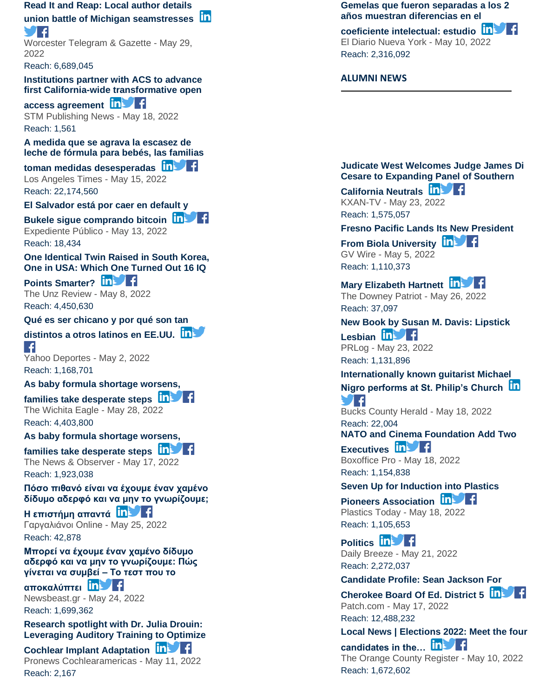**[Read It and Reap: Local author details](https://app.meltwater.com/mwTransition/?url=https%3A%2F%2Fwww.telegram.com%2Fstory%2Flifestyle%2F2022%2F05%2F29%2Fread-and-reap-local-author-details-union-battle-michigan-seamstresses%2F9925604002%2F&uId=6271566e53a1b00009e1e669&cId=5542641db933d37e9596dc54&dId=WkRqusnw7iuCOyDWjH11_F6Svc0&contextId=6279a0b05020fd00146f1637&op=open&sentiment=N&isHosted=false&publishTime=1653815844266&id=&name=&type=&transitionToken=eyJ0eXAiOiJKV1QiLCJhbGciOiJIUzUxMiJ9.eyJob3N0bmFtZSI6Ind3dy50ZWxlZ3JhbS5jb20ifQ.LyB3nCbP3CKrHpS_YmxTj8Ne5HfGKTeSDsUywbH72MxuBiK-N0TbjcZwpOecgIanjGD9L8UQNnQZMlERCfeeTw&s=mail-newsletter)** 

#### **[union battle of Michigan seamstresses](https://app.meltwater.com/mwTransition/?url=https%3A%2F%2Fwww.telegram.com%2Fstory%2Flifestyle%2F2022%2F05%2F29%2Fread-and-reap-local-author-details-union-battle-michigan-seamstresses%2F9925604002%2F&uId=6271566e53a1b00009e1e669&cId=5542641db933d37e9596dc54&dId=WkRqusnw7iuCOyDWjH11_F6Svc0&contextId=6279a0b05020fd00146f1637&op=open&sentiment=N&isHosted=false&publishTime=1653815844266&id=&name=&type=&transitionToken=eyJ0eXAiOiJKV1QiLCJhbGciOiJIUzUxMiJ9.eyJob3N0bmFtZSI6Ind3dy50ZWxlZ3JhbS5jb20ifQ.LyB3nCbP3CKrHpS_YmxTj8Ne5HfGKTeSDsUywbH72MxuBiK-N0TbjcZwpOecgIanjGD9L8UQNnQZMlERCfeeTw&s=mail-newsletter)** 7 F

Worcester Telegram & Gazette - May 29, 2022

Reach: 6,689,045

**[Institutions partner with ACS to advance](https://app.meltwater.com/mwTransition/?url=http%3A%2F%2Fwww.stm-publishing.com%2Finstitutions-partner-with-acs-to-advance-first-california-wide-transformative-open-access-agreement%2F&uId=6271566e53a1b00009e1e669&cId=5542641db933d37e9596dc54&dId=FgMqxEA3Ibzec_1wPwOoM9gNQdU&contextId=6279a0b05020fd00146f1637&op=open&sentiment=N&isHosted=false&publishTime=1652857991000&id=&name=&type=&transitionToken=eyJ0eXAiOiJKV1QiLCJhbGciOiJIUzUxMiJ9.eyJob3N0bmFtZSI6Ind3dy5zdG0tcHVibGlzaGluZy5jb20ifQ.rp0qHW2GUu2IDwyDtq2xI34m1iwQ7OKw64cmsWAV7GcO90t_fTqJ2sJm36Boi6faEFByLL0tiG_Su1OKh6prwA&s=mail-newsletter)  first California [-wide transformative open](https://app.meltwater.com/mwTransition/?url=http%3A%2F%2Fwww.stm-publishing.com%2Finstitutions-partner-with-acs-to-advance-first-california-wide-transformative-open-access-agreement%2F&uId=6271566e53a1b00009e1e669&cId=5542641db933d37e9596dc54&dId=FgMqxEA3Ibzec_1wPwOoM9gNQdU&contextId=6279a0b05020fd00146f1637&op=open&sentiment=N&isHosted=false&publishTime=1652857991000&id=&name=&type=&transitionToken=eyJ0eXAiOiJKV1QiLCJhbGciOiJIUzUxMiJ9.eyJob3N0bmFtZSI6Ind3dy5zdG0tcHVibGlzaGluZy5jb20ifQ.rp0qHW2GUu2IDwyDtq2xI34m1iwQ7OKw64cmsWAV7GcO90t_fTqJ2sJm36Boi6faEFByLL0tiG_Su1OKh6prwA&s=mail-newsletter)** 

**[access agreement](https://app.meltwater.com/mwTransition/?url=http%3A%2F%2Fwww.stm-publishing.com%2Finstitutions-partner-with-acs-to-advance-first-california-wide-transformative-open-access-agreement%2F&uId=6271566e53a1b00009e1e669&cId=5542641db933d37e9596dc54&dId=FgMqxEA3Ibzec_1wPwOoM9gNQdU&contextId=6279a0b05020fd00146f1637&op=open&sentiment=N&isHosted=false&publishTime=1652857991000&id=&name=&type=&transitionToken=eyJ0eXAiOiJKV1QiLCJhbGciOiJIUzUxMiJ9.eyJob3N0bmFtZSI6Ind3dy5zdG0tcHVibGlzaGluZy5jb20ifQ.rp0qHW2GUu2IDwyDtq2xI34m1iwQ7OKw64cmsWAV7GcO90t_fTqJ2sJm36Boi6faEFByLL0tiG_Su1OKh6prwA&s=mail-newsletter) in the Fi** STM Publishing News - May 18, 2022 Reach: 1,561

**[A medida que se agrava la escasez de](https://app.meltwater.com/mwTransition/?url=https%3A%2F%2Fwww.latimes.com%2Fespanol%2Fcalifornia%2Farticulo%2F2022-05-15%2Fla-culpa-la-tiene-el-cierre-de-una-planta-y-los-problemas-de-la-cadena-de-suministro&uId=6271566e53a1b00009e1e669&cId=5542641db933d37e9596dc54&dId=gIRHYzbMX8tMe6O87JRBwotRuE8&contextId=6279a0b05020fd00146f1637&op=open&sentiment=N&isHosted=false&publishTime=1652635781000&id=&name=&type=&transitionToken=eyJ0eXAiOiJKV1QiLCJhbGciOiJIUzUxMiJ9.eyJob3N0bmFtZSI6Ind3dy5sYXRpbWVzLmNvbSJ9.pyU9VQMKvh5vZJlebfeP6pSkeijFL-KKskx5nXRDHca408jlHn00LoA08Eo_6bPa_m9fGDadZ6Ugn5rodQOyDg&s=mail-newsletter)  [leche de fórmula para bebés, las familias](https://app.meltwater.com/mwTransition/?url=https%3A%2F%2Fwww.latimes.com%2Fespanol%2Fcalifornia%2Farticulo%2F2022-05-15%2Fla-culpa-la-tiene-el-cierre-de-una-planta-y-los-problemas-de-la-cadena-de-suministro&uId=6271566e53a1b00009e1e669&cId=5542641db933d37e9596dc54&dId=gIRHYzbMX8tMe6O87JRBwotRuE8&contextId=6279a0b05020fd00146f1637&op=open&sentiment=N&isHosted=false&publishTime=1652635781000&id=&name=&type=&transitionToken=eyJ0eXAiOiJKV1QiLCJhbGciOiJIUzUxMiJ9.eyJob3N0bmFtZSI6Ind3dy5sYXRpbWVzLmNvbSJ9.pyU9VQMKvh5vZJlebfeP6pSkeijFL-KKskx5nXRDHca408jlHn00LoA08Eo_6bPa_m9fGDadZ6Ugn5rodQOyDg&s=mail-newsletter)** 

# **[toman medidas desesperadas](https://app.meltwater.com/mwTransition/?url=https%3A%2F%2Fwww.latimes.com%2Fespanol%2Fcalifornia%2Farticulo%2F2022-05-15%2Fla-culpa-la-tiene-el-cierre-de-una-planta-y-los-problemas-de-la-cadena-de-suministro&uId=6271566e53a1b00009e1e669&cId=5542641db933d37e9596dc54&dId=gIRHYzbMX8tMe6O87JRBwotRuE8&contextId=6279a0b05020fd00146f1637&op=open&sentiment=N&isHosted=false&publishTime=1652635781000&id=&name=&type=&transitionToken=eyJ0eXAiOiJKV1QiLCJhbGciOiJIUzUxMiJ9.eyJob3N0bmFtZSI6Ind3dy5sYXRpbWVzLmNvbSJ9.pyU9VQMKvh5vZJlebfeP6pSkeijFL-KKskx5nXRDHca408jlHn00LoA08Eo_6bPa_m9fGDadZ6Ugn5rodQOyDg&s=mail-newsletter)**

Los Angeles Times - May 15, 2022 Reach: 22,174,560

#### **[El Salvador está por caer en default y](https://app.meltwater.com/mwTransition/?url=https%3A%2F%2Fwww.expedientepublico.org%2Fel-salvador-esta-por-caer-en-default-y-bukele-sigue-comprando-bitcoin%2F&uId=6271566e53a1b00009e1e669&cId=5542641db933d37e9596dc54&dId=6Jafmat_8yCy-IP0liA6EimBgho&contextId=6279a0b05020fd00146f1637&op=open&sentiment=N&isHosted=false&publishTime=1652425450163&id=&name=&type=&transitionToken=eyJ0eXAiOiJKV1QiLCJhbGciOiJIUzUxMiJ9.eyJob3N0bmFtZSI6Ind3dy5leHBlZGllbnRlcHVibGljby5vcmcifQ.YjMPKI1_XyOWyV3CTAmapetbgXG7DsxYmNuonDCb6jV-CrQKDU2SQJNowHnXIVivMn9oYRb1ff_uLxizLfV1nQ&s=mail-newsletter)**

**[Bukele sigue comprando bitcoin](https://app.meltwater.com/mwTransition/?url=https%3A%2F%2Fwww.expedientepublico.org%2Fel-salvador-esta-por-caer-en-default-y-bukele-sigue-comprando-bitcoin%2F&uId=6271566e53a1b00009e1e669&cId=5542641db933d37e9596dc54&dId=6Jafmat_8yCy-IP0liA6EimBgho&contextId=6279a0b05020fd00146f1637&op=open&sentiment=N&isHosted=false&publishTime=1652425450163&id=&name=&type=&transitionToken=eyJ0eXAiOiJKV1QiLCJhbGciOiJIUzUxMiJ9.eyJob3N0bmFtZSI6Ind3dy5leHBlZGllbnRlcHVibGljby5vcmcifQ.YjMPKI1_XyOWyV3CTAmapetbgXG7DsxYmNuonDCb6jV-CrQKDU2SQJNowHnXIVivMn9oYRb1ff_uLxizLfV1nQ&s=mail-newsletter)** Expediente Público - May 13, 2022 Reach: 18,434

**[One Identical Twin Raised in South Korea,](https://app.meltwater.com/mwTransition/?url=https%3A%2F%2Fwww.unz.com%2Fisteve%2Fone-identical-twin-raised-in-south-korea-one-in-usa-which-one-turned-out-16-iq-points-smarter%2F&uId=6271566e53a1b00009e1e669&cId=5542641db933d37e9596dc54&dId=V4Ig8oGDY47PNxFiKzZeA3iXIow&contextId=6279a0b05020fd00146f1637&op=open&sentiment=N&isHosted=false&publishTime=1652056786000&id=&name=&type=&transitionToken=eyJ0eXAiOiJKV1QiLCJhbGciOiJIUzUxMiJ9.eyJob3N0bmFtZSI6Ind3dy51bnouY29tIn0.HIeyUcAsMh2-h6-dUcSLCmHgOunk44XyIeiU8H-wHQbQr-vGWZF8gGZlFoQUa12eU-2ye2935XAq4rr8ZSuSKQ&s=mail-newsletter)  [One in USA: Which One Turned Out 16 IQ](https://app.meltwater.com/mwTransition/?url=https%3A%2F%2Fwww.unz.com%2Fisteve%2Fone-identical-twin-raised-in-south-korea-one-in-usa-which-one-turned-out-16-iq-points-smarter%2F&uId=6271566e53a1b00009e1e669&cId=5542641db933d37e9596dc54&dId=V4Ig8oGDY47PNxFiKzZeA3iXIow&contextId=6279a0b05020fd00146f1637&op=open&sentiment=N&isHosted=false&publishTime=1652056786000&id=&name=&type=&transitionToken=eyJ0eXAiOiJKV1QiLCJhbGciOiJIUzUxMiJ9.eyJob3N0bmFtZSI6Ind3dy51bnouY29tIn0.HIeyUcAsMh2-h6-dUcSLCmHgOunk44XyIeiU8H-wHQbQr-vGWZF8gGZlFoQUa12eU-2ye2935XAq4rr8ZSuSKQ&s=mail-newsletter)** 

# [Points Smarter?](https://app.meltwater.com/mwTransition/?url=https%3A%2F%2Fwww.unz.com%2Fisteve%2Fone-identical-twin-raised-in-south-korea-one-in-usa-which-one-turned-out-16-iq-points-smarter%2F&uId=6271566e53a1b00009e1e669&cId=5542641db933d37e9596dc54&dId=V4Ig8oGDY47PNxFiKzZeA3iXIow&contextId=6279a0b05020fd00146f1637&op=open&sentiment=N&isHosted=false&publishTime=1652056786000&id=&name=&type=&transitionToken=eyJ0eXAiOiJKV1QiLCJhbGciOiJIUzUxMiJ9.eyJob3N0bmFtZSI6Ind3dy51bnouY29tIn0.HIeyUcAsMh2-h6-dUcSLCmHgOunk44XyIeiU8H-wHQbQr-vGWZF8gGZlFoQUa12eU-2ye2935XAq4rr8ZSuSKQ&s=mail-newsletter) **In Prince**

The Unz Review - May 8, 2022 Reach: 4,450,630

#### **[Qué es ser chicano y por qué son tan](https://app.meltwater.com/mwTransition/?url=https%3A%2F%2Fes-us.deportes.yahoo.com%2Fser-chicano-distintos-latinos-ee-195846652.html&uId=6271566e53a1b00009e1e669&cId=5542641db933d37e9596dc54&dId=NldxCS-qDWgA-wdF5z4SCKpotVg&contextId=6279a0b05020fd00146f1637&op=open&sentiment=N&isHosted=false&publishTime=1651481880000&id=&name=&type=&transitionToken=eyJ0eXAiOiJKV1QiLCJhbGciOiJIUzUxMiJ9.eyJob3N0bmFtZSI6ImVzLXVzLmRlcG9ydGVzLnlhaG9vLmNvbSJ9.KRrfsVPmAkycxpFnnu-YeK_zUWor4JludfioJ5C1x2tdpV_CaQ3rAer3OU38ixjNvA8FX0ZSO5TY1-v54nSpXA&s=mail-newsletter)**

**[distintos a otros latinos en EE.UU.](https://app.meltwater.com/mwTransition/?url=https%3A%2F%2Fes-us.deportes.yahoo.com%2Fser-chicano-distintos-latinos-ee-195846652.html&uId=6271566e53a1b00009e1e669&cId=5542641db933d37e9596dc54&dId=NldxCS-qDWgA-wdF5z4SCKpotVg&contextId=6279a0b05020fd00146f1637&op=open&sentiment=N&isHosted=false&publishTime=1651481880000&id=&name=&type=&transitionToken=eyJ0eXAiOiJKV1QiLCJhbGciOiJIUzUxMiJ9.eyJob3N0bmFtZSI6ImVzLXVzLmRlcG9ydGVzLnlhaG9vLmNvbSJ9.KRrfsVPmAkycxpFnnu-YeK_zUWor4JludfioJ5C1x2tdpV_CaQ3rAer3OU38ixjNvA8FX0ZSO5TY1-v54nSpXA&s=mail-newsletter)**  $\left| \right|$ 

Yahoo Deportes - May 2, 2022 Reach: 1,168,701

#### **[As baby formula shortage worsens,](https://app.meltwater.com/mwTransition/?url=https%3A%2F%2Fwww.kansas.com%2Fliving%2Ffamily%2Farticle261513297.html&uId=6271566e53a1b00009e1e669&cId=5542641db933d37e9596dc54&dId=s2vzfl0hLSG-dNMgjs926jl14rU&contextId=6279a0b05020fd00146f1637&op=open&sentiment=N&isHosted=false&publishTime=1653745512186&id=&name=&type=&transitionToken=eyJ0eXAiOiJKV1QiLCJhbGciOiJIUzUxMiJ9.eyJob3N0bmFtZSI6Ind3dy5rYW5zYXMuY29tIn0.yzEeENJhEmiZjSNkwbNDG_M9pmcellcHef_caZipYb66T4u8y-h29kbe9Ed7P1MI13AvpBONdVwechYgbkCNvg&s=mail-newsletter)**

**[families take desperate steps](https://app.meltwater.com/mwTransition/?url=https%3A%2F%2Fwww.kansas.com%2Fliving%2Ffamily%2Farticle261513297.html&uId=6271566e53a1b00009e1e669&cId=5542641db933d37e9596dc54&dId=s2vzfl0hLSG-dNMgjs926jl14rU&contextId=6279a0b05020fd00146f1637&op=open&sentiment=N&isHosted=false&publishTime=1653745512186&id=&name=&type=&transitionToken=eyJ0eXAiOiJKV1QiLCJhbGciOiJIUzUxMiJ9.eyJob3N0bmFtZSI6Ind3dy5rYW5zYXMuY29tIn0.yzEeENJhEmiZjSNkwbNDG_M9pmcellcHef_caZipYb66T4u8y-h29kbe9Ed7P1MI13AvpBONdVwechYgbkCNvg&s=mail-newsletter)** The Wichita Eagle - May 28, 2022 Reach: 4,403,800

#### **[As baby formula shortage worsens,](https://app.meltwater.com/mwTransition/?url=https%3A%2F%2Fwww.newsobserver.com%2Fliving%2Ffamily%2Farticle261513297.html&uId=6271566e53a1b00009e1e669&cId=5542641db933d37e9596dc54&dId=V2kEUt7-XMLkTVUNuduu2_6LugE&contextId=6279a0b05020fd00146f1637&op=open&sentiment=N&isHosted=false&publishTime=1652774881000&id=&name=&type=&transitionToken=eyJ0eXAiOiJKV1QiLCJhbGciOiJIUzUxMiJ9.eyJob3N0bmFtZSI6Ind3dy5uZXdzb2JzZXJ2ZXIuY29tIn0.6nm4Q_JjKy36e0ikPu33nfHruQ-pwStFh3Yox3VoAtqS_DeORDMHCaECV5-gDO8O0SRpqLLSg3AcKfH8E9sMvg&s=mail-newsletter)**

**[families take desperate steps](https://app.meltwater.com/mwTransition/?url=https%3A%2F%2Fwww.newsobserver.com%2Fliving%2Ffamily%2Farticle261513297.html&uId=6271566e53a1b00009e1e669&cId=5542641db933d37e9596dc54&dId=V2kEUt7-XMLkTVUNuduu2_6LugE&contextId=6279a0b05020fd00146f1637&op=open&sentiment=N&isHosted=false&publishTime=1652774881000&id=&name=&type=&transitionToken=eyJ0eXAiOiJKV1QiLCJhbGciOiJIUzUxMiJ9.eyJob3N0bmFtZSI6Ind3dy5uZXdzb2JzZXJ2ZXIuY29tIn0.6nm4Q_JjKy36e0ikPu33nfHruQ-pwStFh3Yox3VoAtqS_DeORDMHCaECV5-gDO8O0SRpqLLSg3AcKfH8E9sMvg&s=mail-newsletter)** The News & Observer - May 17, 2022 Reach: 1,923,038

**[Πόσο πιθανό είναι να έχουμε έναν χαμένο](https://app.meltwater.com/mwTransition/?url=https%3A%2F%2Fwww.gargalianoionline.gr%2F%25cf%2580%25cf%258c%25cf%2583%25ce%25bf-%25cf%2580%25ce%25b9%25ce%25b8%25ce%25b1%25ce%25bd%25cf%258c-%25ce%25b5%25ce%25af%25ce%25bd%25ce%25b1%25ce%25b9-%25ce%25bd%25ce%25b1-%25ce%25ad%25cf%2587%25ce%25bf%25cf%2585%25ce%25bc%25ce%25b5-%25ce%25ad%25ce%25bd%25ce%25b1%25ce%25bd-%25cf%2587%25ce%25b1%25ce%25bc%25ce%25ad%25ce%25bd%2F&uId=6271566e53a1b00009e1e669&cId=5542641db933d37e9596dc54&dId=OaOBXqR37NeT7O8ioL9CHEYE_4U&contextId=6279a0b05020fd00146f1637&op=open&sentiment=N&isHosted=false&publishTime=1653505889000&id=&name=&type=&transitionToken=eyJ0eXAiOiJKV1QiLCJhbGciOiJIUzUxMiJ9.eyJob3N0bmFtZSI6Ind3dy5nYXJnYWxpYW5vaW9ubGluZS5nciJ9.yXM1Mhe4fcq18FcE_zU_7PyPPcnIWLcJsienObkLkF3K0G1m-3y9EWezrQljExPZnoOVFiDO6Vad3PKtnV6Xeg&s=mail-newsletter)  [δίδυμο αδερφό και να μην το γνωρίζουμε;](https://app.meltwater.com/mwTransition/?url=https%3A%2F%2Fwww.gargalianoionline.gr%2F%25cf%2580%25cf%258c%25cf%2583%25ce%25bf-%25cf%2580%25ce%25b9%25ce%25b8%25ce%25b1%25ce%25bd%25cf%258c-%25ce%25b5%25ce%25af%25ce%25bd%25ce%25b1%25ce%25b9-%25ce%25bd%25ce%25b1-%25ce%25ad%25cf%2587%25ce%25bf%25cf%2585%25ce%25bc%25ce%25b5-%25ce%25ad%25ce%25bd%25ce%25b1%25ce%25bd-%25cf%2587%25ce%25b1%25ce%25bc%25ce%25ad%25ce%25bd%2F&uId=6271566e53a1b00009e1e669&cId=5542641db933d37e9596dc54&dId=OaOBXqR37NeT7O8ioL9CHEYE_4U&contextId=6279a0b05020fd00146f1637&op=open&sentiment=N&isHosted=false&publishTime=1653505889000&id=&name=&type=&transitionToken=eyJ0eXAiOiJKV1QiLCJhbGciOiJIUzUxMiJ9.eyJob3N0bmFtZSI6Ind3dy5nYXJnYWxpYW5vaW9ubGluZS5nciJ9.yXM1Mhe4fcq18FcE_zU_7PyPPcnIWLcJsienObkLkF3K0G1m-3y9EWezrQljExPZnoOVFiDO6Vad3PKtnV6Xeg&s=mail-newsletter)** 

#### **[Η επιστήμη απαντά](https://app.meltwater.com/mwTransition/?url=https%3A%2F%2Fwww.gargalianoionline.gr%2F%25cf%2580%25cf%258c%25cf%2583%25ce%25bf-%25cf%2580%25ce%25b9%25ce%25b8%25ce%25b1%25ce%25bd%25cf%258c-%25ce%25b5%25ce%25af%25ce%25bd%25ce%25b1%25ce%25b9-%25ce%25bd%25ce%25b1-%25ce%25ad%25cf%2587%25ce%25bf%25cf%2585%25ce%25bc%25ce%25b5-%25ce%25ad%25ce%25bd%25ce%25b1%25ce%25bd-%25cf%2587%25ce%25b1%25ce%25bc%25ce%25ad%25ce%25bd%2F&uId=6271566e53a1b00009e1e669&cId=5542641db933d37e9596dc54&dId=OaOBXqR37NeT7O8ioL9CHEYE_4U&contextId=6279a0b05020fd00146f1637&op=open&sentiment=N&isHosted=false&publishTime=1653505889000&id=&name=&type=&transitionToken=eyJ0eXAiOiJKV1QiLCJhbGciOiJIUzUxMiJ9.eyJob3N0bmFtZSI6Ind3dy5nYXJnYWxpYW5vaW9ubGluZS5nciJ9.yXM1Mhe4fcq18FcE_zU_7PyPPcnIWLcJsienObkLkF3K0G1m-3y9EWezrQljExPZnoOVFiDO6Vad3PKtnV6Xeg&s=mail-newsletter)** Γαργαλιάνοι Online - May 25, 2022

Reach: 42,878

#### **[Μπορεί να έχουμε έναν χαμένο δίδυμο](https://app.meltwater.com/mwTransition/?url=https%3A%2F%2Fwww.newsbeast.gr%2Fworld%2Farthro%2F8641176%2Fborei-na-echoume-enan-chameno-didymo-aderfo-kai-na-min-to-gnorizoume-pos-ginetai-na-symvei-to-test-pou-to-apokalyptei&uId=6271566e53a1b00009e1e669&cId=5542641db933d37e9596dc54&dId=0ZwPOeDVEeGEB5Alwlol1m9jTuo&contextId=6279a0b05020fd00146f1637&op=open&sentiment=N&isHosted=false&publishTime=1653409757000&id=&name=&type=&transitionToken=eyJ0eXAiOiJKV1QiLCJhbGciOiJIUzUxMiJ9.eyJob3N0bmFtZSI6Ind3dy5uZXdzYmVhc3QuZ3IifQ.wiaVpVgPeEExNzdgcYjyJk6AEwKpltwBKH54HDGsVDQzIZMo_e9AzXQDOUKP7S0AqqcNJKGlZ3xQA4cdU9BUvA&s=mail-newsletter)  [αδερφό και να μην το γνωρίζουμε: Πώς](https://app.meltwater.com/mwTransition/?url=https%3A%2F%2Fwww.newsbeast.gr%2Fworld%2Farthro%2F8641176%2Fborei-na-echoume-enan-chameno-didymo-aderfo-kai-na-min-to-gnorizoume-pos-ginetai-na-symvei-to-test-pou-to-apokalyptei&uId=6271566e53a1b00009e1e669&cId=5542641db933d37e9596dc54&dId=0ZwPOeDVEeGEB5Alwlol1m9jTuo&contextId=6279a0b05020fd00146f1637&op=open&sentiment=N&isHosted=false&publishTime=1653409757000&id=&name=&type=&transitionToken=eyJ0eXAiOiJKV1QiLCJhbGciOiJIUzUxMiJ9.eyJob3N0bmFtZSI6Ind3dy5uZXdzYmVhc3QuZ3IifQ.wiaVpVgPeEExNzdgcYjyJk6AEwKpltwBKH54HDGsVDQzIZMo_e9AzXQDOUKP7S0AqqcNJKGlZ3xQA4cdU9BUvA&s=mail-newsletter)  γίνεται να συμβεί – [Το τεστ που το](https://app.meltwater.com/mwTransition/?url=https%3A%2F%2Fwww.newsbeast.gr%2Fworld%2Farthro%2F8641176%2Fborei-na-echoume-enan-chameno-didymo-aderfo-kai-na-min-to-gnorizoume-pos-ginetai-na-symvei-to-test-pou-to-apokalyptei&uId=6271566e53a1b00009e1e669&cId=5542641db933d37e9596dc54&dId=0ZwPOeDVEeGEB5Alwlol1m9jTuo&contextId=6279a0b05020fd00146f1637&op=open&sentiment=N&isHosted=false&publishTime=1653409757000&id=&name=&type=&transitionToken=eyJ0eXAiOiJKV1QiLCJhbGciOiJIUzUxMiJ9.eyJob3N0bmFtZSI6Ind3dy5uZXdzYmVhc3QuZ3IifQ.wiaVpVgPeEExNzdgcYjyJk6AEwKpltwBKH54HDGsVDQzIZMo_e9AzXQDOUKP7S0AqqcNJKGlZ3xQA4cdU9BUvA&s=mail-newsletter)**

# **[αποκαλύπτει](https://app.meltwater.com/mwTransition/?url=https%3A%2F%2Fwww.newsbeast.gr%2Fworld%2Farthro%2F8641176%2Fborei-na-echoume-enan-chameno-didymo-aderfo-kai-na-min-to-gnorizoume-pos-ginetai-na-symvei-to-test-pou-to-apokalyptei&uId=6271566e53a1b00009e1e669&cId=5542641db933d37e9596dc54&dId=0ZwPOeDVEeGEB5Alwlol1m9jTuo&contextId=6279a0b05020fd00146f1637&op=open&sentiment=N&isHosted=false&publishTime=1653409757000&id=&name=&type=&transitionToken=eyJ0eXAiOiJKV1QiLCJhbGciOiJIUzUxMiJ9.eyJob3N0bmFtZSI6Ind3dy5uZXdzYmVhc3QuZ3IifQ.wiaVpVgPeEExNzdgcYjyJk6AEwKpltwBKH54HDGsVDQzIZMo_e9AzXQDOUKP7S0AqqcNJKGlZ3xQA4cdU9BUvA&s=mail-newsletter)**

Newsbeast.gr - May 24, 2022 Reach: 1,699,362

### **[Research spotlight with Dr. Julia Drouin:](https://app.meltwater.com/mwTransition/?url=https%3A%2F%2Fpronews.cochlearamericas.com%2Fjulia-drouin-auditory-training%2F&uId=6271566e53a1b00009e1e669&cId=5542641db933d37e9596dc54&dId=pIRDIdEk-FbOi74kn91hiGEmZjo&contextId=6279a0b05020fd00146f1637&op=open&sentiment=N&isHosted=false&publishTime=1652270412984&id=&name=&type=&transitionToken=eyJ0eXAiOiJKV1QiLCJhbGciOiJIUzUxMiJ9.eyJob3N0bmFtZSI6InByb25ld3MuY29jaGxlYXJhbWVyaWNhcy5jb20ifQ.nOFlTCnaQzurNSS2ldEWfHMpLVTY3IS8URRCnMiKp2ST3zPh6o3ct_VIQ_xS_HapVF6VV8pDVD05JGnvpLUxQA&s=mail-newsletter)  [Leveraging Auditory Training to Optimize](https://app.meltwater.com/mwTransition/?url=https%3A%2F%2Fpronews.cochlearamericas.com%2Fjulia-drouin-auditory-training%2F&uId=6271566e53a1b00009e1e669&cId=5542641db933d37e9596dc54&dId=pIRDIdEk-FbOi74kn91hiGEmZjo&contextId=6279a0b05020fd00146f1637&op=open&sentiment=N&isHosted=false&publishTime=1652270412984&id=&name=&type=&transitionToken=eyJ0eXAiOiJKV1QiLCJhbGciOiJIUzUxMiJ9.eyJob3N0bmFtZSI6InByb25ld3MuY29jaGxlYXJhbWVyaWNhcy5jb20ifQ.nOFlTCnaQzurNSS2ldEWfHMpLVTY3IS8URRCnMiKp2ST3zPh6o3ct_VIQ_xS_HapVF6VV8pDVD05JGnvpLUxQA&s=mail-newsletter)**

### **[Cochlear Implant Adaptation](https://app.meltwater.com/mwTransition/?url=https%3A%2F%2Fpronews.cochlearamericas.com%2Fjulia-drouin-auditory-training%2F&uId=6271566e53a1b00009e1e669&cId=5542641db933d37e9596dc54&dId=pIRDIdEk-FbOi74kn91hiGEmZjo&contextId=6279a0b05020fd00146f1637&op=open&sentiment=N&isHosted=false&publishTime=1652270412984&id=&name=&type=&transitionToken=eyJ0eXAiOiJKV1QiLCJhbGciOiJIUzUxMiJ9.eyJob3N0bmFtZSI6InByb25ld3MuY29jaGxlYXJhbWVyaWNhcy5jb20ifQ.nOFlTCnaQzurNSS2ldEWfHMpLVTY3IS8URRCnMiKp2ST3zPh6o3ct_VIQ_xS_HapVF6VV8pDVD05JGnvpLUxQA&s=mail-newsletter) In the Cochlear Implant Adaptation**

Pronews Cochlearamericas - May 11, 2022 Reach: 2,167

#### **[Gemelas que fueron separadas a los 2](https://app.meltwater.com/mwTransition/?url=https%3A%2F%2Feldiariony.com%2F2022%2F05%2F10%2Fgemelas-que-fueron-separadas-a-los-2-anos-muestran-diferencias-en-el-coeficiente-intelectual-estudio%2F&uId=6271566e53a1b00009e1e669&cId=5542641db933d37e9596dc54&dId=s-5jQcgZ79PbzFzJrFV9aLAhsLU&contextId=6279a0b05020fd00146f1637&op=open&sentiment=N&isHosted=false&publishTime=1652228126000&id=&name=&type=&transitionToken=eyJ0eXAiOiJKV1QiLCJhbGciOiJIUzUxMiJ9.eyJob3N0bmFtZSI6ImVsZGlhcmlvbnkuY29tIn0.SzthYLwD85nQGRN1ZgWvWc4ArlTmMeA8SzDoydP4BaIEndv0V8ckUyJHjBnFH_AnmsLbloOk9alKhU4r28iPXA&s=mail-newsletter)  [años muestran diferencias en el](https://app.meltwater.com/mwTransition/?url=https%3A%2F%2Feldiariony.com%2F2022%2F05%2F10%2Fgemelas-que-fueron-separadas-a-los-2-anos-muestran-diferencias-en-el-coeficiente-intelectual-estudio%2F&uId=6271566e53a1b00009e1e669&cId=5542641db933d37e9596dc54&dId=s-5jQcgZ79PbzFzJrFV9aLAhsLU&contextId=6279a0b05020fd00146f1637&op=open&sentiment=N&isHosted=false&publishTime=1652228126000&id=&name=&type=&transitionToken=eyJ0eXAiOiJKV1QiLCJhbGciOiJIUzUxMiJ9.eyJob3N0bmFtZSI6ImVsZGlhcmlvbnkuY29tIn0.SzthYLwD85nQGRN1ZgWvWc4ArlTmMeA8SzDoydP4BaIEndv0V8ckUyJHjBnFH_AnmsLbloOk9alKhU4r28iPXA&s=mail-newsletter)**

**[coeficiente intelectual: estudio](https://app.meltwater.com/mwTransition/?url=https%3A%2F%2Feldiariony.com%2F2022%2F05%2F10%2Fgemelas-que-fueron-separadas-a-los-2-anos-muestran-diferencias-en-el-coeficiente-intelectual-estudio%2F&uId=6271566e53a1b00009e1e669&cId=5542641db933d37e9596dc54&dId=s-5jQcgZ79PbzFzJrFV9aLAhsLU&contextId=6279a0b05020fd00146f1637&op=open&sentiment=N&isHosted=false&publishTime=1652228126000&id=&name=&type=&transitionToken=eyJ0eXAiOiJKV1QiLCJhbGciOiJIUzUxMiJ9.eyJob3N0bmFtZSI6ImVsZGlhcmlvbnkuY29tIn0.SzthYLwD85nQGRN1ZgWvWc4ArlTmMeA8SzDoydP4BaIEndv0V8ckUyJHjBnFH_AnmsLbloOk9alKhU4r28iPXA&s=mail-newsletter)** El Diario Nueva York - May 10, 2022 Reach: 2,316,092

#### **ALUMNI NEWS**

#### **[Judicate West Welcomes Judge James Di](https://app.meltwater.com/mwTransition/?url=https%3A%2F%2Fwww.kxan.com%2Fbusiness%2Fpress-releases%2Fglobenewswire%2F8558192%2Fjudicate-west-welcomes-judge-james-di-cesare-to-expanding-panel-of-southern-california-neutrals%2F&uId=6271566e53a1b00009e1e669&cId=5542641db933d37e9596dc54&dId=2u1TTtYaFyQ5l5r14QV25P4ugkA&contextId=6279a0b05020fd00146f1637&op=open&sentiment=N&isHosted=false&publishTime=1653337030525&id=&name=&type=&transitionToken=eyJ0eXAiOiJKV1QiLCJhbGciOiJIUzUxMiJ9.eyJob3N0bmFtZSI6Ind3dy5reGFuLmNvbSJ9.DAGzXfqeL4qnl7WDr9MDTo9GiFYdjbXPdjbUbR1V7-hpToHh76E_KKyzVSPEuE8ExTg6oH4WdFNwI8GRublV6A&s=mail-newsletter)  [Cesare to Expanding Panel of Southern](https://app.meltwater.com/mwTransition/?url=https%3A%2F%2Fwww.kxan.com%2Fbusiness%2Fpress-releases%2Fglobenewswire%2F8558192%2Fjudicate-west-welcomes-judge-james-di-cesare-to-expanding-panel-of-southern-california-neutrals%2F&uId=6271566e53a1b00009e1e669&cId=5542641db933d37e9596dc54&dId=2u1TTtYaFyQ5l5r14QV25P4ugkA&contextId=6279a0b05020fd00146f1637&op=open&sentiment=N&isHosted=false&publishTime=1653337030525&id=&name=&type=&transitionToken=eyJ0eXAiOiJKV1QiLCJhbGciOiJIUzUxMiJ9.eyJob3N0bmFtZSI6Ind3dy5reGFuLmNvbSJ9.DAGzXfqeL4qnl7WDr9MDTo9GiFYdjbXPdjbUbR1V7-hpToHh76E_KKyzVSPEuE8ExTg6oH4WdFNwI8GRublV6A&s=mail-newsletter)**

**[California Neutrals](https://app.meltwater.com/mwTransition/?url=https%3A%2F%2Fwww.kxan.com%2Fbusiness%2Fpress-releases%2Fglobenewswire%2F8558192%2Fjudicate-west-welcomes-judge-james-di-cesare-to-expanding-panel-of-southern-california-neutrals%2F&uId=6271566e53a1b00009e1e669&cId=5542641db933d37e9596dc54&dId=2u1TTtYaFyQ5l5r14QV25P4ugkA&contextId=6279a0b05020fd00146f1637&op=open&sentiment=N&isHosted=false&publishTime=1653337030525&id=&name=&type=&transitionToken=eyJ0eXAiOiJKV1QiLCJhbGciOiJIUzUxMiJ9.eyJob3N0bmFtZSI6Ind3dy5reGFuLmNvbSJ9.DAGzXfqeL4qnl7WDr9MDTo9GiFYdjbXPdjbUbR1V7-hpToHh76E_KKyzVSPEuE8ExTg6oH4WdFNwI8GRublV6A&s=mail-newsletter)** KXAN -TV - May 23, 2022 Reach: 1,575,057

#### **[Fresno Pacific Lands Its New President](https://app.meltwater.com/mwTransition/?url=https%3A%2F%2Fgvwire.com%2F2022%2F05%2F05%2Ffresno-pacific-lands-its-new-president-from-biola-university%2F&uId=6271566e53a1b00009e1e669&cId=5542641db933d37e9596dc54&dId=hq_NasOS66iJM3gockQQpG0iB8A&contextId=6279a0b05020fd00146f1637&op=open&sentiment=N&isHosted=false&publishTime=1651794578000&id=&name=&type=&transitionToken=eyJ0eXAiOiJKV1QiLCJhbGciOiJIUzUxMiJ9.eyJob3N0bmFtZSI6Imd2d2lyZS5jb20ifQ.HDH1aAjtz7NmI0qkWKmcdnJcGBOAuBPCubsDZ9B2uLi5rwT4PRfKidMokaTXuO0l3GHUUnhNBg2e0r7Ox5OmAA&s=mail-newsletter)**

**[From Biola University](https://app.meltwater.com/mwTransition/?url=https%3A%2F%2Fgvwire.com%2F2022%2F05%2F05%2Ffresno-pacific-lands-its-new-president-from-biola-university%2F&uId=6271566e53a1b00009e1e669&cId=5542641db933d37e9596dc54&dId=hq_NasOS66iJM3gockQQpG0iB8A&contextId=6279a0b05020fd00146f1637&op=open&sentiment=N&isHosted=false&publishTime=1651794578000&id=&name=&type=&transitionToken=eyJ0eXAiOiJKV1QiLCJhbGciOiJIUzUxMiJ9.eyJob3N0bmFtZSI6Imd2d2lyZS5jb20ifQ.HDH1aAjtz7NmI0qkWKmcdnJcGBOAuBPCubsDZ9B2uLi5rwT4PRfKidMokaTXuO0l3GHUUnhNBg2e0r7Ox5OmAA&s=mail-newsletter) In Set 4** GV Wire - May 5, 2022 Reach: 1,110,373

# **[Mary Elizabeth Hartnett](https://app.meltwater.com/mwTransition/?url=https%3A%2F%2Fwww.thedowneypatriot.com%2Farticles%2Fmary-elizabeth-hartnett&uId=6271566e53a1b00009e1e669&cId=5542641db933d37e9596dc54&dId=_90HRaGNzc6qdQD3bjw15SQ3BxQ&contextId=6279a0b05020fd00146f1637&op=open&sentiment=P&isHosted=false&publishTime=1653591994000&id=&name=&type=&transitionToken=eyJ0eXAiOiJKV1QiLCJhbGciOiJIUzUxMiJ9.eyJob3N0bmFtZSI6Ind3dy50aGVkb3duZXlwYXRyaW90LmNvbSJ9.CUh4mWvbRwK7ItlQiKDdo9aYmQ0u3WlyG_w_GsnVY2QYAqyx2AIK2LEJqkoNJiqRtRP11LoI2TZZoICjUCl2ew&s=mail-newsletter) In Primary**

The Downey Patriot - May 26, 2022 Reach: 37,097

# **[New Book by Susan M. Davis: Lipstick](https://app.meltwater.com/mwTransition/?url=https%3A%2F%2Fwww.prlog.org%2F12918296-new-book-by-susan-davis-lipstick-lesbian.html&uId=6271566e53a1b00009e1e669&cId=5542641db933d37e9596dc54&dId=v3dvOVuuukKL6a_MYP3S385AwuM&contextId=6279a0b05020fd00146f1637&op=open&sentiment=N&isHosted=false&publishTime=1653320196157&id=&name=&type=&transitionToken=eyJ0eXAiOiJKV1QiLCJhbGciOiJIUzUxMiJ9.eyJob3N0bmFtZSI6Ind3dy5wcmxvZy5vcmcifQ.tDTrap8hNphPismT7cUKFSajOuh-I1UVUaCLNys3ZnMxj6PErg9OU9fULkpywvSZXDGQ4AoCoC_x0c-5JPWC_w&s=mail-newsletter)**

[Lesbian](https://app.meltwater.com/mwTransition/?url=https%3A%2F%2Fwww.prlog.org%2F12918296-new-book-by-susan-davis-lipstick-lesbian.html&uId=6271566e53a1b00009e1e669&cId=5542641db933d37e9596dc54&dId=v3dvOVuuukKL6a_MYP3S385AwuM&contextId=6279a0b05020fd00146f1637&op=open&sentiment=N&isHosted=false&publishTime=1653320196157&id=&name=&type=&transitionToken=eyJ0eXAiOiJKV1QiLCJhbGciOiJIUzUxMiJ9.eyJob3N0bmFtZSI6Ind3dy5wcmxvZy5vcmcifQ.tDTrap8hNphPismT7cUKFSajOuh-I1UVUaCLNys3ZnMxj6PErg9OU9fULkpywvSZXDGQ4AoCoC_x0c-5JPWC_w&s=mail-newsletter) **in Fi** PRLog - May 23, 2022 Reach: 1,131,896

#### **[Internationally known guitarist Michael](https://app.meltwater.com/mwTransition/?url=https%3A%2F%2Fbuckscountyherald.com%2Fstories%2Finternationally-known-guitarist-michael-nigro-performs-at-st-philips-church%2C17167&uId=6271566e53a1b00009e1e669&cId=5542641db933d37e9596dc54&dId=Nr6CTRFm_ZlN4R6GDrypEqS3XnE&contextId=6279a0b05020fd00146f1637&op=open&sentiment=N&isHosted=false&publishTime=1652934835363&id=&name=&type=&transitionToken=eyJ0eXAiOiJKV1QiLCJhbGciOiJIUzUxMiJ9.eyJob3N0bmFtZSI6ImJ1Y2tzY291bnR5aGVyYWxkLmNvbSJ9.9IN9aMWhqyPXNPey5UgwF-7kAjj2onDDKktfo6obl3JQ_zQcLB_69R8gwZhejhMrO5NDBG0fjpKrSh7xkxLVpA&s=mail-newsletter)**

**[Nigro performs at St. Philip's Church](https://app.meltwater.com/mwTransition/?url=https%3A%2F%2Fbuckscountyherald.com%2Fstories%2Finternationally-known-guitarist-michael-nigro-performs-at-st-philips-church%2C17167&uId=6271566e53a1b00009e1e669&cId=5542641db933d37e9596dc54&dId=Nr6CTRFm_ZlN4R6GDrypEqS3XnE&contextId=6279a0b05020fd00146f1637&op=open&sentiment=N&isHosted=false&publishTime=1652934835363&id=&name=&type=&transitionToken=eyJ0eXAiOiJKV1QiLCJhbGciOiJIUzUxMiJ9.eyJob3N0bmFtZSI6ImJ1Y2tzY291bnR5aGVyYWxkLmNvbSJ9.9IN9aMWhqyPXNPey5UgwF-7kAjj2onDDKktfo6obl3JQ_zQcLB_69R8gwZhejhMrO5NDBG0fjpKrSh7xkxLVpA&s=mail-newsletter) DE** 

Bucks County Herald - May 18, 2022 Reach: 22,004

**[NATO and Cinema Foundation Add Two](https://app.meltwater.com/mwTransition/?url=https%3A%2F%2Fwww.boxofficepro.com%2Fnato-and-cinema-foundation-add-two-executives%2F&uId=6271566e53a1b00009e1e669&cId=5542641db933d37e9596dc54&dId=LOKsa611vji72mZidkmJVELKRNg&contextId=6279a0b05020fd00146f1637&op=open&sentiment=N&isHosted=false&publishTime=1652915194328&id=&name=&type=&transitionToken=eyJ0eXAiOiJKV1QiLCJhbGciOiJIUzUxMiJ9.eyJob3N0bmFtZSI6Ind3dy5ib3hvZmZpY2Vwcm8uY29tIn0.fn5qRfhG6pSnsHShA_T_0dTI1Wu88A1itkh32kGMntgp5kdYzOisA58y0vFeKeTEI2V3zAhPwNCMXBIOCT8G8w&s=mail-newsletter)  [Executives](https://app.meltwater.com/mwTransition/?url=https%3A%2F%2Fwww.boxofficepro.com%2Fnato-and-cinema-foundation-add-two-executives%2F&uId=6271566e53a1b00009e1e669&cId=5542641db933d37e9596dc54&dId=LOKsa611vji72mZidkmJVELKRNg&contextId=6279a0b05020fd00146f1637&op=open&sentiment=N&isHosted=false&publishTime=1652915194328&id=&name=&type=&transitionToken=eyJ0eXAiOiJKV1QiLCJhbGciOiJIUzUxMiJ9.eyJob3N0bmFtZSI6Ind3dy5ib3hvZmZpY2Vwcm8uY29tIn0.fn5qRfhG6pSnsHShA_T_0dTI1Wu88A1itkh32kGMntgp5kdYzOisA58y0vFeKeTEI2V3zAhPwNCMXBIOCT8G8w&s=mail-newsletter) In Fig.** 

Boxoffice Pro - May 18, 2022 Reach: 1,154,838

#### **[Seven Up for Induction into Plastics](https://app.meltwater.com/mwTransition/?url=https%3A%2F%2Fwww.plasticstoday.com%2Finjection-molding%2Fseven-induction-plastics-pioneers-association&uId=6271566e53a1b00009e1e669&cId=5542641db933d37e9596dc54&dId=NFrkjdA68WBliYKmscfhpkxgs0Y&contextId=6279a0b05020fd00146f1637&op=open&sentiment=N&isHosted=false&publishTime=1652905002000&id=&name=&type=&transitionToken=eyJ0eXAiOiJKV1QiLCJhbGciOiJIUzUxMiJ9.eyJob3N0bmFtZSI6Ind3dy5wbGFzdGljc3RvZGF5LmNvbSJ9.IB1XK8Mf60aKitNJTkLlo-1bWlOIU8HDwoysiku3qBskY01RazLMJiweBGPaWZTVatYCBxlSPFnszJ_N9VHQ9A&s=mail-newsletter)**

**[Pioneers Association](https://app.meltwater.com/mwTransition/?url=https%3A%2F%2Fwww.plasticstoday.com%2Finjection-molding%2Fseven-induction-plastics-pioneers-association&uId=6271566e53a1b00009e1e669&cId=5542641db933d37e9596dc54&dId=NFrkjdA68WBliYKmscfhpkxgs0Y&contextId=6279a0b05020fd00146f1637&op=open&sentiment=N&isHosted=false&publishTime=1652905002000&id=&name=&type=&transitionToken=eyJ0eXAiOiJKV1QiLCJhbGciOiJIUzUxMiJ9.eyJob3N0bmFtZSI6Ind3dy5wbGFzdGljc3RvZGF5LmNvbSJ9.IB1XK8Mf60aKitNJTkLlo-1bWlOIU8HDwoysiku3qBskY01RazLMJiweBGPaWZTVatYCBxlSPFnszJ_N9VHQ9A&s=mail-newsletter) The Fi** Plastics Today - May 18, 2022 Reach: 1,105,653

**[Politics](https://app.meltwater.com/mwTransition/?url=https%3A%2F%2Fwww.dailybreeze.com%2F2022%2F05%2F21%2Felection-2022-assemblyman-rendon-to-face-off-again-with-challenger-maria-estrada%2F&uId=6271566e53a1b00009e1e669&cId=5542641db933d37e9596dc54&dId=ta_tqpIolmmki_fgUHmgQXHYHRc&contextId=6279a0b05020fd00146f1637&op=open&sentiment=N&isHosted=false&publishTime=1653143448000&id=&name=&type=&transitionToken=eyJ0eXAiOiJKV1QiLCJhbGciOiJIUzUxMiJ9.eyJob3N0bmFtZSI6Ind3dy5kYWlseWJyZWV6ZS5jb20ifQ.8S83LrnEXCD2s885XhxKH0kpcsHJe-LjwjBsjUQOni5Bst8FiP4zHfEwvR2kFAEgyBB95XWpvfx3YrxPPhBWPQ&s=mail-newsletter) In Fig.** Daily Breeze - May 21, 2022

Reach: 2,272,037

#### **[Candidate Profile: Sean Jackson For](https://app.meltwater.com/mwTransition/?url=https%3A%2F%2Fpatch.com%2Fgeorgia%2Fwoodstock%2Fcandidate-profile-sean-jackson-cherokee-board-ed-district-5&uId=6271566e53a1b00009e1e669&cId=5542641db933d37e9596dc54&dId=PEFLa24iK4vaZ39TNOKhDlXCjQs&contextId=6279a0b05020fd00146f1637&op=open&sentiment=N&isHosted=false&publishTime=1652807347000&id=&name=&type=&transitionToken=eyJ0eXAiOiJKV1QiLCJhbGciOiJIUzUxMiJ9.eyJob3N0bmFtZSI6InBhdGNoLmNvbSJ9.CVMMdTmBb2fm0QCFzDsUSW_Jt_EziVcrT1RPUlPwsoKZ6UDJrP3x3yHAB0SVPzDaPtCJS58hhhv9Snot_VXZdA&s=mail-newsletter)**

**[Cherokee Board Of Ed. District 5](https://app.meltwater.com/mwTransition/?url=https%3A%2F%2Fpatch.com%2Fgeorgia%2Fwoodstock%2Fcandidate-profile-sean-jackson-cherokee-board-ed-district-5&uId=6271566e53a1b00009e1e669&cId=5542641db933d37e9596dc54&dId=PEFLa24iK4vaZ39TNOKhDlXCjQs&contextId=6279a0b05020fd00146f1637&op=open&sentiment=N&isHosted=false&publishTime=1652807347000&id=&name=&type=&transitionToken=eyJ0eXAiOiJKV1QiLCJhbGciOiJIUzUxMiJ9.eyJob3N0bmFtZSI6InBhdGNoLmNvbSJ9.CVMMdTmBb2fm0QCFzDsUSW_Jt_EziVcrT1RPUlPwsoKZ6UDJrP3x3yHAB0SVPzDaPtCJS58hhhv9Snot_VXZdA&s=mail-newsletter)** Patch.com - May 17, 2022 Reach: 12,488,232

**[Local News | Elections 2022: Meet the four](https://app.meltwater.com/mwTransition/?url=https%3A%2F%2Fwww.ocregister.com%2F2022%2F05%2F10%2Felections-2022-meet-the-four-candidates-in-the-newly-created-67th-assembly-district-primary%2F&uId=6271566e53a1b00009e1e669&cId=5542641db933d37e9596dc54&dId=UjqQeK8MXb342nfO9abH6F7uFSE&contextId=6279a0b05020fd00146f1637&op=open&sentiment=N&isHosted=false&publishTime=1652230960000&id=&name=&type=&transitionToken=eyJ0eXAiOiJKV1QiLCJhbGciOiJIUzUxMiJ9.eyJob3N0bmFtZSI6Ind3dy5vY3JlZ2lzdGVyLmNvbSJ9.y_7oUPeo-od2rN21pgqRNiBnDNqzhgKcSu2o9V6JTUrEHivAY1lg6kijTp_ZXee0fM7D3yIO_doLiJfE-DH-og&s=mail-newsletter)  candidates in the... in** 

The Orange County Register - May 10, 2022 Reach: 1,672,602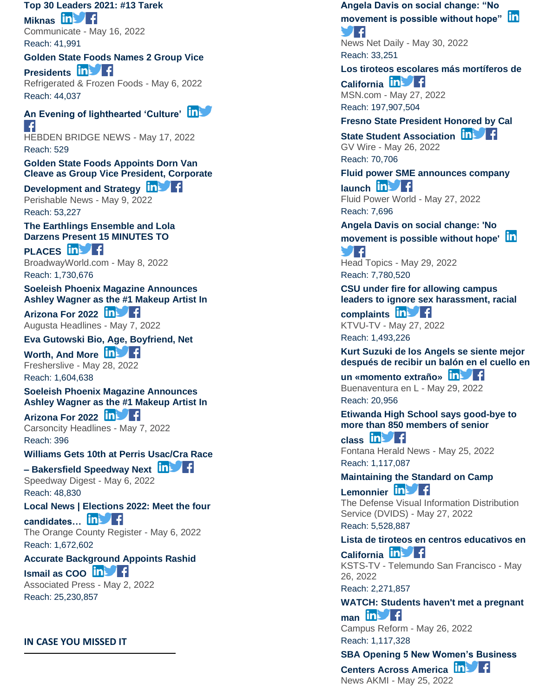**[Top 30 Leaders 2021: #13 Tarek](https://app.meltwater.com/mwTransition/?url=https%3A%2F%2Fwww.communicateonline.me%2Fcategory%2Findustry-insights%2Fpost-details%2Ftop-30-leaders-2021-13-tarek-miknas&uId=6271566e53a1b00009e1e669&cId=5542641db933d37e9596dc54&dId=eAy6f2-4xz_QBzr6ls1DckgzQ1c&contextId=6279a0b05020fd00146f1637&op=open&sentiment=N&isHosted=false&publishTime=1652746268226&id=&name=&type=&transitionToken=eyJ0eXAiOiJKV1QiLCJhbGciOiJIUzUxMiJ9.eyJob3N0bmFtZSI6Ind3dy5jb21tdW5pY2F0ZW9ubGluZS5tZSJ9.QXtiemlLeR9--uYf0XPR4UbUdFJo3ViPvdhcHyYeB_l-6L1SZB3wpn6PUzV4WTazBk1EWGi1T1h7OFPyuqWtVA&s=mail-newsletter)** 

**[Miknas](https://app.meltwater.com/mwTransition/?url=https%3A%2F%2Fwww.communicateonline.me%2Fcategory%2Findustry-insights%2Fpost-details%2Ftop-30-leaders-2021-13-tarek-miknas&uId=6271566e53a1b00009e1e669&cId=5542641db933d37e9596dc54&dId=eAy6f2-4xz_QBzr6ls1DckgzQ1c&contextId=6279a0b05020fd00146f1637&op=open&sentiment=N&isHosted=false&publishTime=1652746268226&id=&name=&type=&transitionToken=eyJ0eXAiOiJKV1QiLCJhbGciOiJIUzUxMiJ9.eyJob3N0bmFtZSI6Ind3dy5jb21tdW5pY2F0ZW9ubGluZS5tZSJ9.QXtiemlLeR9--uYf0XPR4UbUdFJo3ViPvdhcHyYeB_l-6L1SZB3wpn6PUzV4WTazBk1EWGi1T1h7OFPyuqWtVA&s=mail-newsletter) In the Figure 1** Communicate - May 16, 2022 Reach: 41,991

#### **[Golden State Foods Names 2 Group Vice](https://app.meltwater.com/mwTransition/?url=https%3A%2F%2Fwww.refrigeratedfrozenfood.com%2Farticles%2F101216-golden-state-foods-names-2-group-vice-presidents&uId=6271566e53a1b00009e1e669&cId=5542641db933d37e9596dc54&dId=iTbhbBFWuRoVTI1l_yv52u2ak9s&contextId=6279a0b05020fd00146f1637&op=open&sentiment=P&isHosted=false&publishTime=1651835447610&id=&name=&type=&transitionToken=eyJ0eXAiOiJKV1QiLCJhbGciOiJIUzUxMiJ9.eyJob3N0bmFtZSI6Ind3dy5yZWZyaWdlcmF0ZWRmcm96ZW5mb29kLmNvbSJ9.kl9OW2aqu-fXlQuR_5l6VzkVXNv9f_NGURvQhLs3ZJ7O0eDnVKi3DWAqz2bZD0DIov2ZGMQpNbCYIv-I4Evn2w&s=mail-newsletter)**  [Presidents](https://app.meltwater.com/mwTransition/?url=https%3A%2F%2Fwww.refrigeratedfrozenfood.com%2Farticles%2F101216-golden-state-foods-names-2-group-vice-presidents&uId=6271566e53a1b00009e1e669&cId=5542641db933d37e9596dc54&dId=iTbhbBFWuRoVTI1l_yv52u2ak9s&contextId=6279a0b05020fd00146f1637&op=open&sentiment=P&isHosted=false&publishTime=1651835447610&id=&name=&type=&transitionToken=eyJ0eXAiOiJKV1QiLCJhbGciOiJIUzUxMiJ9.eyJob3N0bmFtZSI6Ind3dy5yZWZyaWdlcmF0ZWRmcm96ZW5mb29kLmNvbSJ9.kl9OW2aqu-fXlQuR_5l6VzkVXNv9f_NGURvQhLs3ZJ7O0eDnVKi3DWAqz2bZD0DIov2ZGMQpNbCYIv-I4Evn2w&s=mail-newsletter) **in Fig.**

Refrigerated & Frozen Foods - May 6, 2022 Reach: 44,037

# **[An Evening of lighthearted 'Culture'](https://app.meltwater.com/mwTransition/?url=https%3A%2F%2Fhebdenbridgenews.com%2Fan-evening-of-lighthearted-culture%2F&uId=6271566e53a1b00009e1e669&cId=5542641db933d37e9596dc54&dId=wy8iinEryjqcFC4whrXHFPuYYTM&contextId=6279a0b05020fd00146f1637&op=open&sentiment=N&isHosted=false&publishTime=1652852889000&id=&name=&type=&transitionToken=eyJ0eXAiOiJKV1QiLCJhbGciOiJIUzUxMiJ9.eyJob3N0bmFtZSI6ImhlYmRlbmJyaWRnZW5ld3MuY29tIn0.rEh0tBLP8nqFJkiTRIFPIDc2TJsR007u2D8B1U9ebLAWy5uSaPls_CMMtWJDflAy2sjDoHX97imrkiagEk5VjA&s=mail-newsletter)**  $\left| \cdot \right|$

HEBDEN BRIDGE NEWS - May 17, 2022 Reach: 529

**[Golden State Foods Appoints Dorn Van](https://app.meltwater.com/mwTransition/?url=https%3A%2F%2Fwww.perishablenews.com%2Fretailfoodservice%2Fgolden-state-foods-appoints-dorn-van-cleave-as-group-vice-president-corporate-development-and-strategy%2F&uId=6271566e53a1b00009e1e669&cId=5542641db933d37e9596dc54&dId=C-TmNmIa-PResdpMe0hzt9NQ-RM&contextId=6279a0b05020fd00146f1637&op=open&sentiment=P&isHosted=false&publishTime=1652120742000&id=&name=&type=&transitionToken=eyJ0eXAiOiJKV1QiLCJhbGciOiJIUzUxMiJ9.eyJob3N0bmFtZSI6Ind3dy5wZXJpc2hhYmxlbmV3cy5jb20ifQ.MIRKAuW6ipExeAd6MceN9430OpkMzcyOTitPTOtqUczUz2B2ml86xgT_kctjRM94Ycu8bpKYE3cZbNWp9DNalA&s=mail-newsletter)  [Cleave as Group Vice President, Corporate](https://app.meltwater.com/mwTransition/?url=https%3A%2F%2Fwww.perishablenews.com%2Fretailfoodservice%2Fgolden-state-foods-appoints-dorn-van-cleave-as-group-vice-president-corporate-development-and-strategy%2F&uId=6271566e53a1b00009e1e669&cId=5542641db933d37e9596dc54&dId=C-TmNmIa-PResdpMe0hzt9NQ-RM&contextId=6279a0b05020fd00146f1637&op=open&sentiment=P&isHosted=false&publishTime=1652120742000&id=&name=&type=&transitionToken=eyJ0eXAiOiJKV1QiLCJhbGciOiJIUzUxMiJ9.eyJob3N0bmFtZSI6Ind3dy5wZXJpc2hhYmxlbmV3cy5jb20ifQ.MIRKAuW6ipExeAd6MceN9430OpkMzcyOTitPTOtqUczUz2B2ml86xgT_kctjRM94Ycu8bpKYE3cZbNWp9DNalA&s=mail-newsletter)** 

**[Development and Strategy](https://app.meltwater.com/mwTransition/?url=https%3A%2F%2Fwww.perishablenews.com%2Fretailfoodservice%2Fgolden-state-foods-appoints-dorn-van-cleave-as-group-vice-president-corporate-development-and-strategy%2F&uId=6271566e53a1b00009e1e669&cId=5542641db933d37e9596dc54&dId=C-TmNmIa-PResdpMe0hzt9NQ-RM&contextId=6279a0b05020fd00146f1637&op=open&sentiment=P&isHosted=false&publishTime=1652120742000&id=&name=&type=&transitionToken=eyJ0eXAiOiJKV1QiLCJhbGciOiJIUzUxMiJ9.eyJob3N0bmFtZSI6Ind3dy5wZXJpc2hhYmxlbmV3cy5jb20ifQ.MIRKAuW6ipExeAd6MceN9430OpkMzcyOTitPTOtqUczUz2B2ml86xgT_kctjRM94Ycu8bpKYE3cZbNWp9DNalA&s=mail-newsletter) in Fig.** Perishable News - May 9, 2022

Reach: 53,227

**[The Earthlings Ensemble and Lola](https://app.meltwater.com/mwTransition/?url=https%3A%2F%2Fwww.broadwayworld.com%2Flos-angeles%2Farticle%2FThe-Earthlings-Ensemble-and-Lola-Darzens-Present-15-MINUTES-TO-PLACES-20220509&uId=6271566e53a1b00009e1e669&cId=5542641db933d37e9596dc54&dId=j0UYmb0WCvrAtBEMe6u9h7d_KSU&contextId=6279a0b05020fd00146f1637&op=open&sentiment=N&isHosted=false&publishTime=1652076300000&id=&name=&type=&transitionToken=eyJ0eXAiOiJKV1QiLCJhbGciOiJIUzUxMiJ9.eyJob3N0bmFtZSI6Ind3dy5icm9hZHdheXdvcmxkLmNvbSJ9.tbPfXy3sRlWaJHZa1i5iIU_hv1m5Dzn0ydcqjc8Gkq__RnSdowNjZirLAE557aDuudkOdzCNX7G4UJauW6sBnA&s=mail-newsletter)  [Darzens Present 15 MINUTES TO](https://app.meltwater.com/mwTransition/?url=https%3A%2F%2Fwww.broadwayworld.com%2Flos-angeles%2Farticle%2FThe-Earthlings-Ensemble-and-Lola-Darzens-Present-15-MINUTES-TO-PLACES-20220509&uId=6271566e53a1b00009e1e669&cId=5542641db933d37e9596dc54&dId=j0UYmb0WCvrAtBEMe6u9h7d_KSU&contextId=6279a0b05020fd00146f1637&op=open&sentiment=N&isHosted=false&publishTime=1652076300000&id=&name=&type=&transitionToken=eyJ0eXAiOiJKV1QiLCJhbGciOiJIUzUxMiJ9.eyJob3N0bmFtZSI6Ind3dy5icm9hZHdheXdvcmxkLmNvbSJ9.tbPfXy3sRlWaJHZa1i5iIU_hv1m5Dzn0ydcqjc8Gkq__RnSdowNjZirLAE557aDuudkOdzCNX7G4UJauW6sBnA&s=mail-newsletter)** 

**[PLACES](https://app.meltwater.com/mwTransition/?url=https%3A%2F%2Fwww.broadwayworld.com%2Flos-angeles%2Farticle%2FThe-Earthlings-Ensemble-and-Lola-Darzens-Present-15-MINUTES-TO-PLACES-20220509&uId=6271566e53a1b00009e1e669&cId=5542641db933d37e9596dc54&dId=j0UYmb0WCvrAtBEMe6u9h7d_KSU&contextId=6279a0b05020fd00146f1637&op=open&sentiment=N&isHosted=false&publishTime=1652076300000&id=&name=&type=&transitionToken=eyJ0eXAiOiJKV1QiLCJhbGciOiJIUzUxMiJ9.eyJob3N0bmFtZSI6Ind3dy5icm9hZHdheXdvcmxkLmNvbSJ9.tbPfXy3sRlWaJHZa1i5iIU_hv1m5Dzn0ydcqjc8Gkq__RnSdowNjZirLAE557aDuudkOdzCNX7G4UJauW6sBnA&s=mail-newsletter)** In F BroadwayWorld.com - May 8, 2022 Reach: 1,730,676

#### **[Soeleish Phoenix Magazine Announces](https://app.meltwater.com/mwTransition/?url=http%3A%2F%2Fnews.augustaheadlines.com%2Fstory%2F361438%2Fsoeleish-phoenix-magazine-announces-ashley-wagner-as-the-1-makeup-artist-in-arizona-for-2022.html&uId=6271566e53a1b00009e1e669&cId=5542641db933d37e9596dc54&dId=YqbskiLxtBKe-vtA6BVZ4G_LQnY&contextId=6279a0b05020fd00146f1637&op=open&sentiment=N&isHosted=false&publishTime=1651922004312&id=&name=&type=&transitionToken=eyJ0eXAiOiJKV1QiLCJhbGciOiJIUzUxMiJ9.eyJob3N0bmFtZSI6Im5ld3MuYXVndXN0YWhlYWRsaW5lcy5jb20ifQ.woBaIpJ4C4db7SwZPXMWEM7DkgS13Ayz71FWSRYIi5h2fBE70A_ggUJh438OWuvY33VDqsarEzThpmBockDBmA&s=mail-newsletter)  [Ashley Wagner as the #1 Makeup Artist In](https://app.meltwater.com/mwTransition/?url=http%3A%2F%2Fnews.augustaheadlines.com%2Fstory%2F361438%2Fsoeleish-phoenix-magazine-announces-ashley-wagner-as-the-1-makeup-artist-in-arizona-for-2022.html&uId=6271566e53a1b00009e1e669&cId=5542641db933d37e9596dc54&dId=YqbskiLxtBKe-vtA6BVZ4G_LQnY&contextId=6279a0b05020fd00146f1637&op=open&sentiment=N&isHosted=false&publishTime=1651922004312&id=&name=&type=&transitionToken=eyJ0eXAiOiJKV1QiLCJhbGciOiJIUzUxMiJ9.eyJob3N0bmFtZSI6Im5ld3MuYXVndXN0YWhlYWRsaW5lcy5jb20ifQ.woBaIpJ4C4db7SwZPXMWEM7DkgS13Ayz71FWSRYIi5h2fBE70A_ggUJh438OWuvY33VDqsarEzThpmBockDBmA&s=mail-newsletter)**

**[Arizona For 2022](https://app.meltwater.com/mwTransition/?url=http%3A%2F%2Fnews.augustaheadlines.com%2Fstory%2F361438%2Fsoeleish-phoenix-magazine-announces-ashley-wagner-as-the-1-makeup-artist-in-arizona-for-2022.html&uId=6271566e53a1b00009e1e669&cId=5542641db933d37e9596dc54&dId=YqbskiLxtBKe-vtA6BVZ4G_LQnY&contextId=6279a0b05020fd00146f1637&op=open&sentiment=N&isHosted=false&publishTime=1651922004312&id=&name=&type=&transitionToken=eyJ0eXAiOiJKV1QiLCJhbGciOiJIUzUxMiJ9.eyJob3N0bmFtZSI6Im5ld3MuYXVndXN0YWhlYWRsaW5lcy5jb20ifQ.woBaIpJ4C4db7SwZPXMWEM7DkgS13Ayz71FWSRYIi5h2fBE70A_ggUJh438OWuvY33VDqsarEzThpmBockDBmA&s=mail-newsletter)** Augusta Headlines - May 7, 2022

**[Eva Gutowski Bio, Age, Boyfriend, Net](https://app.meltwater.com/mwTransition/?url=https%3A%2F%2Flatestnews.fresherslive.com%2Farticles%2Feva-gutowski-bio-age-boyfriend-networth-and-more-462209&uId=6271566e53a1b00009e1e669&cId=5542641db933d37e9596dc54&dId=BRv7t131om2haAAjhALaFzgvnZU&contextId=6279a0b05020fd00146f1637&op=open&sentiment=N&isHosted=false&publishTime=1653741395983&id=&name=&type=&transitionToken=eyJ0eXAiOiJKV1QiLCJhbGciOiJIUzUxMiJ9.eyJob3N0bmFtZSI6ImxhdGVzdG5ld3MuZnJlc2hlcnNsaXZlLmNvbSJ9.G_xVjmmslPTWon2x4xgnBNN46lwTda5mV65mcMLQvqh0772HcIIY2fFwrS9YTWbcm9de-5uhuBeSgOClG-tWGg&s=mail-newsletter)** 

[Worth, And More](https://app.meltwater.com/mwTransition/?url=https%3A%2F%2Flatestnews.fresherslive.com%2Farticles%2Feva-gutowski-bio-age-boyfriend-networth-and-more-462209&uId=6271566e53a1b00009e1e669&cId=5542641db933d37e9596dc54&dId=BRv7t131om2haAAjhALaFzgvnZU&contextId=6279a0b05020fd00146f1637&op=open&sentiment=N&isHosted=false&publishTime=1653741395983&id=&name=&type=&transitionToken=eyJ0eXAiOiJKV1QiLCJhbGciOiJIUzUxMiJ9.eyJob3N0bmFtZSI6ImxhdGVzdG5ld3MuZnJlc2hlcnNsaXZlLmNvbSJ9.G_xVjmmslPTWon2x4xgnBNN46lwTda5mV65mcMLQvqh0772HcIIY2fFwrS9YTWbcm9de-5uhuBeSgOClG-tWGg&s=mail-newsletter) **In Strate** Fresherslive - May 28, 2022

Reach: 1,604,638

**[Soeleish Phoenix Magazine Announces](https://app.meltwater.com/mwTransition/?url=http%3A%2F%2Fnews.carsoncityheadlines.com%2Fstory%2F372569%2Fsoeleish-phoenix-magazine-announces-ashley-wagner-as-the-1-makeup-artist-in-arizona-for-2022.html&uId=6271566e53a1b00009e1e669&cId=5542641db933d37e9596dc54&dId=uOnFuXWtuyrONl1K1R6rIuko48o&contextId=6279a0b05020fd00146f1637&op=open&sentiment=N&isHosted=false&publishTime=1651919037786&id=&name=&type=&transitionToken=eyJ0eXAiOiJKV1QiLCJhbGciOiJIUzUxMiJ9.eyJob3N0bmFtZSI6Im5ld3MuY2Fyc29uY2l0eWhlYWRsaW5lcy5jb20ifQ.vXXvTDOHSrSwiAUjOpX3oSI1ij4qSZMk1Ov54stGe9pfTYD99iy1FFmDCaw93o0iTMc9knqR766pZWEHRSluDQ&s=mail-newsletter)  [Ashley Wagner as the #1 Makeup Artist In](https://app.meltwater.com/mwTransition/?url=http%3A%2F%2Fnews.carsoncityheadlines.com%2Fstory%2F372569%2Fsoeleish-phoenix-magazine-announces-ashley-wagner-as-the-1-makeup-artist-in-arizona-for-2022.html&uId=6271566e53a1b00009e1e669&cId=5542641db933d37e9596dc54&dId=uOnFuXWtuyrONl1K1R6rIuko48o&contextId=6279a0b05020fd00146f1637&op=open&sentiment=N&isHosted=false&publishTime=1651919037786&id=&name=&type=&transitionToken=eyJ0eXAiOiJKV1QiLCJhbGciOiJIUzUxMiJ9.eyJob3N0bmFtZSI6Im5ld3MuY2Fyc29uY2l0eWhlYWRsaW5lcy5jb20ifQ.vXXvTDOHSrSwiAUjOpX3oSI1ij4qSZMk1Ov54stGe9pfTYD99iy1FFmDCaw93o0iTMc9knqR766pZWEHRSluDQ&s=mail-newsletter)** 

**[Arizona For 2022](https://app.meltwater.com/mwTransition/?url=http%3A%2F%2Fnews.carsoncityheadlines.com%2Fstory%2F372569%2Fsoeleish-phoenix-magazine-announces-ashley-wagner-as-the-1-makeup-artist-in-arizona-for-2022.html&uId=6271566e53a1b00009e1e669&cId=5542641db933d37e9596dc54&dId=uOnFuXWtuyrONl1K1R6rIuko48o&contextId=6279a0b05020fd00146f1637&op=open&sentiment=N&isHosted=false&publishTime=1651919037786&id=&name=&type=&transitionToken=eyJ0eXAiOiJKV1QiLCJhbGciOiJIUzUxMiJ9.eyJob3N0bmFtZSI6Im5ld3MuY2Fyc29uY2l0eWhlYWRsaW5lcy5jb20ifQ.vXXvTDOHSrSwiAUjOpX3oSI1ij4qSZMk1Ov54stGe9pfTYD99iy1FFmDCaw93o0iTMc9knqR766pZWEHRSluDQ&s=mail-newsletter)** Carsoncity Headlines - May 7, 2022 Reach: 396

**[Williams Gets 10th at Perris Usac/Cra Race –](https://app.meltwater.com/mwTransition/?url=https%3A%2F%2Fwww.speedwaydigest.com%2Findex.php%2Fnews%2Fracing-news%2F69327-williams-gets-10th-at-perris-usac-cra-race-bakersfield-speedway-next&uId=6271566e53a1b00009e1e669&cId=5542641db933d37e9596dc54&dId=HB4Vz3YQxiREUOJ4fXbkav7omkY&contextId=6279a0b05020fd00146f1637&op=open&sentiment=N&isHosted=false&publishTime=1651877878067&id=&name=&type=&transitionToken=eyJ0eXAiOiJKV1QiLCJhbGciOiJIUzUxMiJ9.eyJob3N0bmFtZSI6Ind3dy5zcGVlZHdheWRpZ2VzdC5jb20ifQ.BIDOdKX--5-MYRkCSgiveCl8a_EfNzvAfoWvm4UTvCOL9W_aF_etgRiZVk-1ruA7PQsk0xngsOiElCQKNB3Y5g&s=mail-newsletter) Bakersfield Speedway Next**

Speedway Digest - May 6, 2022 Reach: 48,830

**[Local News | Elections 2022: Meet the four](https://app.meltwater.com/mwTransition/?url=https%3A%2F%2Fwww.ocregister.com%2F2022%2F05%2F06%2Felections-2022-meet-the-four-candidates-running-for-the-68th-assembly-district%2F&uId=6271566e53a1b00009e1e669&cId=5542641db933d37e9596dc54&dId=tpjSzsASEMEXrxCRCT60b_o50jI&contextId=6279a0b05020fd00146f1637&op=open&sentiment=N&isHosted=false&publishTime=1651852798000&id=&name=&type=&transitionToken=eyJ0eXAiOiJKV1QiLCJhbGciOiJIUzUxMiJ9.eyJob3N0bmFtZSI6Ind3dy5vY3JlZ2lzdGVyLmNvbSJ9.y_7oUPeo-od2rN21pgqRNiBnDNqzhgKcSu2o9V6JTUrEHivAY1lg6kijTp_ZXee0fM7D3yIO_doLiJfE-DH-og&s=mail-newsletter)** 

**[candidates…](https://app.meltwater.com/mwTransition/?url=https%3A%2F%2Fwww.ocregister.com%2F2022%2F05%2F06%2Felections-2022-meet-the-four-candidates-running-for-the-68th-assembly-district%2F&uId=6271566e53a1b00009e1e669&cId=5542641db933d37e9596dc54&dId=tpjSzsASEMEXrxCRCT60b_o50jI&contextId=6279a0b05020fd00146f1637&op=open&sentiment=N&isHosted=false&publishTime=1651852798000&id=&name=&type=&transitionToken=eyJ0eXAiOiJKV1QiLCJhbGciOiJIUzUxMiJ9.eyJob3N0bmFtZSI6Ind3dy5vY3JlZ2lzdGVyLmNvbSJ9.y_7oUPeo-od2rN21pgqRNiBnDNqzhgKcSu2o9V6JTUrEHivAY1lg6kijTp_ZXee0fM7D3yIO_doLiJfE-DH-og&s=mail-newsletter)** The Orange County Register - May 6, 2022 Reach: 1,672,602

### **[Accurate Background Appoints Rashid](https://app.meltwater.com/mwTransition/?url=https%3A%2F%2Fapnews.com%2Fpress-release%2Fbusiness-wire%2Fbusiness-10c1073f2dc3478c96f60ffee0ffc958&uId=6271566e53a1b00009e1e669&cId=5542641db933d37e9596dc54&dId=hxv4-wnwfOlnXrNvew-tEY1rU9Y&contextId=6279a0b05020fd00146f1637&op=open&sentiment=P&isHosted=false&publishTime=1651503778000&id=&name=&type=&transitionToken=eyJ0eXAiOiJKV1QiLCJhbGciOiJIUzUxMiJ9.eyJob3N0bmFtZSI6ImFwbmV3cy5jb20ifQ.qs45VTBNFdY4C97ep9-UU4igfRI4qgfeqxSdFNl9jV3q-TzQBjRHSo9i8liXrPM1EXdwLILKWhPcdTEUO4Xj7w&s=mail-newsletter)**

**[Ismail as COO](https://app.meltwater.com/mwTransition/?url=https%3A%2F%2Fapnews.com%2Fpress-release%2Fbusiness-wire%2Fbusiness-10c1073f2dc3478c96f60ffee0ffc958&uId=6271566e53a1b00009e1e669&cId=5542641db933d37e9596dc54&dId=hxv4-wnwfOlnXrNvew-tEY1rU9Y&contextId=6279a0b05020fd00146f1637&op=open&sentiment=P&isHosted=false&publishTime=1651503778000&id=&name=&type=&transitionToken=eyJ0eXAiOiJKV1QiLCJhbGciOiJIUzUxMiJ9.eyJob3N0bmFtZSI6ImFwbmV3cy5jb20ifQ.qs45VTBNFdY4C97ep9-UU4igfRI4qgfeqxSdFNl9jV3q-TzQBjRHSo9i8liXrPM1EXdwLILKWhPcdTEUO4Xj7w&s=mail-newsletter)** Associated Press - May 2, 2022 Reach: 25,230,857

### **IN CASE YOU MISSED IT**

**[Angela Davis on social change: "No](https://app.meltwater.com/mwTransition/?url=https%3A%2F%2Fnewsnetdaily.com%2Fangela-davis-on-social-change-no-movement-is-possible-without-hope%2F&uId=6271566e53a1b00009e1e669&cId=5542641db933d37e9596dc54&dId=fyEVVVM1VLPLsoZYuyT_oa6ooRo&contextId=6279a0b05020fd00146f1637&op=open&sentiment=V&isHosted=false&publishTime=1653922949000&id=&name=&type=&transitionToken=eyJ0eXAiOiJKV1QiLCJhbGciOiJIUzUxMiJ9.eyJob3N0bmFtZSI6Im5ld3NuZXRkYWlseS5jb20ifQ.RKrruheuqAyNAz_GQI7_pd0f1MVARbNfgI1cmybaofTHkC6wzmcft0UuppytVurvlAOyPQ0blLo-uBM-QtMpJw&s=mail-newsletter)  [movement is possible without hope"](https://app.meltwater.com/mwTransition/?url=https%3A%2F%2Fnewsnetdaily.com%2Fangela-davis-on-social-change-no-movement-is-possible-without-hope%2F&uId=6271566e53a1b00009e1e669&cId=5542641db933d37e9596dc54&dId=fyEVVVM1VLPLsoZYuyT_oa6ooRo&contextId=6279a0b05020fd00146f1637&op=open&sentiment=V&isHosted=false&publishTime=1653922949000&id=&name=&type=&transitionToken=eyJ0eXAiOiJKV1QiLCJhbGciOiJIUzUxMiJ9.eyJob3N0bmFtZSI6Im5ld3NuZXRkYWlseS5jb20ifQ.RKrruheuqAyNAz_GQI7_pd0f1MVARbNfgI1cmybaofTHkC6wzmcft0UuppytVurvlAOyPQ0blLo-uBM-QtMpJw&s=mail-newsletter)** 8 I F

News Net Daily - May 30, 2022 Reach: 33,251

**[Los tiroteos escolares más mortíferos de](https://app.meltwater.com/mwTransition/?url=https%3A%2F%2Fwww.msn.com%2Fes-us%2Fnoticias%2FLos%2520Angeles%2Flos-tiroteos-escolares-m%25c3%25a1s-mort%25c3%25adferos-de-california%2Far-AAXM1J2&uId=6271566e53a1b00009e1e669&cId=5542641db933d37e9596dc54&dId=quaOXNKCn-0CTWpmYmv600P6Jkc&contextId=6279a0b05020fd00146f1637&op=open&sentiment=V&isHosted=false&publishTime=1653653915000&id=&name=&type=&transitionToken=eyJ0eXAiOiJKV1QiLCJhbGciOiJIUzUxMiJ9.eyJob3N0bmFtZSI6Ind3dy5tc24uY29tIn0.3Kj0ULZw1ywAT9o1TS2kGZvqxVdgapN6EI7hN5kxtzdxW71QRhlSPSVd7G-4dDh2ibsjAGDTVu0cRQGM06vDtg&s=mail-newsletter)** 

**[California](https://app.meltwater.com/mwTransition/?url=https%3A%2F%2Fwww.msn.com%2Fes-us%2Fnoticias%2FLos%2520Angeles%2Flos-tiroteos-escolares-m%25c3%25a1s-mort%25c3%25adferos-de-california%2Far-AAXM1J2&uId=6271566e53a1b00009e1e669&cId=5542641db933d37e9596dc54&dId=quaOXNKCn-0CTWpmYmv600P6Jkc&contextId=6279a0b05020fd00146f1637&op=open&sentiment=V&isHosted=false&publishTime=1653653915000&id=&name=&type=&transitionToken=eyJ0eXAiOiJKV1QiLCJhbGciOiJIUzUxMiJ9.eyJob3N0bmFtZSI6Ind3dy5tc24uY29tIn0.3Kj0ULZw1ywAT9o1TS2kGZvqxVdgapN6EI7hN5kxtzdxW71QRhlSPSVd7G-4dDh2ibsjAGDTVu0cRQGM06vDtg&s=mail-newsletter) In Fig.** MSN.com - May 27, 2022 Reach: 197,907,504

**[Fresno State President Honored by Cal](https://app.meltwater.com/mwTransition/?url=https%3A%2F%2Fgvwire.com%2F2022%2F05%2F26%2Ffresno-state-president-honored-by-cal-state-student-association%2F&uId=6271566e53a1b00009e1e669&cId=5542641db933d37e9596dc54&dId=D9EE8scsy8LTW7eyw8aklQmo2RI&contextId=6279a0b05020fd00146f1637&op=open&sentiment=P&isHosted=false&publishTime=1653583879000&id=&name=&type=&transitionToken=eyJ0eXAiOiJKV1QiLCJhbGciOiJIUzUxMiJ9.eyJob3N0bmFtZSI6Imd2d2lyZS5jb20ifQ.HDH1aAjtz7NmI0qkWKmcdnJcGBOAuBPCubsDZ9B2uLi5rwT4PRfKidMokaTXuO0l3GHUUnhNBg2e0r7Ox5OmAA&s=mail-newsletter)** 

**[State Student Association](https://app.meltwater.com/mwTransition/?url=https%3A%2F%2Fgvwire.com%2F2022%2F05%2F26%2Ffresno-state-president-honored-by-cal-state-student-association%2F&uId=6271566e53a1b00009e1e669&cId=5542641db933d37e9596dc54&dId=D9EE8scsy8LTW7eyw8aklQmo2RI&contextId=6279a0b05020fd00146f1637&op=open&sentiment=P&isHosted=false&publishTime=1653583879000&id=&name=&type=&transitionToken=eyJ0eXAiOiJKV1QiLCJhbGciOiJIUzUxMiJ9.eyJob3N0bmFtZSI6Imd2d2lyZS5jb20ifQ.HDH1aAjtz7NmI0qkWKmcdnJcGBOAuBPCubsDZ9B2uLi5rwT4PRfKidMokaTXuO0l3GHUUnhNBg2e0r7Ox5OmAA&s=mail-newsletter) in Set 1** GV Wire - May 26, 2022 Reach: 70,706

**[Fluid power SME announces company](https://app.meltwater.com/mwTransition/?url=https%3A%2F%2Fwww.fluidpowerworld.com%2Ffluid-power-sme-announces-company-launch%2F&uId=6271566e53a1b00009e1e669&cId=5542641db933d37e9596dc54&dId=DTrmEy46EiOYHXCA64BS9Txkv7Y&contextId=6279a0b05020fd00146f1637&op=open&sentiment=N&isHosted=false&publishTime=1653655442000&id=&name=&type=&transitionToken=eyJ0eXAiOiJKV1QiLCJhbGciOiJIUzUxMiJ9.eyJob3N0bmFtZSI6Ind3dy5mbHVpZHBvd2Vyd29ybGQuY29tIn0.jS_uAzQHWqan9buwOVVSNsCsw0OKDp3Sku3srRbpQnhpmZNY3cmPpokUQwTn-rP7w_DoSZwUgS0PRlX4U9MBcg&s=mail-newsletter)**  [launch](https://app.meltwater.com/mwTransition/?url=https%3A%2F%2Fwww.fluidpowerworld.com%2Ffluid-power-sme-announces-company-launch%2F&uId=6271566e53a1b00009e1e669&cId=5542641db933d37e9596dc54&dId=DTrmEy46EiOYHXCA64BS9Txkv7Y&contextId=6279a0b05020fd00146f1637&op=open&sentiment=N&isHosted=false&publishTime=1653655442000&id=&name=&type=&transitionToken=eyJ0eXAiOiJKV1QiLCJhbGciOiJIUzUxMiJ9.eyJob3N0bmFtZSI6Ind3dy5mbHVpZHBvd2Vyd29ybGQuY29tIn0.jS_uAzQHWqan9buwOVVSNsCsw0OKDp3Sku3srRbpQnhpmZNY3cmPpokUQwTn-rP7w_DoSZwUgS0PRlX4U9MBcg&s=mail-newsletter) **in 14** 

Fluid Power World - May 27, 2022 Reach: 7,696

**[Angela Davis on social change: 'No](https://app.meltwater.com/mwTransition/?url=https%3A%2F%2Fheadtopics.com%2Fus%2Fangela-davis-on-social-change-no-movement-is-possible-without-hope-26856572&uId=6271566e53a1b00009e1e669&cId=5542641db933d37e9596dc54&dId=aoW3TH_2L_pnnn6Gx4QYhaIBGFg&contextId=6279a0b05020fd00146f1637&op=open&sentiment=V&isHosted=false&publishTime=1653877800000&id=&name=&type=&transitionToken=eyJ0eXAiOiJKV1QiLCJhbGciOiJIUzUxMiJ9.eyJob3N0bmFtZSI6ImhlYWR0b3BpY3MuY29tIn0.-NBSpmRRo0soEI3yi0Nt-ZEb9FNVCnPZp_0C0epPWkIwKZ06Hfg_ni98D2UyrLEuHwoifKbfMl9dcI_P6Wpy_g&s=mail-newsletter)  [movement is possible without hope'](https://app.meltwater.com/mwTransition/?url=https%3A%2F%2Fheadtopics.com%2Fus%2Fangela-davis-on-social-change-no-movement-is-possible-without-hope-26856572&uId=6271566e53a1b00009e1e669&cId=5542641db933d37e9596dc54&dId=aoW3TH_2L_pnnn6Gx4QYhaIBGFg&contextId=6279a0b05020fd00146f1637&op=open&sentiment=V&isHosted=false&publishTime=1653877800000&id=&name=&type=&transitionToken=eyJ0eXAiOiJKV1QiLCJhbGciOiJIUzUxMiJ9.eyJob3N0bmFtZSI6ImhlYWR0b3BpY3MuY29tIn0.-NBSpmRRo0soEI3yi0Nt-ZEb9FNVCnPZp_0C0epPWkIwKZ06Hfg_ni98D2UyrLEuHwoifKbfMl9dcI_P6Wpy_g&s=mail-newsletter)** 94 Head Topics - May 29, 2022

Reach: 7,780,520

**[CSU under fire for allowing campus](https://app.meltwater.com/mwTransition/?url=https%3A%2F%2Fwww.ktvu.com%2Fnews%2Fcsu-under-fire-for-allowing-campus-leaders-to-ignore-sex-harassment-racial-complaints&uId=6271566e53a1b00009e1e669&cId=5542641db933d37e9596dc54&dId=RJ7YvoxtTQawaPTKszkabWiHBGE&contextId=6279a0b05020fd00146f1637&op=open&sentiment=V&isHosted=false&publishTime=1653664372981&id=&name=&type=&transitionToken=eyJ0eXAiOiJKV1QiLCJhbGciOiJIUzUxMiJ9.eyJob3N0bmFtZSI6Ind3dy5rdHZ1LmNvbSJ9.tFJpS-c4O711XVItvZWGdLBRdpyqHVY6yhI8wySUG-Tf9IPvtcGYsPaiAKWa0U7SgsgMz4_agfRzCD0tj9kmGQ&s=mail-newsletter)  [leaders to ignore sex harassment, racial](https://app.meltwater.com/mwTransition/?url=https%3A%2F%2Fwww.ktvu.com%2Fnews%2Fcsu-under-fire-for-allowing-campus-leaders-to-ignore-sex-harassment-racial-complaints&uId=6271566e53a1b00009e1e669&cId=5542641db933d37e9596dc54&dId=RJ7YvoxtTQawaPTKszkabWiHBGE&contextId=6279a0b05020fd00146f1637&op=open&sentiment=V&isHosted=false&publishTime=1653664372981&id=&name=&type=&transitionToken=eyJ0eXAiOiJKV1QiLCJhbGciOiJIUzUxMiJ9.eyJob3N0bmFtZSI6Ind3dy5rdHZ1LmNvbSJ9.tFJpS-c4O711XVItvZWGdLBRdpyqHVY6yhI8wySUG-Tf9IPvtcGYsPaiAKWa0U7SgsgMz4_agfRzCD0tj9kmGQ&s=mail-newsletter)** 

**[complaints](https://app.meltwater.com/mwTransition/?url=https%3A%2F%2Fwww.ktvu.com%2Fnews%2Fcsu-under-fire-for-allowing-campus-leaders-to-ignore-sex-harassment-racial-complaints&uId=6271566e53a1b00009e1e669&cId=5542641db933d37e9596dc54&dId=RJ7YvoxtTQawaPTKszkabWiHBGE&contextId=6279a0b05020fd00146f1637&op=open&sentiment=V&isHosted=false&publishTime=1653664372981&id=&name=&type=&transitionToken=eyJ0eXAiOiJKV1QiLCJhbGciOiJIUzUxMiJ9.eyJob3N0bmFtZSI6Ind3dy5rdHZ1LmNvbSJ9.tFJpS-c4O711XVItvZWGdLBRdpyqHVY6yhI8wySUG-Tf9IPvtcGYsPaiAKWa0U7SgsgMz4_agfRzCD0tj9kmGQ&s=mail-newsletter) in** KTVU -TV - May 27, 2022 Reach: 1,493,226

**[Kurt Suzuki de los Angels se siente mejor](https://app.meltwater.com/mwTransition/?url=https%3A%2F%2Fbuenaventuraenlinea.com%2Fkurt-suzuki-de-los-angels-se-siente-mejor-despues-de-recibir-un-balon-en-el-cuello-en-un-momento-extrano%2F&uId=6271566e53a1b00009e1e669&cId=5542641db933d37e9596dc54&dId=ug0mM0ac-Sqm0qEpsJPgMcQpYZY&contextId=6279a0b05020fd00146f1637&op=open&sentiment=N&isHosted=false&publishTime=1653811979000&id=&name=&type=&transitionToken=eyJ0eXAiOiJKV1QiLCJhbGciOiJIUzUxMiJ9.eyJob3N0bmFtZSI6ImJ1ZW5hdmVudHVyYWVubGluZWEuY29tIn0.ibpY5SlqgwkfQ-k1g1xXMiBuG3PcPOHXF_ngAISr6Vo2w5OGRrQPzF3dnN2zoIA8mFm3mTzfPBGyKwrM2Ry7oA&s=mail-newsletter)  [después de recibir un balón en el cuello en](https://app.meltwater.com/mwTransition/?url=https%3A%2F%2Fbuenaventuraenlinea.com%2Fkurt-suzuki-de-los-angels-se-siente-mejor-despues-de-recibir-un-balon-en-el-cuello-en-un-momento-extrano%2F&uId=6271566e53a1b00009e1e669&cId=5542641db933d37e9596dc54&dId=ug0mM0ac-Sqm0qEpsJPgMcQpYZY&contextId=6279a0b05020fd00146f1637&op=open&sentiment=N&isHosted=false&publishTime=1653811979000&id=&name=&type=&transitionToken=eyJ0eXAiOiJKV1QiLCJhbGciOiJIUzUxMiJ9.eyJob3N0bmFtZSI6ImJ1ZW5hdmVudHVyYWVubGluZWEuY29tIn0.ibpY5SlqgwkfQ-k1g1xXMiBuG3PcPOHXF_ngAISr6Vo2w5OGRrQPzF3dnN2zoIA8mFm3mTzfPBGyKwrM2Ry7oA&s=mail-newsletter)** 

**[un «momento extraño»](https://app.meltwater.com/mwTransition/?url=https%3A%2F%2Fbuenaventuraenlinea.com%2Fkurt-suzuki-de-los-angels-se-siente-mejor-despues-de-recibir-un-balon-en-el-cuello-en-un-momento-extrano%2F&uId=6271566e53a1b00009e1e669&cId=5542641db933d37e9596dc54&dId=ug0mM0ac-Sqm0qEpsJPgMcQpYZY&contextId=6279a0b05020fd00146f1637&op=open&sentiment=N&isHosted=false&publishTime=1653811979000&id=&name=&type=&transitionToken=eyJ0eXAiOiJKV1QiLCJhbGciOiJIUzUxMiJ9.eyJob3N0bmFtZSI6ImJ1ZW5hdmVudHVyYWVubGluZWEuY29tIn0.ibpY5SlqgwkfQ-k1g1xXMiBuG3PcPOHXF_ngAISr6Vo2w5OGRrQPzF3dnN2zoIA8mFm3mTzfPBGyKwrM2Ry7oA&s=mail-newsletter)** Buenaventura en L - May 29, 2022 Reach: 20,956

#### **[Etiwanda High School says good](https://app.meltwater.com/mwTransition/?url=https%3A%2F%2Fwww.fontanaheraldnews.com%2Fnews%2Fetiwanda-high-school-says-good-bye-to-more-than-850-members-of-senior-class%2Farticle_6835526a-dca3-11ec-9a8f-bf67fb3cbcb8.html&uId=6271566e53a1b00009e1e669&cId=5542641db933d37e9596dc54&dId=0SZ8-Y36cTd4BYV9oAap5t6hi18&contextId=6279a0b05020fd00146f1637&op=open&sentiment=P&isHosted=false&publishTime=1653528240000&id=&name=&type=&transitionToken=eyJ0eXAiOiJKV1QiLCJhbGciOiJIUzUxMiJ9.eyJob3N0bmFtZSI6Ind3dy5mb250YW5haGVyYWxkbmV3cy5jb20ifQ.49ceGdB5bYdO-FFEi1IPsStZanmrIXQYJctzLs1UjdTUD1wkYQ3imCzRbfpfcBJBIaG4lck6s_S9brZ5rlAJqw&s=mail-newsletter) -bye to [more than 850 members of senior](https://app.meltwater.com/mwTransition/?url=https%3A%2F%2Fwww.fontanaheraldnews.com%2Fnews%2Fetiwanda-high-school-says-good-bye-to-more-than-850-members-of-senior-class%2Farticle_6835526a-dca3-11ec-9a8f-bf67fb3cbcb8.html&uId=6271566e53a1b00009e1e669&cId=5542641db933d37e9596dc54&dId=0SZ8-Y36cTd4BYV9oAap5t6hi18&contextId=6279a0b05020fd00146f1637&op=open&sentiment=P&isHosted=false&publishTime=1653528240000&id=&name=&type=&transitionToken=eyJ0eXAiOiJKV1QiLCJhbGciOiJIUzUxMiJ9.eyJob3N0bmFtZSI6Ind3dy5mb250YW5haGVyYWxkbmV3cy5jb20ifQ.49ceGdB5bYdO-FFEi1IPsStZanmrIXQYJctzLs1UjdTUD1wkYQ3imCzRbfpfcBJBIaG4lck6s_S9brZ5rlAJqw&s=mail-newsletter)**

**[class](https://app.meltwater.com/mwTransition/?url=https%3A%2F%2Fwww.fontanaheraldnews.com%2Fnews%2Fetiwanda-high-school-says-good-bye-to-more-than-850-members-of-senior-class%2Farticle_6835526a-dca3-11ec-9a8f-bf67fb3cbcb8.html&uId=6271566e53a1b00009e1e669&cId=5542641db933d37e9596dc54&dId=0SZ8-Y36cTd4BYV9oAap5t6hi18&contextId=6279a0b05020fd00146f1637&op=open&sentiment=P&isHosted=false&publishTime=1653528240000&id=&name=&type=&transitionToken=eyJ0eXAiOiJKV1QiLCJhbGciOiJIUzUxMiJ9.eyJob3N0bmFtZSI6Ind3dy5mb250YW5haGVyYWxkbmV3cy5jb20ifQ.49ceGdB5bYdO-FFEi1IPsStZanmrIXQYJctzLs1UjdTUD1wkYQ3imCzRbfpfcBJBIaG4lck6s_S9brZ5rlAJqw&s=mail-newsletter)** Fontana Herald News - May 25, 2022 Reach: 1,117,087

#### **[Maintaining the Standard on Camp](https://app.meltwater.com/mwTransition/?url=https%3A%2F%2Fwww.dvidshub.net%2Fnews%2F421706%2Fmaintaining-standard-camp-lemonnier&uId=6271566e53a1b00009e1e669&cId=5542641db933d37e9596dc54&dId=qmcCmeP84ZFImlwMCmlBJSyQWdI&contextId=6279a0b05020fd00146f1637&op=open&sentiment=N&isHosted=false&publishTime=1653638263383&id=&name=&type=&transitionToken=eyJ0eXAiOiJKV1QiLCJhbGciOiJIUzUxMiJ9.eyJob3N0bmFtZSI6Ind3dy5kdmlkc2h1Yi5uZXQifQ.rNihbe1yCtK0O4tIj5eNoUWoITmwELbDKGhifQnbRjsEUGJfv-ATS0pN7kzYd_NhKHlR3aH22ls8JpC7EeCyDQ&s=mail-newsletter)**

[Lemonnier](https://app.meltwater.com/mwTransition/?url=https%3A%2F%2Fwww.dvidshub.net%2Fnews%2F421706%2Fmaintaining-standard-camp-lemonnier&uId=6271566e53a1b00009e1e669&cId=5542641db933d37e9596dc54&dId=qmcCmeP84ZFImlwMCmlBJSyQWdI&contextId=6279a0b05020fd00146f1637&op=open&sentiment=N&isHosted=false&publishTime=1653638263383&id=&name=&type=&transitionToken=eyJ0eXAiOiJKV1QiLCJhbGciOiJIUzUxMiJ9.eyJob3N0bmFtZSI6Ind3dy5kdmlkc2h1Yi5uZXQifQ.rNihbe1yCtK0O4tIj5eNoUWoITmwELbDKGhifQnbRjsEUGJfv-ATS0pN7kzYd_NhKHlR3aH22ls8JpC7EeCyDQ&s=mail-newsletter) **in Fig.** The Defense Visual Information Distribution Service (DVIDS) - May 27, 2022 Reach: 5,528,887

**[Lista de tiroteos en centros educativos en](https://app.meltwater.com/mwTransition/?url=https%3A%2F%2Fwww.telemundoareadelabahia.com%2Fnoticias%2Fcalifornia%2Flos-tiroteos-escolares-mas-mortiferos-de-california%2F2228028%2F&uId=6271566e53a1b00009e1e669&cId=5542641db933d37e9596dc54&dId=cxWgpwow6b53W7f3SwCBKvsLjms&contextId=6279a0b05020fd00146f1637&op=open&sentiment=V&isHosted=false&publishTime=1653574174000&id=&name=&type=&transitionToken=eyJ0eXAiOiJKV1QiLCJhbGciOiJIUzUxMiJ9.eyJob3N0bmFtZSI6Ind3dy50ZWxlbXVuZG9hcmVhZGVsYWJhaGlhLmNvbSJ9.FtcUVfIFwkOT_hkMp06lX2UfcfhwJNw8FKfBjX7GjxAt7GLEPYSea9fQ7g03c-Rz5wY7m2g18BMGuAkVeUwgNw&s=mail-newsletter)** 

**[California](https://app.meltwater.com/mwTransition/?url=https%3A%2F%2Fwww.telemundoareadelabahia.com%2Fnoticias%2Fcalifornia%2Flos-tiroteos-escolares-mas-mortiferos-de-california%2F2228028%2F&uId=6271566e53a1b00009e1e669&cId=5542641db933d37e9596dc54&dId=cxWgpwow6b53W7f3SwCBKvsLjms&contextId=6279a0b05020fd00146f1637&op=open&sentiment=V&isHosted=false&publishTime=1653574174000&id=&name=&type=&transitionToken=eyJ0eXAiOiJKV1QiLCJhbGciOiJIUzUxMiJ9.eyJob3N0bmFtZSI6Ind3dy50ZWxlbXVuZG9hcmVhZGVsYWJhaGlhLmNvbSJ9.FtcUVfIFwkOT_hkMp06lX2UfcfhwJNw8FKfBjX7GjxAt7GLEPYSea9fQ7g03c-Rz5wY7m2g18BMGuAkVeUwgNw&s=mail-newsletter) in** KSTS -TV - Telemundo San Francisco - May 26, 2022

Reach: 2,271,857

**[WATCH: Students haven't met a pregnant](https://app.meltwater.com/mwTransition/?url=https%3A%2F%2Fwww.campusreform.org%2Farticle%3Fid%3D19626&uId=6271566e53a1b00009e1e669&cId=5542641db933d37e9596dc54&dId=c2sBisiKJ9aqrsM3Xk6_4yCdO-k&contextId=6279a0b05020fd00146f1637&op=open&sentiment=N&isHosted=false&publishTime=1653568203760&id=&name=&type=&transitionToken=eyJ0eXAiOiJKV1QiLCJhbGciOiJIUzUxMiJ9.eyJob3N0bmFtZSI6Ind3dy5jYW1wdXNyZWZvcm0ub3JnIn0.kVPfSAJBjtJPRTnf2KrDfja4NcIK1Mak9R7GXgQw7EpNW0BVNEZ9wfHZovBEnky5u_XivQuLUlM7inOxiCdOXQ&s=mail-newsletter)**  [man](https://app.meltwater.com/mwTransition/?url=https%3A%2F%2Fwww.campusreform.org%2Farticle%3Fid%3D19626&uId=6271566e53a1b00009e1e669&cId=5542641db933d37e9596dc54&dId=c2sBisiKJ9aqrsM3Xk6_4yCdO-k&contextId=6279a0b05020fd00146f1637&op=open&sentiment=N&isHosted=false&publishTime=1653568203760&id=&name=&type=&transitionToken=eyJ0eXAiOiJKV1QiLCJhbGciOiJIUzUxMiJ9.eyJob3N0bmFtZSI6Ind3dy5jYW1wdXNyZWZvcm0ub3JnIn0.kVPfSAJBjtJPRTnf2KrDfja4NcIK1Mak9R7GXgQw7EpNW0BVNEZ9wfHZovBEnky5u_XivQuLUlM7inOxiCdOXQ&s=mail-newsletter) **in Fig.** 

Campus Reform - May 26, 2022 Reach: 1,117,328

**[SBA Opening 5 New Women's Business](https://app.meltwater.com/mwTransition/?url=https%3A%2F%2Fnewsakmi.com%2Fnews%2Fbusiness%2Fentrepreneur%2Fsba-opening-5-new-womens-business-centers-across-america%2F&uId=6271566e53a1b00009e1e669&cId=5542641db933d37e9596dc54&dId=aJ_TY9gAO7OKjWu5rOncGELK2K0&contextId=6279a0b05020fd00146f1637&op=open&sentiment=N&isHosted=false&publishTime=1653514203000&id=&name=&type=&transitionToken=eyJ0eXAiOiJKV1QiLCJhbGciOiJIUzUxMiJ9.eyJob3N0bmFtZSI6Im5ld3Nha21pLmNvbSJ9.6p3HasCrHJw9t25G4_sP7mSUuYqkFZhLzBq2MZvhoQXe3jG0R3WrKwgxRdrcMRQbq2detFd1lHKASVTZ3BmaiA&s=mail-newsletter)** 

**[Centers Across America](https://app.meltwater.com/mwTransition/?url=https%3A%2F%2Fnewsakmi.com%2Fnews%2Fbusiness%2Fentrepreneur%2Fsba-opening-5-new-womens-business-centers-across-america%2F&uId=6271566e53a1b00009e1e669&cId=5542641db933d37e9596dc54&dId=aJ_TY9gAO7OKjWu5rOncGELK2K0&contextId=6279a0b05020fd00146f1637&op=open&sentiment=N&isHosted=false&publishTime=1653514203000&id=&name=&type=&transitionToken=eyJ0eXAiOiJKV1QiLCJhbGciOiJIUzUxMiJ9.eyJob3N0bmFtZSI6Im5ld3Nha21pLmNvbSJ9.6p3HasCrHJw9t25G4_sP7mSUuYqkFZhLzBq2MZvhoQXe3jG0R3WrKwgxRdrcMRQbq2detFd1lHKASVTZ3BmaiA&s=mail-newsletter)** News AKMI - May 25, 2022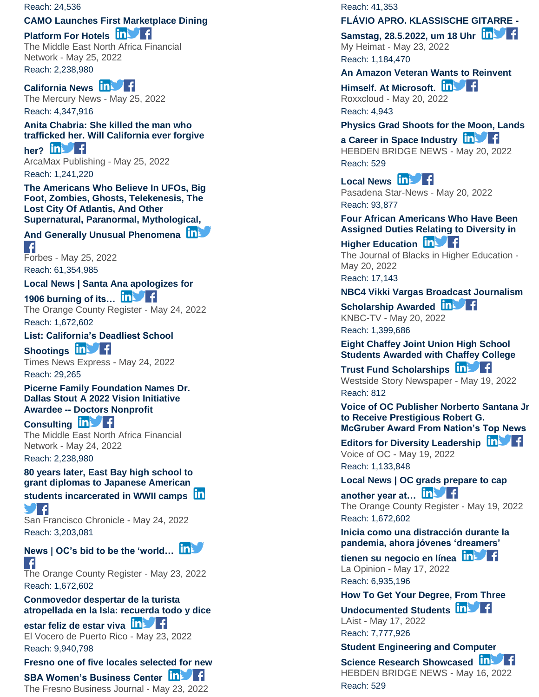#### Reach: 24,536

### **[CAMO Launches First Marketplace Dining](https://app.meltwater.com/mwTransition/?url=https%3A%2F%2Fmenafn.com%2F1104274241%2FCAMO-Launches-First-Marketplace-Dining-Platform-For-Hotels&uId=6271566e53a1b00009e1e669&cId=5542641db933d37e9596dc54&dId=VmOqxPqG8Ka-_XkhcUSdyCWc-RE&contextId=6279a0b05020fd00146f1637&op=open&sentiment=P&isHosted=false&publishTime=1653512399000&id=&name=&type=&transitionToken=eyJ0eXAiOiJKV1QiLCJhbGciOiJIUzUxMiJ9.eyJob3N0bmFtZSI6Im1lbmFmbi5jb20ifQ.6qwQC7H2A_ENYvPeejRTDc1YWNxKoW5C3ahaTk2LoVG-c07d0CYY1ALdTaXofpDyHokk0_31dx8bLo-hQS69Uw&s=mail-newsletter)**

### **[Platform For Hotels](https://app.meltwater.com/mwTransition/?url=https%3A%2F%2Fmenafn.com%2F1104274241%2FCAMO-Launches-First-Marketplace-Dining-Platform-For-Hotels&uId=6271566e53a1b00009e1e669&cId=5542641db933d37e9596dc54&dId=VmOqxPqG8Ka-_XkhcUSdyCWc-RE&contextId=6279a0b05020fd00146f1637&op=open&sentiment=P&isHosted=false&publishTime=1653512399000&id=&name=&type=&transitionToken=eyJ0eXAiOiJKV1QiLCJhbGciOiJIUzUxMiJ9.eyJob3N0bmFtZSI6Im1lbmFmbi5jb20ifQ.6qwQC7H2A_ENYvPeejRTDc1YWNxKoW5C3ahaTk2LoVG-c07d0CYY1ALdTaXofpDyHokk0_31dx8bLo-hQS69Uw&s=mail-newsletter)**  $\ln$  **f**

The Middle East North Africa Financial Network - May 25, 2022 Reach: 2,238,980

#### **[California News](https://app.meltwater.com/mwTransition/?url=https%3A%2F%2Fwww.mercurynews.com%2F2022%2F05%2F25%2Fsanta-ana-apologizes-for-1906-burning-of-its-chinatown%2F&uId=6271566e53a1b00009e1e669&cId=5542641db933d37e9596dc54&dId=u7W002fS-PpBpi0ugrhH4Tflnhc&contextId=6279a0b05020fd00146f1637&op=open&sentiment=N&isHosted=false&publishTime=1653480398000&id=&name=&type=&transitionToken=eyJ0eXAiOiJKV1QiLCJhbGciOiJIUzUxMiJ9.eyJob3N0bmFtZSI6Ind3dy5tZXJjdXJ5bmV3cy5jb20ifQ.2Hhv23nM7qMi3nkkpJtv9SgiqN6LDakET2N6ujlu7LrFBjcdTtPcVmL9Z6hnWtHQ7XSC83ePw8a11KZKFlHfZA&s=mail-newsletter)**

The Mercury News - May 25, 2022 Reach: 4,347,916

**[Anita Chabria: She killed the man who](https://app.meltwater.com/mwTransition/?url=https%3A%2F%2Fwww.arcamax.com%2Fpolitics%2Fopeds%2Fs-2680222&uId=6271566e53a1b00009e1e669&cId=5542641db933d37e9596dc54&dId=Moc0uN3M3HOOrE-XXmAguaErmeI&contextId=6279a0b05020fd00146f1637&op=open&sentiment=V&isHosted=false&publishTime=1653477121991&id=&name=&type=&transitionToken=eyJ0eXAiOiJKV1QiLCJhbGciOiJIUzUxMiJ9.eyJob3N0bmFtZSI6Ind3dy5hcmNhbWF4LmNvbSJ9.8hWS73q9QJ4k1V4wDbNd1oJdVJDwjrvbpc_0ibLXyukrg3PwMXHJPW1mrtWVCR00CsFEFdW72ET1KdCRNbqDBg&s=mail-newsletter)  [trafficked her. Will California ever forgive](https://app.meltwater.com/mwTransition/?url=https%3A%2F%2Fwww.arcamax.com%2Fpolitics%2Fopeds%2Fs-2680222&uId=6271566e53a1b00009e1e669&cId=5542641db933d37e9596dc54&dId=Moc0uN3M3HOOrE-XXmAguaErmeI&contextId=6279a0b05020fd00146f1637&op=open&sentiment=V&isHosted=false&publishTime=1653477121991&id=&name=&type=&transitionToken=eyJ0eXAiOiJKV1QiLCJhbGciOiJIUzUxMiJ9.eyJob3N0bmFtZSI6Ind3dy5hcmNhbWF4LmNvbSJ9.8hWS73q9QJ4k1V4wDbNd1oJdVJDwjrvbpc_0ibLXyukrg3PwMXHJPW1mrtWVCR00CsFEFdW72ET1KdCRNbqDBg&s=mail-newsletter)** 

[her?](https://app.meltwater.com/mwTransition/?url=https%3A%2F%2Fwww.arcamax.com%2Fpolitics%2Fopeds%2Fs-2680222&uId=6271566e53a1b00009e1e669&cId=5542641db933d37e9596dc54&dId=Moc0uN3M3HOOrE-XXmAguaErmeI&contextId=6279a0b05020fd00146f1637&op=open&sentiment=V&isHosted=false&publishTime=1653477121991&id=&name=&type=&transitionToken=eyJ0eXAiOiJKV1QiLCJhbGciOiJIUzUxMiJ9.eyJob3N0bmFtZSI6Ind3dy5hcmNhbWF4LmNvbSJ9.8hWS73q9QJ4k1V4wDbNd1oJdVJDwjrvbpc_0ibLXyukrg3PwMXHJPW1mrtWVCR00CsFEFdW72ET1KdCRNbqDBg&s=mail-newsletter) **in** ArcaMax Publishing - May 25, 2022 Reach: 1,241,220

**[The Americans Who Believe In UFOs, Big](https://app.meltwater.com/mwTransition/?url=https%3A%2F%2Fwww.forbes.com%2Fsites%2Frebeccacoffey%2F2022%2F05%2F25%2Fthe-americans-who-believe-in-ufos-big-foot-zombies-ghosts-telekenesis-the-lost-city-of-atlantis-and-other-supernatural-paranormal-mythological-and-generally-unusual-phenomena%2F&uId=6271566e53a1b00009e1e669&cId=5542641db933d37e9596dc54&dId=K6p9e3M20x4q5180Ia97JKgfCm0&contextId=6279a0b05020fd00146f1637&op=open&sentiment=N&isHosted=false&publishTime=1653472800000&id=&name=&type=&transitionToken=eyJ0eXAiOiJKV1QiLCJhbGciOiJIUzUxMiJ9.eyJob3N0bmFtZSI6Ind3dy5mb3JiZXMuY29tIn0.AenGslXImQOn-Iufh3LurWSGU_p2EtoseJF47g1hky-fQ3P22AtxzlZyw7I9wlLUT7tJ-_0q-8ABlsIioNGQzA&s=mail-newsletter)  [Foot, Zombies, Ghosts, Telekenesis, The](https://app.meltwater.com/mwTransition/?url=https%3A%2F%2Fwww.forbes.com%2Fsites%2Frebeccacoffey%2F2022%2F05%2F25%2Fthe-americans-who-believe-in-ufos-big-foot-zombies-ghosts-telekenesis-the-lost-city-of-atlantis-and-other-supernatural-paranormal-mythological-and-generally-unusual-phenomena%2F&uId=6271566e53a1b00009e1e669&cId=5542641db933d37e9596dc54&dId=K6p9e3M20x4q5180Ia97JKgfCm0&contextId=6279a0b05020fd00146f1637&op=open&sentiment=N&isHosted=false&publishTime=1653472800000&id=&name=&type=&transitionToken=eyJ0eXAiOiJKV1QiLCJhbGciOiJIUzUxMiJ9.eyJob3N0bmFtZSI6Ind3dy5mb3JiZXMuY29tIn0.AenGslXImQOn-Iufh3LurWSGU_p2EtoseJF47g1hky-fQ3P22AtxzlZyw7I9wlLUT7tJ-_0q-8ABlsIioNGQzA&s=mail-newsletter)  [Lost City Of Atlantis, And Other](https://app.meltwater.com/mwTransition/?url=https%3A%2F%2Fwww.forbes.com%2Fsites%2Frebeccacoffey%2F2022%2F05%2F25%2Fthe-americans-who-believe-in-ufos-big-foot-zombies-ghosts-telekenesis-the-lost-city-of-atlantis-and-other-supernatural-paranormal-mythological-and-generally-unusual-phenomena%2F&uId=6271566e53a1b00009e1e669&cId=5542641db933d37e9596dc54&dId=K6p9e3M20x4q5180Ia97JKgfCm0&contextId=6279a0b05020fd00146f1637&op=open&sentiment=N&isHosted=false&publishTime=1653472800000&id=&name=&type=&transitionToken=eyJ0eXAiOiJKV1QiLCJhbGciOiJIUzUxMiJ9.eyJob3N0bmFtZSI6Ind3dy5mb3JiZXMuY29tIn0.AenGslXImQOn-Iufh3LurWSGU_p2EtoseJF47g1hky-fQ3P22AtxzlZyw7I9wlLUT7tJ-_0q-8ABlsIioNGQzA&s=mail-newsletter)  [Supernatural, Paranormal, Mythological,](https://app.meltwater.com/mwTransition/?url=https%3A%2F%2Fwww.forbes.com%2Fsites%2Frebeccacoffey%2F2022%2F05%2F25%2Fthe-americans-who-believe-in-ufos-big-foot-zombies-ghosts-telekenesis-the-lost-city-of-atlantis-and-other-supernatural-paranormal-mythological-and-generally-unusual-phenomena%2F&uId=6271566e53a1b00009e1e669&cId=5542641db933d37e9596dc54&dId=K6p9e3M20x4q5180Ia97JKgfCm0&contextId=6279a0b05020fd00146f1637&op=open&sentiment=N&isHosted=false&publishTime=1653472800000&id=&name=&type=&transitionToken=eyJ0eXAiOiJKV1QiLCJhbGciOiJIUzUxMiJ9.eyJob3N0bmFtZSI6Ind3dy5mb3JiZXMuY29tIn0.AenGslXImQOn-Iufh3LurWSGU_p2EtoseJF47g1hky-fQ3P22AtxzlZyw7I9wlLUT7tJ-_0q-8ABlsIioNGQzA&s=mail-newsletter)** 

#### **[And Generally Unusual Phenomena](https://app.meltwater.com/mwTransition/?url=https%3A%2F%2Fwww.forbes.com%2Fsites%2Frebeccacoffey%2F2022%2F05%2F25%2Fthe-americans-who-believe-in-ufos-big-foot-zombies-ghosts-telekenesis-the-lost-city-of-atlantis-and-other-supernatural-paranormal-mythological-and-generally-unusual-phenomena%2F&uId=6271566e53a1b00009e1e669&cId=5542641db933d37e9596dc54&dId=K6p9e3M20x4q5180Ia97JKgfCm0&contextId=6279a0b05020fd00146f1637&op=open&sentiment=N&isHosted=false&publishTime=1653472800000&id=&name=&type=&transitionToken=eyJ0eXAiOiJKV1QiLCJhbGciOiJIUzUxMiJ9.eyJob3N0bmFtZSI6Ind3dy5mb3JiZXMuY29tIn0.AenGslXImQOn-Iufh3LurWSGU_p2EtoseJF47g1hky-fQ3P22AtxzlZyw7I9wlLUT7tJ-_0q-8ABlsIioNGQzA&s=mail-newsletter)**  $\left| \cdot \right|$

Forbes - May 25, 2022 Reach: 61,354,985

**[Local News | Santa Ana apologizes for](https://app.meltwater.com/mwTransition/?url=https%3A%2F%2Fwww.ocregister.com%2F2022%2F05%2F24%2Fsanta-ana-apologizes-for-1906-burning-of-its-chinatown%2F&uId=6271566e53a1b00009e1e669&cId=5542641db933d37e9596dc54&dId=sbKY6FvvvCQm-nJShidfi5ln0hA&contextId=6279a0b05020fd00146f1637&op=open&sentiment=N&isHosted=false&publishTime=1653442737000&id=&name=&type=&transitionToken=eyJ0eXAiOiJKV1QiLCJhbGciOiJIUzUxMiJ9.eyJob3N0bmFtZSI6Ind3dy5vY3JlZ2lzdGVyLmNvbSJ9.y_7oUPeo-od2rN21pgqRNiBnDNqzhgKcSu2o9V6JTUrEHivAY1lg6kijTp_ZXee0fM7D3yIO_doLiJfE-DH-og&s=mail-newsletter)** 

**[1906 burning of its…](https://app.meltwater.com/mwTransition/?url=https%3A%2F%2Fwww.ocregister.com%2F2022%2F05%2F24%2Fsanta-ana-apologizes-for-1906-burning-of-its-chinatown%2F&uId=6271566e53a1b00009e1e669&cId=5542641db933d37e9596dc54&dId=sbKY6FvvvCQm-nJShidfi5ln0hA&contextId=6279a0b05020fd00146f1637&op=open&sentiment=N&isHosted=false&publishTime=1653442737000&id=&name=&type=&transitionToken=eyJ0eXAiOiJKV1QiLCJhbGciOiJIUzUxMiJ9.eyJob3N0bmFtZSI6Ind3dy5vY3JlZ2lzdGVyLmNvbSJ9.y_7oUPeo-od2rN21pgqRNiBnDNqzhgKcSu2o9V6JTUrEHivAY1lg6kijTp_ZXee0fM7D3yIO_doLiJfE-DH-og&s=mail-newsletter)** The Orange County Register - May 24, 2022 Reach: 1,672,602

**[List: California's Deadliest School](https://app.meltwater.com/mwTransition/?url=https%3A%2F%2Ftimesnewsexpress.com%2Fnews%2Fnewsusa%2Flos-angeles%2Flist-californias-deadliest-school-shootings%2F&uId=6271566e53a1b00009e1e669&cId=5542641db933d37e9596dc54&dId=uWunqq5Nz-aG4RffDitACvhb7rQ&contextId=6279a0b05020fd00146f1637&op=open&sentiment=V&isHosted=false&publishTime=1653424207000&id=&name=&type=&transitionToken=eyJ0eXAiOiJKV1QiLCJhbGciOiJIUzUxMiJ9.eyJob3N0bmFtZSI6InRpbWVzbmV3c2V4cHJlc3MuY29tIn0.-wXF78fzO_Yh_fMxBvN8q0GoN3CvRI9yysHaK2SQTSckHB5SEFe4yOeKL1bQxDAD8nzTNSMFOOt-G0tnytNeDA&s=mail-newsletter)**  [Shootings](https://app.meltwater.com/mwTransition/?url=https%3A%2F%2Ftimesnewsexpress.com%2Fnews%2Fnewsusa%2Flos-angeles%2Flist-californias-deadliest-school-shootings%2F&uId=6271566e53a1b00009e1e669&cId=5542641db933d37e9596dc54&dId=uWunqq5Nz-aG4RffDitACvhb7rQ&contextId=6279a0b05020fd00146f1637&op=open&sentiment=V&isHosted=false&publishTime=1653424207000&id=&name=&type=&transitionToken=eyJ0eXAiOiJKV1QiLCJhbGciOiJIUzUxMiJ9.eyJob3N0bmFtZSI6InRpbWVzbmV3c2V4cHJlc3MuY29tIn0.-wXF78fzO_Yh_fMxBvN8q0GoN3CvRI9yysHaK2SQTSckHB5SEFe4yOeKL1bQxDAD8nzTNSMFOOt-G0tnytNeDA&s=mail-newsletter) **in Fig.** Times News Express - May 24, 2022

Reach: 29,265

**[Picerne Family Foundation Names Dr.](https://app.meltwater.com/mwTransition/?url=https%3A%2F%2Fmenafn.com%2F1104267833%2FPicerne-Family-Foundation-Names-Dr-Dallas-Stout-A-2022-Vision-Initiative-Awardee-Doctors-Nonprofit-Consulting&uId=6271566e53a1b00009e1e669&cId=5542641db933d37e9596dc54&dId=dEX14K4JWjJHqb6Fr77H4Sa22Ps&contextId=6279a0b05020fd00146f1637&op=open&sentiment=N&isHosted=false&publishTime=1653419587761&id=&name=&type=&transitionToken=eyJ0eXAiOiJKV1QiLCJhbGciOiJIUzUxMiJ9.eyJob3N0bmFtZSI6Im1lbmFmbi5jb20ifQ.6qwQC7H2A_ENYvPeejRTDc1YWNxKoW5C3ahaTk2LoVG-c07d0CYY1ALdTaXofpDyHokk0_31dx8bLo-hQS69Uw&s=mail-newsletter)  [Dallas Stout A 2022 Vision Initiative](https://app.meltwater.com/mwTransition/?url=https%3A%2F%2Fmenafn.com%2F1104267833%2FPicerne-Family-Foundation-Names-Dr-Dallas-Stout-A-2022-Vision-Initiative-Awardee-Doctors-Nonprofit-Consulting&uId=6271566e53a1b00009e1e669&cId=5542641db933d37e9596dc54&dId=dEX14K4JWjJHqb6Fr77H4Sa22Ps&contextId=6279a0b05020fd00146f1637&op=open&sentiment=N&isHosted=false&publishTime=1653419587761&id=&name=&type=&transitionToken=eyJ0eXAiOiJKV1QiLCJhbGciOiJIUzUxMiJ9.eyJob3N0bmFtZSI6Im1lbmFmbi5jb20ifQ.6qwQC7H2A_ENYvPeejRTDc1YWNxKoW5C3ahaTk2LoVG-c07d0CYY1ALdTaXofpDyHokk0_31dx8bLo-hQS69Uw&s=mail-newsletter)  Awardee -- [Doctors Nonprofit](https://app.meltwater.com/mwTransition/?url=https%3A%2F%2Fmenafn.com%2F1104267833%2FPicerne-Family-Foundation-Names-Dr-Dallas-Stout-A-2022-Vision-Initiative-Awardee-Doctors-Nonprofit-Consulting&uId=6271566e53a1b00009e1e669&cId=5542641db933d37e9596dc54&dId=dEX14K4JWjJHqb6Fr77H4Sa22Ps&contextId=6279a0b05020fd00146f1637&op=open&sentiment=N&isHosted=false&publishTime=1653419587761&id=&name=&type=&transitionToken=eyJ0eXAiOiJKV1QiLCJhbGciOiJIUzUxMiJ9.eyJob3N0bmFtZSI6Im1lbmFmbi5jb20ifQ.6qwQC7H2A_ENYvPeejRTDc1YWNxKoW5C3ahaTk2LoVG-c07d0CYY1ALdTaXofpDyHokk0_31dx8bLo-hQS69Uw&s=mail-newsletter)** 

**[Consulting](https://app.meltwater.com/mwTransition/?url=https%3A%2F%2Fmenafn.com%2F1104267833%2FPicerne-Family-Foundation-Names-Dr-Dallas-Stout-A-2022-Vision-Initiative-Awardee-Doctors-Nonprofit-Consulting&uId=6271566e53a1b00009e1e669&cId=5542641db933d37e9596dc54&dId=dEX14K4JWjJHqb6Fr77H4Sa22Ps&contextId=6279a0b05020fd00146f1637&op=open&sentiment=N&isHosted=false&publishTime=1653419587761&id=&name=&type=&transitionToken=eyJ0eXAiOiJKV1QiLCJhbGciOiJIUzUxMiJ9.eyJob3N0bmFtZSI6Im1lbmFmbi5jb20ifQ.6qwQC7H2A_ENYvPeejRTDc1YWNxKoW5C3ahaTk2LoVG-c07d0CYY1ALdTaXofpDyHokk0_31dx8bLo-hQS69Uw&s=mail-newsletter) In Fig.** The Middle East North Africa Financial Network - May 24, 2022 Reach: 2,238,980

#### **[80 years later, East Bay high school to](https://app.meltwater.com/mwTransition/?url=https%3A%2F%2Fwww.sfchronicle.com%2Fbayarea%2Farticle%2Fwwii-japanese-internment-diplomas-17193765.php&uId=6271566e53a1b00009e1e669&cId=5542641db933d37e9596dc54&dId=mI3JRdIPk6Jt35Y-nGeLSsCd_6s&contextId=6279a0b05020fd00146f1637&op=open&sentiment=N&isHosted=false&publishTime=1653390000000&id=&name=&type=&transitionToken=eyJ0eXAiOiJKV1QiLCJhbGciOiJIUzUxMiJ9.eyJob3N0bmFtZSI6Ind3dy5zZmNocm9uaWNsZS5jb20ifQ.NVL-FR7MtZr2J2Er4wRIyHwBoWLvi2dpaDHcKzD_efojGWF9QFvpposQ7Jqyz5N_Fa299OkZEBTJNSkSp5MQOA&s=mail-newsletter)  [grant diplomas to Japanese American](https://app.meltwater.com/mwTransition/?url=https%3A%2F%2Fwww.sfchronicle.com%2Fbayarea%2Farticle%2Fwwii-japanese-internment-diplomas-17193765.php&uId=6271566e53a1b00009e1e669&cId=5542641db933d37e9596dc54&dId=mI3JRdIPk6Jt35Y-nGeLSsCd_6s&contextId=6279a0b05020fd00146f1637&op=open&sentiment=N&isHosted=false&publishTime=1653390000000&id=&name=&type=&transitionToken=eyJ0eXAiOiJKV1QiLCJhbGciOiJIUzUxMiJ9.eyJob3N0bmFtZSI6Ind3dy5zZmNocm9uaWNsZS5jb20ifQ.NVL-FR7MtZr2J2Er4wRIyHwBoWLvi2dpaDHcKzD_efojGWF9QFvpposQ7Jqyz5N_Fa299OkZEBTJNSkSp5MQOA&s=mail-newsletter)**

**[students incarcerated in WWII camps](https://app.meltwater.com/mwTransition/?url=https%3A%2F%2Fwww.sfchronicle.com%2Fbayarea%2Farticle%2Fwwii-japanese-internment-diplomas-17193765.php&uId=6271566e53a1b00009e1e669&cId=5542641db933d37e9596dc54&dId=mI3JRdIPk6Jt35Y-nGeLSsCd_6s&contextId=6279a0b05020fd00146f1637&op=open&sentiment=N&isHosted=false&publishTime=1653390000000&id=&name=&type=&transitionToken=eyJ0eXAiOiJKV1QiLCJhbGciOiJIUzUxMiJ9.eyJob3N0bmFtZSI6Ind3dy5zZmNocm9uaWNsZS5jb20ifQ.NVL-FR7MtZr2J2Er4wRIyHwBoWLvi2dpaDHcKzD_efojGWF9QFvpposQ7Jqyz5N_Fa299OkZEBTJNSkSp5MQOA&s=mail-newsletter) SIF** 

San Francisco Chronicle - May 24, 2022 Reach: 3,203,081

**[News | OC's bid to be the 'world…](https://app.meltwater.com/mwTransition/?url=https%3A%2F%2Fwww.ocregister.com%2F2022%2F05%2F23%2Fcompetitors-in-ocs-new-worlds-fair-of-sustainability-hail-from-around-the-world%2F&uId=6271566e53a1b00009e1e669&cId=5542641db933d37e9596dc54&dId=RoTEpRwJxA9eBfFJlrIzzXYt16s&contextId=6279a0b05020fd00146f1637&op=open&sentiment=N&isHosted=false&publishTime=1653349790000&id=&name=&type=&transitionToken=eyJ0eXAiOiJKV1QiLCJhbGciOiJIUzUxMiJ9.eyJob3N0bmFtZSI6Ind3dy5vY3JlZ2lzdGVyLmNvbSJ9.y_7oUPeo-od2rN21pgqRNiBnDNqzhgKcSu2o9V6JTUrEHivAY1lg6kijTp_ZXee0fM7D3yIO_doLiJfE-DH-og&s=mail-newsletter)**  $\left| \cdot \right|$ 

The Orange County Register - May 23, 2022 Reach: 1,672,602

**[Conmovedor despertar de la turista](https://app.meltwater.com/mwTransition/?url=https%3A%2F%2Fwww.elvocero.com%2Fnoticia_rotary%2Farticle_d4508b8e-dac5-11ec-9a1b-37d8d4781b42.html&uId=6271566e53a1b00009e1e669&cId=5542641db933d37e9596dc54&dId=1dpbIXvyAJRl0yqjv0-Cbdvbm5k&contextId=6279a0b05020fd00146f1637&op=open&sentiment=N&isHosted=false&publishTime=1653330360000&id=&name=&type=&transitionToken=eyJ0eXAiOiJKV1QiLCJhbGciOiJIUzUxMiJ9.eyJob3N0bmFtZSI6Ind3dy5lbHZvY2Vyby5jb20ifQ.1I1eo4KuZ07Nnxy_Fqkax3Y76NjLMNbl9XdgRVYAcdnVw7dYw9pJbadNz7LmJfxc2DBq6S9Ls_emShBJwIjjoA&s=mail-newsletter)  [atropellada en la Isla: recuerda todo y dice](https://app.meltwater.com/mwTransition/?url=https%3A%2F%2Fwww.elvocero.com%2Fnoticia_rotary%2Farticle_d4508b8e-dac5-11ec-9a1b-37d8d4781b42.html&uId=6271566e53a1b00009e1e669&cId=5542641db933d37e9596dc54&dId=1dpbIXvyAJRl0yqjv0-Cbdvbm5k&contextId=6279a0b05020fd00146f1637&op=open&sentiment=N&isHosted=false&publishTime=1653330360000&id=&name=&type=&transitionToken=eyJ0eXAiOiJKV1QiLCJhbGciOiJIUzUxMiJ9.eyJob3N0bmFtZSI6Ind3dy5lbHZvY2Vyby5jb20ifQ.1I1eo4KuZ07Nnxy_Fqkax3Y76NjLMNbl9XdgRVYAcdnVw7dYw9pJbadNz7LmJfxc2DBq6S9Ls_emShBJwIjjoA&s=mail-newsletter)** 

# [estar feliz de estar viva](https://app.meltwater.com/mwTransition/?url=https%3A%2F%2Fwww.elvocero.com%2Fnoticia_rotary%2Farticle_d4508b8e-dac5-11ec-9a1b-37d8d4781b42.html&uId=6271566e53a1b00009e1e669&cId=5542641db933d37e9596dc54&dId=1dpbIXvyAJRl0yqjv0-Cbdvbm5k&contextId=6279a0b05020fd00146f1637&op=open&sentiment=N&isHosted=false&publishTime=1653330360000&id=&name=&type=&transitionToken=eyJ0eXAiOiJKV1QiLCJhbGciOiJIUzUxMiJ9.eyJob3N0bmFtZSI6Ind3dy5lbHZvY2Vyby5jb20ifQ.1I1eo4KuZ07Nnxy_Fqkax3Y76NjLMNbl9XdgRVYAcdnVw7dYw9pJbadNz7LmJfxc2DBq6S9Ls_emShBJwIjjoA&s=mail-newsletter) **in Virginia**

El Vocero de Puerto Rico - May 23, 2022 Reach: 9,940,798

**[Fresno one of five locales selected for new](https://app.meltwater.com/mwTransition/?url=https%3A%2F%2Fthebusinessjournal.com%2Ffresno-one-of-five-locales-selected-for-new-sba-womens-business-center%2F&uId=6271566e53a1b00009e1e669&cId=5542641db933d37e9596dc54&dId=cV-8bHmFh9aK5m7ywGjavau3IuI&contextId=6279a0b05020fd00146f1637&op=open&sentiment=N&isHosted=false&publishTime=1653315874000&id=&name=&type=&transitionToken=eyJ0eXAiOiJKV1QiLCJhbGciOiJIUzUxMiJ9.eyJob3N0bmFtZSI6InRoZWJ1c2luZXNzam91cm5hbC5jb20ifQ.ASMrMcOp4JlyfzuAxBrbw_EZiVclCP-dmLvaH_zCyxc0Ute-TyCx2WGD-NGJWNq0PbZ3UyxHHP-ufpxqNv07kw&s=mail-newsletter)** 

# **[SBA Women's Business Center](https://app.meltwater.com/mwTransition/?url=https%3A%2F%2Fthebusinessjournal.com%2Ffresno-one-of-five-locales-selected-for-new-sba-womens-business-center%2F&uId=6271566e53a1b00009e1e669&cId=5542641db933d37e9596dc54&dId=cV-8bHmFh9aK5m7ywGjavau3IuI&contextId=6279a0b05020fd00146f1637&op=open&sentiment=N&isHosted=false&publishTime=1653315874000&id=&name=&type=&transitionToken=eyJ0eXAiOiJKV1QiLCJhbGciOiJIUzUxMiJ9.eyJob3N0bmFtZSI6InRoZWJ1c2luZXNzam91cm5hbC5jb20ifQ.ASMrMcOp4JlyfzuAxBrbw_EZiVclCP-dmLvaH_zCyxc0Ute-TyCx2WGD-NGJWNq0PbZ3UyxHHP-ufpxqNv07kw&s=mail-newsletter) In Set 1:**

The Fresno Business Journal - May 23, 2022

Reach: 41,353

#### **[FLÁVIO APRO. KLASSISCHE GITARRE](https://app.meltwater.com/mwTransition/?url=https%3A%2F%2Fwww.myheimat.de%2Fmarburg%2Fkultur%2Fflvio-apro-klassische-gitarre-samstag-2852022-um-18-uhr-d3385689.html&uId=6271566e53a1b00009e1e669&cId=5542641db933d37e9596dc54&dId=-zCu3qReMUX_DX5ChQx5YG4NKTA&contextId=6279a0b05020fd00146f1637&op=open&sentiment=N&isHosted=false&publishTime=1653305544857&id=&name=&type=&transitionToken=eyJ0eXAiOiJKV1QiLCJhbGciOiJIUzUxMiJ9.eyJob3N0bmFtZSI6Ind3dy5teWhlaW1hdC5kZSJ9.IIYiwy2R1SNaXiHhHSFoYBwShCMt1bnL6HcHelT-PXP85t9uGN-pjFg6f4Rf-9-BjXiuo0kPXSonFAx9gF7wYQ&s=mail-newsletter)  -**

**[Samstag, 28.5.2022, um 18 Uhr](https://app.meltwater.com/mwTransition/?url=https%3A%2F%2Fwww.myheimat.de%2Fmarburg%2Fkultur%2Fflvio-apro-klassische-gitarre-samstag-2852022-um-18-uhr-d3385689.html&uId=6271566e53a1b00009e1e669&cId=5542641db933d37e9596dc54&dId=-zCu3qReMUX_DX5ChQx5YG4NKTA&contextId=6279a0b05020fd00146f1637&op=open&sentiment=N&isHosted=false&publishTime=1653305544857&id=&name=&type=&transitionToken=eyJ0eXAiOiJKV1QiLCJhbGciOiJIUzUxMiJ9.eyJob3N0bmFtZSI6Ind3dy5teWhlaW1hdC5kZSJ9.IIYiwy2R1SNaXiHhHSFoYBwShCMt1bnL6HcHelT-PXP85t9uGN-pjFg6f4Rf-9-BjXiuo0kPXSonFAx9gF7wYQ&s=mail-newsletter)** My Heimat - May 23, 2022 Reach: 1,184,470

#### **[An Amazon Veteran Wants to Reinvent](https://app.meltwater.com/mwTransition/?url=https%3A%2F%2Froxxcloud.com%2Fan-amazon-veteran-wants-to-reinvent-himself-at-microsoft%2F&uId=6271566e53a1b00009e1e669&cId=5542641db933d37e9596dc54&dId=k3dpwJAp5ghI-yLfswMr1636Co4&contextId=6279a0b05020fd00146f1637&op=open&sentiment=N&isHosted=false&publishTime=1653107118000&id=&name=&type=&transitionToken=eyJ0eXAiOiJKV1QiLCJhbGciOiJIUzUxMiJ9.eyJob3N0bmFtZSI6InJveHhjbG91ZC5jb20ifQ.CjTNKsA2pnXcPEeD5-zaariCLMHA4BgHBqbp3HiUbcB_0VYDQDWQsbaosxEEhsYGFr3Fana6y1jwuk99L32Sgg&s=mail-newsletter)**

**[Himself. At Microsoft.](https://app.meltwater.com/mwTransition/?url=https%3A%2F%2Froxxcloud.com%2Fan-amazon-veteran-wants-to-reinvent-himself-at-microsoft%2F&uId=6271566e53a1b00009e1e669&cId=5542641db933d37e9596dc54&dId=k3dpwJAp5ghI-yLfswMr1636Co4&contextId=6279a0b05020fd00146f1637&op=open&sentiment=N&isHosted=false&publishTime=1653107118000&id=&name=&type=&transitionToken=eyJ0eXAiOiJKV1QiLCJhbGciOiJIUzUxMiJ9.eyJob3N0bmFtZSI6InJveHhjbG91ZC5jb20ifQ.CjTNKsA2pnXcPEeD5-zaariCLMHA4BgHBqbp3HiUbcB_0VYDQDWQsbaosxEEhsYGFr3Fana6y1jwuk99L32Sgg&s=mail-newsletter)** Roxxcloud - May 20, 2022 Reach: 4,943

#### **[Physics Grad Shoots for the Moon, Lands](https://app.meltwater.com/mwTransition/?url=https%3A%2F%2Fhebdenbridgenews.com%2Fphysics-grad-shoots-for-the-moon-lands-a-career-in-space-industry%2F&uId=6271566e53a1b00009e1e669&cId=5542641db933d37e9596dc54&dId=h5Fw1a3VTbRlBdX0c999ZBLAgh8&contextId=6279a0b05020fd00146f1637&op=open&sentiment=N&isHosted=false&publishTime=1653090370000&id=&name=&type=&transitionToken=eyJ0eXAiOiJKV1QiLCJhbGciOiJIUzUxMiJ9.eyJob3N0bmFtZSI6ImhlYmRlbmJyaWRnZW5ld3MuY29tIn0.rEh0tBLP8nqFJkiTRIFPIDc2TJsR007u2D8B1U9ebLAWy5uSaPls_CMMtWJDflAy2sjDoHX97imrkiagEk5VjA&s=mail-newsletter)**

**[a Career in Space Industry](https://app.meltwater.com/mwTransition/?url=https%3A%2F%2Fhebdenbridgenews.com%2Fphysics-grad-shoots-for-the-moon-lands-a-career-in-space-industry%2F&uId=6271566e53a1b00009e1e669&cId=5542641db933d37e9596dc54&dId=h5Fw1a3VTbRlBdX0c999ZBLAgh8&contextId=6279a0b05020fd00146f1637&op=open&sentiment=N&isHosted=false&publishTime=1653090370000&id=&name=&type=&transitionToken=eyJ0eXAiOiJKV1QiLCJhbGciOiJIUzUxMiJ9.eyJob3N0bmFtZSI6ImhlYmRlbmJyaWRnZW5ld3MuY29tIn0.rEh0tBLP8nqFJkiTRIFPIDc2TJsR007u2D8B1U9ebLAWy5uSaPls_CMMtWJDflAy2sjDoHX97imrkiagEk5VjA&s=mail-newsletter) in Fig.** HEBDEN BRIDGE NEWS - May 20, 2022 Reach: 529

[Local News](https://app.meltwater.com/mwTransition/?url=https%3A%2F%2Fwww.pasadenastarnews.com%2F2022%2F05%2F20%2Fthis-west-covina-unified-2022-teacher-of-the-year-is-thriving-heres-why%2F&uId=6271566e53a1b00009e1e669&cId=5542641db933d37e9596dc54&dId=o6UUFlVLTmIou50zoGZQMS0sEb0&contextId=6279a0b05020fd00146f1637&op=open&sentiment=P&isHosted=false&publishTime=1653082200000&id=&name=&type=&transitionToken=eyJ0eXAiOiJKV1QiLCJhbGciOiJIUzUxMiJ9.eyJob3N0bmFtZSI6Ind3dy5wYXNhZGVuYXN0YXJuZXdzLmNvbSJ9.GmhuH7VYeXSpnpigcIND8ESRyW5_jf1cR065zyOF4kgFvJWqzxqgQP4QQswZPwQsE_l3CI5p4xk3pAMK0ChPWA&s=mail-newsletter) **in Fig.** Pasadena Star -News - May 20, 2022

Reach: 93,877

**[Four African Americans Who Have Been](https://app.meltwater.com/mwTransition/?url=https%3A%2F%2Fwww.jbhe.com%2F2022%2F05%2Ffour-african-americans-who-have-been-assigned-duties-relating-to-diversity-in-higher-education%2F&uId=6271566e53a1b00009e1e669&cId=5542641db933d37e9596dc54&dId=ylTj1RWsbmlK326m1kQpHOOLC4Y&contextId=6279a0b05020fd00146f1637&op=open&sentiment=N&isHosted=false&publishTime=1653058494767&id=&name=&type=&transitionToken=eyJ0eXAiOiJKV1QiLCJhbGciOiJIUzUxMiJ9.eyJob3N0bmFtZSI6Ind3dy5qYmhlLmNvbSJ9.HX1Wt7COHcW7jFfQoD8biTdWfGLgIK0wIqzXravTL5jgZPR8ug88C_er6ZDuc-5_5LEZThKWHiU679OH5jms7g&s=mail-newsletter)  [Assigned Duties Relating to Diversity in](https://app.meltwater.com/mwTransition/?url=https%3A%2F%2Fwww.jbhe.com%2F2022%2F05%2Ffour-african-americans-who-have-been-assigned-duties-relating-to-diversity-in-higher-education%2F&uId=6271566e53a1b00009e1e669&cId=5542641db933d37e9596dc54&dId=ylTj1RWsbmlK326m1kQpHOOLC4Y&contextId=6279a0b05020fd00146f1637&op=open&sentiment=N&isHosted=false&publishTime=1653058494767&id=&name=&type=&transitionToken=eyJ0eXAiOiJKV1QiLCJhbGciOiJIUzUxMiJ9.eyJob3N0bmFtZSI6Ind3dy5qYmhlLmNvbSJ9.HX1Wt7COHcW7jFfQoD8biTdWfGLgIK0wIqzXravTL5jgZPR8ug88C_er6ZDuc-5_5LEZThKWHiU679OH5jms7g&s=mail-newsletter)** 

**[Higher Education](https://app.meltwater.com/mwTransition/?url=https%3A%2F%2Fwww.jbhe.com%2F2022%2F05%2Ffour-african-americans-who-have-been-assigned-duties-relating-to-diversity-in-higher-education%2F&uId=6271566e53a1b00009e1e669&cId=5542641db933d37e9596dc54&dId=ylTj1RWsbmlK326m1kQpHOOLC4Y&contextId=6279a0b05020fd00146f1637&op=open&sentiment=N&isHosted=false&publishTime=1653058494767&id=&name=&type=&transitionToken=eyJ0eXAiOiJKV1QiLCJhbGciOiJIUzUxMiJ9.eyJob3N0bmFtZSI6Ind3dy5qYmhlLmNvbSJ9.HX1Wt7COHcW7jFfQoD8biTdWfGLgIK0wIqzXravTL5jgZPR8ug88C_er6ZDuc-5_5LEZThKWHiU679OH5jms7g&s=mail-newsletter) In Print** The Journal of Blacks in Higher Education - May 20, 2022 Reach: 17,143

#### **[NBC4 Vikki Vargas Broadcast Journalism](https://app.meltwater.com/mwTransition/?url=https%3A%2F%2Fwww.nbclosangeles.com%2Fnews%2Flocal%2Fnbc4-vikki-vargas-broadcast-journalism-scholarship-awarded%2F2892297%2F&uId=6271566e53a1b00009e1e669&cId=5542641db933d37e9596dc54&dId=q84xPFFpJ9JodOdqNQlJQywg0NI&contextId=6279a0b05020fd00146f1637&op=open&sentiment=N&isHosted=false&publishTime=1653041486000&id=&name=&type=&transitionToken=eyJ0eXAiOiJKV1QiLCJhbGciOiJIUzUxMiJ9.eyJob3N0bmFtZSI6Ind3dy5uYmNsb3NhbmdlbGVzLmNvbSJ9.qrnZG5u3OjFtwiii9MNndRbz6Nr0-Jz1pouTLLenhnFnj9l6UEiaEbZzwqYhxu6DKt9QpiTdg0pk_LMyybqBzg&s=mail-newsletter)**

**[Scholarship Awarded](https://app.meltwater.com/mwTransition/?url=https%3A%2F%2Fwww.nbclosangeles.com%2Fnews%2Flocal%2Fnbc4-vikki-vargas-broadcast-journalism-scholarship-awarded%2F2892297%2F&uId=6271566e53a1b00009e1e669&cId=5542641db933d37e9596dc54&dId=q84xPFFpJ9JodOdqNQlJQywg0NI&contextId=6279a0b05020fd00146f1637&op=open&sentiment=N&isHosted=false&publishTime=1653041486000&id=&name=&type=&transitionToken=eyJ0eXAiOiJKV1QiLCJhbGciOiJIUzUxMiJ9.eyJob3N0bmFtZSI6Ind3dy5uYmNsb3NhbmdlbGVzLmNvbSJ9.qrnZG5u3OjFtwiii9MNndRbz6Nr0-Jz1pouTLLenhnFnj9l6UEiaEbZzwqYhxu6DKt9QpiTdg0pk_LMyybqBzg&s=mail-newsletter) in Fig.** KNBC -TV - May 20, 2022 Reach: 1,399,686

**[Eight Chaffey Joint Union High School](https://app.meltwater.com/mwTransition/?url=https%3A%2F%2Fwww.westsidestorynewspaper.com%2Feight-chaffey-joint-union-high-school-students-awarded-with-chaffey-college-trust-fund-scholarships%2F&uId=6271566e53a1b00009e1e669&cId=5542641db933d37e9596dc54&dId=Pm0eAY9Oulf5FjClNMuM5lTHVDY&contextId=6279a0b05020fd00146f1637&op=open&sentiment=N&isHosted=false&publishTime=1652994029512&id=&name=&type=&transitionToken=eyJ0eXAiOiJKV1QiLCJhbGciOiJIUzUxMiJ9.eyJob3N0bmFtZSI6Ind3dy53ZXN0c2lkZXN0b3J5bmV3c3BhcGVyLmNvbSJ9._DiM1ZxLsH45qZLRV3EAAXbghP6cUBVpO2a108V00xCpV4Ee_tEkzSkI99JsXGZTph7Ts57qPZhJYqqwoivk-g&s=mail-newsletter)  [Students Awarded with Chaffey College](https://app.meltwater.com/mwTransition/?url=https%3A%2F%2Fwww.westsidestorynewspaper.com%2Feight-chaffey-joint-union-high-school-students-awarded-with-chaffey-college-trust-fund-scholarships%2F&uId=6271566e53a1b00009e1e669&cId=5542641db933d37e9596dc54&dId=Pm0eAY9Oulf5FjClNMuM5lTHVDY&contextId=6279a0b05020fd00146f1637&op=open&sentiment=N&isHosted=false&publishTime=1652994029512&id=&name=&type=&transitionToken=eyJ0eXAiOiJKV1QiLCJhbGciOiJIUzUxMiJ9.eyJob3N0bmFtZSI6Ind3dy53ZXN0c2lkZXN0b3J5bmV3c3BhcGVyLmNvbSJ9._DiM1ZxLsH45qZLRV3EAAXbghP6cUBVpO2a108V00xCpV4Ee_tEkzSkI99JsXGZTph7Ts57qPZhJYqqwoivk-g&s=mail-newsletter)** 

**[Trust Fund Scholarships](https://app.meltwater.com/mwTransition/?url=https%3A%2F%2Fwww.westsidestorynewspaper.com%2Feight-chaffey-joint-union-high-school-students-awarded-with-chaffey-college-trust-fund-scholarships%2F&uId=6271566e53a1b00009e1e669&cId=5542641db933d37e9596dc54&dId=Pm0eAY9Oulf5FjClNMuM5lTHVDY&contextId=6279a0b05020fd00146f1637&op=open&sentiment=N&isHosted=false&publishTime=1652994029512&id=&name=&type=&transitionToken=eyJ0eXAiOiJKV1QiLCJhbGciOiJIUzUxMiJ9.eyJob3N0bmFtZSI6Ind3dy53ZXN0c2lkZXN0b3J5bmV3c3BhcGVyLmNvbSJ9._DiM1ZxLsH45qZLRV3EAAXbghP6cUBVpO2a108V00xCpV4Ee_tEkzSkI99JsXGZTph7Ts57qPZhJYqqwoivk-g&s=mail-newsletter)** Westside Story Newspaper - May 19, 2022 Reach: 812

**[Voice of OC Publisher Norberto Santana Jr](https://app.meltwater.com/mwTransition/?url=https%3A%2F%2Fvoiceofoc.org%2F2022%2F05%2Fvoice-of-oc-publisher-norberto-santana-jr-to-receive-prestigious-robert-g-mcgruber-award-from-nations-top-news-editors-for-diversity-leadership%2F&uId=6271566e53a1b00009e1e669&cId=5542641db933d37e9596dc54&dId=ZoQwxLIfBNGIioTuHzUdCYuNxsA&contextId=6279a0b05020fd00146f1637&op=open&sentiment=N&isHosted=false&publishTime=1652985216000&id=&name=&type=&transitionToken=eyJ0eXAiOiJKV1QiLCJhbGciOiJIUzUxMiJ9.eyJob3N0bmFtZSI6InZvaWNlb2ZvYy5vcmcifQ.denipMR4WfLfAOCvU2LrhWVZTcO372t45F6txwKTn69Ir6o3A6mUq4ooVXVOqokZ_2d49cNDiOC8oWInn5AdHw&s=mail-newsletter)  [to Receive Prestigious Robert G.](https://app.meltwater.com/mwTransition/?url=https%3A%2F%2Fvoiceofoc.org%2F2022%2F05%2Fvoice-of-oc-publisher-norberto-santana-jr-to-receive-prestigious-robert-g-mcgruber-award-from-nations-top-news-editors-for-diversity-leadership%2F&uId=6271566e53a1b00009e1e669&cId=5542641db933d37e9596dc54&dId=ZoQwxLIfBNGIioTuHzUdCYuNxsA&contextId=6279a0b05020fd00146f1637&op=open&sentiment=N&isHosted=false&publishTime=1652985216000&id=&name=&type=&transitionToken=eyJ0eXAiOiJKV1QiLCJhbGciOiJIUzUxMiJ9.eyJob3N0bmFtZSI6InZvaWNlb2ZvYy5vcmcifQ.denipMR4WfLfAOCvU2LrhWVZTcO372t45F6txwKTn69Ir6o3A6mUq4ooVXVOqokZ_2d49cNDiOC8oWInn5AdHw&s=mail-newsletter)  [McGruber Award From Nation's Top News](https://app.meltwater.com/mwTransition/?url=https%3A%2F%2Fvoiceofoc.org%2F2022%2F05%2Fvoice-of-oc-publisher-norberto-santana-jr-to-receive-prestigious-robert-g-mcgruber-award-from-nations-top-news-editors-for-diversity-leadership%2F&uId=6271566e53a1b00009e1e669&cId=5542641db933d37e9596dc54&dId=ZoQwxLIfBNGIioTuHzUdCYuNxsA&contextId=6279a0b05020fd00146f1637&op=open&sentiment=N&isHosted=false&publishTime=1652985216000&id=&name=&type=&transitionToken=eyJ0eXAiOiJKV1QiLCJhbGciOiJIUzUxMiJ9.eyJob3N0bmFtZSI6InZvaWNlb2ZvYy5vcmcifQ.denipMR4WfLfAOCvU2LrhWVZTcO372t45F6txwKTn69Ir6o3A6mUq4ooVXVOqokZ_2d49cNDiOC8oWInn5AdHw&s=mail-newsletter)** 

**[Editors for Diversity Leadership](https://app.meltwater.com/mwTransition/?url=https%3A%2F%2Fvoiceofoc.org%2F2022%2F05%2Fvoice-of-oc-publisher-norberto-santana-jr-to-receive-prestigious-robert-g-mcgruber-award-from-nations-top-news-editors-for-diversity-leadership%2F&uId=6271566e53a1b00009e1e669&cId=5542641db933d37e9596dc54&dId=ZoQwxLIfBNGIioTuHzUdCYuNxsA&contextId=6279a0b05020fd00146f1637&op=open&sentiment=N&isHosted=false&publishTime=1652985216000&id=&name=&type=&transitionToken=eyJ0eXAiOiJKV1QiLCJhbGciOiJIUzUxMiJ9.eyJob3N0bmFtZSI6InZvaWNlb2ZvYy5vcmcifQ.denipMR4WfLfAOCvU2LrhWVZTcO372t45F6txwKTn69Ir6o3A6mUq4ooVXVOqokZ_2d49cNDiOC8oWInn5AdHw&s=mail-newsletter)** Voice of OC - May 19, 2022 Reach: 1,133,848

**[Local News | OC grads prepare to cap](https://app.meltwater.com/mwTransition/?url=https%3A%2F%2Fwww.ocregister.com%2F2022%2F05%2F19%2Foc-grads-prepare-to-cap-another-year-at-colleges-universities%2F&uId=6271566e53a1b00009e1e669&cId=5542641db933d37e9596dc54&dId=Z8WeFJlWGfUZyrVv-gKD9joiL6w&contextId=6279a0b05020fd00146f1637&op=open&sentiment=N&isHosted=false&publishTime=1652972078000&id=&name=&type=&transitionToken=eyJ0eXAiOiJKV1QiLCJhbGciOiJIUzUxMiJ9.eyJob3N0bmFtZSI6Ind3dy5vY3JlZ2lzdGVyLmNvbSJ9.y_7oUPeo-od2rN21pgqRNiBnDNqzhgKcSu2o9V6JTUrEHivAY1lg6kijTp_ZXee0fM7D3yIO_doLiJfE-DH-og&s=mail-newsletter)**  another year at... **invest-**

The Orange County Register - May 19, 2022 Reach: 1,672,602

**[Inicia como una distracción durante la](https://app.meltwater.com/mwTransition/?url=https%3A%2F%2Flaopinion.com%2F2022%2F05%2F17%2Finicia-como-una-distraccion-durante-la-pandemia-ahora-jovenes-dreamers-tienen-su-negocio-en-linea%2F&uId=6271566e53a1b00009e1e669&cId=5542641db933d37e9596dc54&dId=E6BFXcnBYFpB44GGCBN6j7z4HIU&contextId=6279a0b05020fd00146f1637&op=open&sentiment=N&isHosted=false&publishTime=1652832035000&id=&name=&type=&transitionToken=eyJ0eXAiOiJKV1QiLCJhbGciOiJIUzUxMiJ9.eyJob3N0bmFtZSI6Imxhb3Bpbmlvbi5jb20ifQ.2uvvOU9woTOKQ6ckA8btbef-RuIx40FNmoC_PMmCmTtyFFgQGK-Htu9qRgCOyiA_swFRyLL_TJ0L4l1t9esNAQ&s=mail-newsletter)  [pandemia, ahora jóvenes 'dreamers'](https://app.meltwater.com/mwTransition/?url=https%3A%2F%2Flaopinion.com%2F2022%2F05%2F17%2Finicia-como-una-distraccion-durante-la-pandemia-ahora-jovenes-dreamers-tienen-su-negocio-en-linea%2F&uId=6271566e53a1b00009e1e669&cId=5542641db933d37e9596dc54&dId=E6BFXcnBYFpB44GGCBN6j7z4HIU&contextId=6279a0b05020fd00146f1637&op=open&sentiment=N&isHosted=false&publishTime=1652832035000&id=&name=&type=&transitionToken=eyJ0eXAiOiJKV1QiLCJhbGciOiJIUzUxMiJ9.eyJob3N0bmFtZSI6Imxhb3Bpbmlvbi5jb20ifQ.2uvvOU9woTOKQ6ckA8btbef-RuIx40FNmoC_PMmCmTtyFFgQGK-Htu9qRgCOyiA_swFRyLL_TJ0L4l1t9esNAQ&s=mail-newsletter)** 

**[tienen su negocio en línea](https://app.meltwater.com/mwTransition/?url=https%3A%2F%2Flaopinion.com%2F2022%2F05%2F17%2Finicia-como-una-distraccion-durante-la-pandemia-ahora-jovenes-dreamers-tienen-su-negocio-en-linea%2F&uId=6271566e53a1b00009e1e669&cId=5542641db933d37e9596dc54&dId=E6BFXcnBYFpB44GGCBN6j7z4HIU&contextId=6279a0b05020fd00146f1637&op=open&sentiment=N&isHosted=false&publishTime=1652832035000&id=&name=&type=&transitionToken=eyJ0eXAiOiJKV1QiLCJhbGciOiJIUzUxMiJ9.eyJob3N0bmFtZSI6Imxhb3Bpbmlvbi5jb20ifQ.2uvvOU9woTOKQ6ckA8btbef-RuIx40FNmoC_PMmCmTtyFFgQGK-Htu9qRgCOyiA_swFRyLL_TJ0L4l1t9esNAQ&s=mail-newsletter)** La Opinion - May 17, 2022 Reach: 6,935,196

**[How To Get Your Degree, From Three](https://app.meltwater.com/mwTransition/?url=https%3A%2F%2Flaist.com%2Fnews%2Feducation%2Fthree-undocumented-students-college-degree&uId=6271566e53a1b00009e1e669&cId=5542641db933d37e9596dc54&dId=ksU_-_F4kFoD98pxa97FskLL0Vk&contextId=6279a0b05020fd00146f1637&op=open&sentiment=N&isHosted=false&publishTime=1652825253000&id=&name=&type=&transitionToken=eyJ0eXAiOiJKV1QiLCJhbGciOiJIUzUxMiJ9.eyJob3N0bmFtZSI6ImxhaXN0LmNvbSJ9.wS1V_ILd2mbAh7GzGA6QkXmjGzxf7N26EZ-v8-_jsnfjuspasB1gzN1rcV6OO5jsDqqqG-0R7YSXJEPj4cfQrg&s=mail-newsletter)** 

**[Undocumented Students](https://app.meltwater.com/mwTransition/?url=https%3A%2F%2Flaist.com%2Fnews%2Feducation%2Fthree-undocumented-students-college-degree&uId=6271566e53a1b00009e1e669&cId=5542641db933d37e9596dc54&dId=ksU_-_F4kFoD98pxa97FskLL0Vk&contextId=6279a0b05020fd00146f1637&op=open&sentiment=N&isHosted=false&publishTime=1652825253000&id=&name=&type=&transitionToken=eyJ0eXAiOiJKV1QiLCJhbGciOiJIUzUxMiJ9.eyJob3N0bmFtZSI6ImxhaXN0LmNvbSJ9.wS1V_ILd2mbAh7GzGA6QkXmjGzxf7N26EZ-v8-_jsnfjuspasB1gzN1rcV6OO5jsDqqqG-0R7YSXJEPj4cfQrg&s=mail-newsletter) In Section** LAist - May 17, 2022 Reach: 7,777,926

**[Student Engineering and Computer](https://app.meltwater.com/mwTransition/?url=https%3A%2F%2Fhebdenbridgenews.com%2Fstudent-engineering-and-computer-science-research-showcased%2F&uId=6271566e53a1b00009e1e669&cId=5542641db933d37e9596dc54&dId=GjllXsgNZoTv4knXSDePCIxOoa4&contextId=6279a0b05020fd00146f1637&op=open&sentiment=P&isHosted=false&publishTime=1652724101000&id=&name=&type=&transitionToken=eyJ0eXAiOiJKV1QiLCJhbGciOiJIUzUxMiJ9.eyJob3N0bmFtZSI6ImhlYmRlbmJyaWRnZW5ld3MuY29tIn0.rEh0tBLP8nqFJkiTRIFPIDc2TJsR007u2D8B1U9ebLAWy5uSaPls_CMMtWJDflAy2sjDoHX97imrkiagEk5VjA&s=mail-newsletter)** 

**[Science Research Showcased](https://app.meltwater.com/mwTransition/?url=https%3A%2F%2Fhebdenbridgenews.com%2Fstudent-engineering-and-computer-science-research-showcased%2F&uId=6271566e53a1b00009e1e669&cId=5542641db933d37e9596dc54&dId=GjllXsgNZoTv4knXSDePCIxOoa4&contextId=6279a0b05020fd00146f1637&op=open&sentiment=P&isHosted=false&publishTime=1652724101000&id=&name=&type=&transitionToken=eyJ0eXAiOiJKV1QiLCJhbGciOiJIUzUxMiJ9.eyJob3N0bmFtZSI6ImhlYmRlbmJyaWRnZW5ld3MuY29tIn0.rEh0tBLP8nqFJkiTRIFPIDc2TJsR007u2D8B1U9ebLAWy5uSaPls_CMMtWJDflAy2sjDoHX97imrkiagEk5VjA&s=mail-newsletter) In Server** HEBDEN BRIDGE NEWS - May 16, 2022 Reach: 529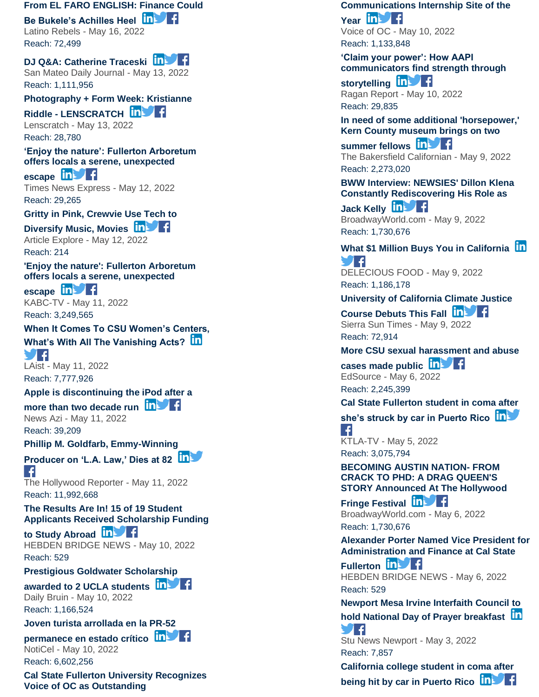#### **[From EL FARO ENGLISH: Finance Could](https://app.meltwater.com/mwTransition/?url=https%3A%2F%2Fwww.latinorebels.com%2F2022%2F05%2F16%2Fbukelefinance%2F&uId=6271566e53a1b00009e1e669&cId=5542641db933d37e9596dc54&dId=wRGh22Ip1UlS-sf_hbC3bKm1HkM&contextId=6279a0b05020fd00146f1637&op=open&sentiment=N&isHosted=false&publishTime=1652719721000&id=&name=&type=&transitionToken=eyJ0eXAiOiJKV1QiLCJhbGciOiJIUzUxMiJ9.eyJob3N0bmFtZSI6Ind3dy5sYXRpbm9yZWJlbHMuY29tIn0.6vvMbjyPLDYZLZptHbZNuTuGXLVNK7DjXCMMA36UHm7H8COyjl0PEsqQWkqvw3EQXhQO2LAhr7PJVEtb4dRUPQ&s=mail-newsletter)**

**[Be Bukele's Achilles Heel](https://app.meltwater.com/mwTransition/?url=https%3A%2F%2Fwww.latinorebels.com%2F2022%2F05%2F16%2Fbukelefinance%2F&uId=6271566e53a1b00009e1e669&cId=5542641db933d37e9596dc54&dId=wRGh22Ip1UlS-sf_hbC3bKm1HkM&contextId=6279a0b05020fd00146f1637&op=open&sentiment=N&isHosted=false&publishTime=1652719721000&id=&name=&type=&transitionToken=eyJ0eXAiOiJKV1QiLCJhbGciOiJIUzUxMiJ9.eyJob3N0bmFtZSI6Ind3dy5sYXRpbm9yZWJlbHMuY29tIn0.6vvMbjyPLDYZLZptHbZNuTuGXLVNK7DjXCMMA36UHm7H8COyjl0PEsqQWkqvw3EQXhQO2LAhr7PJVEtb4dRUPQ&s=mail-newsletter)**

Latino Rebels - May 16, 2022 Reach: 72,499

# **[DJ Q&A: Catherine Traceski](https://app.meltwater.com/mwTransition/?url=https%3A%2F%2Fwww.smdailyjournal.com%2Farts_and_entertainment%2Fdj-q-a-catherine-traceski%2Farticle_3c1e316c-d279-11ec-863d-237955b9fc16.html&uId=6271566e53a1b00009e1e669&cId=5542641db933d37e9596dc54&dId=ZyDZI10G80PulXlZvRKL0p7imW4&contextId=6279a0b05020fd00146f1637&op=open&sentiment=N&isHosted=false&publishTime=1652441400000&id=&name=&type=&transitionToken=eyJ0eXAiOiJKV1QiLCJhbGciOiJIUzUxMiJ9.eyJob3N0bmFtZSI6Ind3dy5zbWRhaWx5am91cm5hbC5jb20ifQ.PRlV5ftz9vpQdMCrc6HyjupW3UfuBVd75DBJ_yHVDvVaOvonBM-y1Y_tcuvbtfpiqx9uHbSiHWMHDCVe-PuSAg&s=mail-newsletter)**

San Mateo Daily Journal - May 13, 2022 Reach: 1,111,956

**[Photography + Form Week: Kristianne](https://app.meltwater.com/mwTransition/?url=http%3A%2F%2Flenscratch.com%2F2022%2F05%2Fphotography-form-week-kristianne-riddle-2%2F&uId=6271566e53a1b00009e1e669&cId=5542641db933d37e9596dc54&dId=t4r7NA4cFkENqpF896ILBMGb9N0&contextId=6279a0b05020fd00146f1637&op=open&sentiment=N&isHosted=false&publishTime=1652437424521&id=&name=&type=&transitionToken=eyJ0eXAiOiJKV1QiLCJhbGciOiJIUzUxMiJ9.eyJob3N0bmFtZSI6ImxlbnNjcmF0Y2guY29tIn0.TaJuC0_yqUnunbQDkZV2T-YsK1M7IYNyqInwMhLX0--WYdEipvPeSg0dEpwz1HG0VrQYx6wv5uA2DTEq1QruFw&s=mail-newsletter)** 

**Riddle - [LENSCRATCH](https://app.meltwater.com/mwTransition/?url=http%3A%2F%2Flenscratch.com%2F2022%2F05%2Fphotography-form-week-kristianne-riddle-2%2F&uId=6271566e53a1b00009e1e669&cId=5542641db933d37e9596dc54&dId=t4r7NA4cFkENqpF896ILBMGb9N0&contextId=6279a0b05020fd00146f1637&op=open&sentiment=N&isHosted=false&publishTime=1652437424521&id=&name=&type=&transitionToken=eyJ0eXAiOiJKV1QiLCJhbGciOiJIUzUxMiJ9.eyJob3N0bmFtZSI6ImxlbnNjcmF0Y2guY29tIn0.TaJuC0_yqUnunbQDkZV2T-YsK1M7IYNyqInwMhLX0--WYdEipvPeSg0dEpwz1HG0VrQYx6wv5uA2DTEq1QruFw&s=mail-newsletter)** Lenscratch - May 13, 2022 Reach: 28,780

**['Enjoy the nature': Fullerton Arboretum](https://app.meltwater.com/mwTransition/?url=https%3A%2F%2Ftimesnewsexpress.com%2Fnews%2Fnewsusa%2Flos-angeles%2Fenjoy-the-nature-fullerton-arboretum-offers-locals-a-serene-unexpected-escape%2F&uId=6271566e53a1b00009e1e669&cId=5542641db933d37e9596dc54&dId=VcN0uv28IFCdhBYbSYd_yaV2u80&contextId=6279a0b05020fd00146f1637&op=open&sentiment=N&isHosted=false&publishTime=1652420889000&id=&name=&type=&transitionToken=eyJ0eXAiOiJKV1QiLCJhbGciOiJIUzUxMiJ9.eyJob3N0bmFtZSI6InRpbWVzbmV3c2V4cHJlc3MuY29tIn0.-wXF78fzO_Yh_fMxBvN8q0GoN3CvRI9yysHaK2SQTSckHB5SEFe4yOeKL1bQxDAD8nzTNSMFOOt-G0tnytNeDA&s=mail-newsletter)  [offers locals a serene, unexpected](https://app.meltwater.com/mwTransition/?url=https%3A%2F%2Ftimesnewsexpress.com%2Fnews%2Fnewsusa%2Flos-angeles%2Fenjoy-the-nature-fullerton-arboretum-offers-locals-a-serene-unexpected-escape%2F&uId=6271566e53a1b00009e1e669&cId=5542641db933d37e9596dc54&dId=VcN0uv28IFCdhBYbSYd_yaV2u80&contextId=6279a0b05020fd00146f1637&op=open&sentiment=N&isHosted=false&publishTime=1652420889000&id=&name=&type=&transitionToken=eyJ0eXAiOiJKV1QiLCJhbGciOiJIUzUxMiJ9.eyJob3N0bmFtZSI6InRpbWVzbmV3c2V4cHJlc3MuY29tIn0.-wXF78fzO_Yh_fMxBvN8q0GoN3CvRI9yysHaK2SQTSckHB5SEFe4yOeKL1bQxDAD8nzTNSMFOOt-G0tnytNeDA&s=mail-newsletter)** 

[escape](https://app.meltwater.com/mwTransition/?url=https%3A%2F%2Ftimesnewsexpress.com%2Fnews%2Fnewsusa%2Flos-angeles%2Fenjoy-the-nature-fullerton-arboretum-offers-locals-a-serene-unexpected-escape%2F&uId=6271566e53a1b00009e1e669&cId=5542641db933d37e9596dc54&dId=VcN0uv28IFCdhBYbSYd_yaV2u80&contextId=6279a0b05020fd00146f1637&op=open&sentiment=N&isHosted=false&publishTime=1652420889000&id=&name=&type=&transitionToken=eyJ0eXAiOiJKV1QiLCJhbGciOiJIUzUxMiJ9.eyJob3N0bmFtZSI6InRpbWVzbmV3c2V4cHJlc3MuY29tIn0.-wXF78fzO_Yh_fMxBvN8q0GoN3CvRI9yysHaK2SQTSckHB5SEFe4yOeKL1bQxDAD8nzTNSMFOOt-G0tnytNeDA&s=mail-newsletter) **in** Times News Express - May 12, 2022 Reach: 29,265

**[Gritty in Pink, Crewvie Use Tech to](https://app.meltwater.com/mwTransition/?url=https%3A%2F%2Farticleexplore.com%2Fgritty-in-pink-crewvie-use-tech-to-diversify-music-movies%2F&uId=6271566e53a1b00009e1e669&cId=5542641db933d37e9596dc54&dId=Qocmxlp0BFcI3jrIviIeZBdqJzA&contextId=6279a0b05020fd00146f1637&op=open&sentiment=N&isHosted=false&publishTime=1652365553000&id=&name=&type=&transitionToken=eyJ0eXAiOiJKV1QiLCJhbGciOiJIUzUxMiJ9.eyJob3N0bmFtZSI6ImFydGljbGVleHBsb3JlLmNvbSJ9.Wr4RHJ_lN-pHfyVAVSQg7r01qQQftKQ4ay-hjiMS7Gaa0fntvOEOObUaUDP6uUGSOL60-fO-agu53KK8vuVj8A&s=mail-newsletter)** 

**[Diversify Music, Movies](https://app.meltwater.com/mwTransition/?url=https%3A%2F%2Farticleexplore.com%2Fgritty-in-pink-crewvie-use-tech-to-diversify-music-movies%2F&uId=6271566e53a1b00009e1e669&cId=5542641db933d37e9596dc54&dId=Qocmxlp0BFcI3jrIviIeZBdqJzA&contextId=6279a0b05020fd00146f1637&op=open&sentiment=N&isHosted=false&publishTime=1652365553000&id=&name=&type=&transitionToken=eyJ0eXAiOiJKV1QiLCJhbGciOiJIUzUxMiJ9.eyJob3N0bmFtZSI6ImFydGljbGVleHBsb3JlLmNvbSJ9.Wr4RHJ_lN-pHfyVAVSQg7r01qQQftKQ4ay-hjiMS7Gaa0fntvOEOObUaUDP6uUGSOL60-fO-agu53KK8vuVj8A&s=mail-newsletter) in Fig.** Article Explore - May 12, 2022 Reach: 214

**['Enjoy the nature': Fullerton Arboretum](https://app.meltwater.com/mwTransition/?url=https%3A%2F%2Fabc7.com%2Flocalish-museums-garden-free-to-public-fullerton-arboretum%2F11839103%2F&uId=6271566e53a1b00009e1e669&cId=5542641db933d37e9596dc54&dId=Fvwrpd5zZOA2vYY-yU0FKRNzkHo&contextId=6279a0b05020fd00146f1637&op=open&sentiment=P&isHosted=false&publishTime=1652319240000&id=&name=&type=&transitionToken=eyJ0eXAiOiJKV1QiLCJhbGciOiJIUzUxMiJ9.eyJob3N0bmFtZSI6ImFiYzcuY29tIn0.WQUTh6PafQ4KmMpTwSkalXLqOehq5XE2t0NBeQEkhIr0UxyxcTdYRW0y45pjTGNmfqTfhcbwmjsTofybgchqnQ&s=mail-newsletter)  [offers locals a serene, unexpected](https://app.meltwater.com/mwTransition/?url=https%3A%2F%2Fabc7.com%2Flocalish-museums-garden-free-to-public-fullerton-arboretum%2F11839103%2F&uId=6271566e53a1b00009e1e669&cId=5542641db933d37e9596dc54&dId=Fvwrpd5zZOA2vYY-yU0FKRNzkHo&contextId=6279a0b05020fd00146f1637&op=open&sentiment=P&isHosted=false&publishTime=1652319240000&id=&name=&type=&transitionToken=eyJ0eXAiOiJKV1QiLCJhbGciOiJIUzUxMiJ9.eyJob3N0bmFtZSI6ImFiYzcuY29tIn0.WQUTh6PafQ4KmMpTwSkalXLqOehq5XE2t0NBeQEkhIr0UxyxcTdYRW0y45pjTGNmfqTfhcbwmjsTofybgchqnQ&s=mail-newsletter)** 

[escape](https://app.meltwater.com/mwTransition/?url=https%3A%2F%2Fabc7.com%2Flocalish-museums-garden-free-to-public-fullerton-arboretum%2F11839103%2F&uId=6271566e53a1b00009e1e669&cId=5542641db933d37e9596dc54&dId=Fvwrpd5zZOA2vYY-yU0FKRNzkHo&contextId=6279a0b05020fd00146f1637&op=open&sentiment=P&isHosted=false&publishTime=1652319240000&id=&name=&type=&transitionToken=eyJ0eXAiOiJKV1QiLCJhbGciOiJIUzUxMiJ9.eyJob3N0bmFtZSI6ImFiYzcuY29tIn0.WQUTh6PafQ4KmMpTwSkalXLqOehq5XE2t0NBeQEkhIr0UxyxcTdYRW0y45pjTGNmfqTfhcbwmjsTofybgchqnQ&s=mail-newsletter) **in** KABC -TV - May 11, 2022 Reach: 3,249,565

# **[When It Comes To CSU Women's Centers,](https://app.meltwater.com/mwTransition/?url=https%3A%2F%2Flaist.com%2Fnews%2Feducation%2Fwhen-it-comes-to-csu-womens-centers-whats-with-all-the-vanishing-acts&uId=6271566e53a1b00009e1e669&cId=5542641db933d37e9596dc54&dId=iJspEIvY0bhgKuM0kiJ5r0QYeTs&contextId=6279a0b05020fd00146f1637&op=open&sentiment=N&isHosted=false&publishTime=1652310000000&id=&name=&type=&transitionToken=eyJ0eXAiOiJKV1QiLCJhbGciOiJIUzUxMiJ9.eyJob3N0bmFtZSI6ImxhaXN0LmNvbSJ9.wS1V_ILd2mbAh7GzGA6QkXmjGzxf7N26EZ-v8-_jsnfjuspasB1gzN1rcV6OO5jsDqqqG-0R7YSXJEPj4cfQrg&s=mail-newsletter)**

**[What's With All The Vanishing Acts?](https://app.meltwater.com/mwTransition/?url=https%3A%2F%2Flaist.com%2Fnews%2Feducation%2Fwhen-it-comes-to-csu-womens-centers-whats-with-all-the-vanishing-acts&uId=6271566e53a1b00009e1e669&cId=5542641db933d37e9596dc54&dId=iJspEIvY0bhgKuM0kiJ5r0QYeTs&contextId=6279a0b05020fd00146f1637&op=open&sentiment=N&isHosted=false&publishTime=1652310000000&id=&name=&type=&transitionToken=eyJ0eXAiOiJKV1QiLCJhbGciOiJIUzUxMiJ9.eyJob3N0bmFtZSI6ImxhaXN0LmNvbSJ9.wS1V_ILd2mbAh7GzGA6QkXmjGzxf7N26EZ-v8-_jsnfjuspasB1gzN1rcV6OO5jsDqqqG-0R7YSXJEPj4cfQrg&s=mail-newsletter)**

9 F LAist - May 11, 2022 Reach: 7,777,926

### **[Apple is discontinuing the iPod after a](https://app.meltwater.com/mwTransition/?url=https%3A%2F%2Fnewsazi.com%2Fapple-is-discontinuing-the-ipod-after-a-more-than-two-decade-run%2F&uId=6271566e53a1b00009e1e669&cId=5542641db933d37e9596dc54&dId=3GBO4oUXqasTPaxxP0-_vA2CVfA&contextId=6279a0b05020fd00146f1637&op=open&sentiment=N&isHosted=false&publishTime=1652286796000&id=&name=&type=&transitionToken=eyJ0eXAiOiJKV1QiLCJhbGciOiJIUzUxMiJ9.eyJob3N0bmFtZSI6Im5ld3NhemkuY29tIn0.YAinnYqmyOP53FCGeiztWuaBDR3p2w2fYejCoIxyRUYy7BgHO-8EKs7cS4h7m-QDpweIVzWw3D9eKxfjaLQh6w&s=mail-newsletter)**

# **[more than two decade run](https://app.meltwater.com/mwTransition/?url=https%3A%2F%2Fnewsazi.com%2Fapple-is-discontinuing-the-ipod-after-a-more-than-two-decade-run%2F&uId=6271566e53a1b00009e1e669&cId=5542641db933d37e9596dc54&dId=3GBO4oUXqasTPaxxP0-_vA2CVfA&contextId=6279a0b05020fd00146f1637&op=open&sentiment=N&isHosted=false&publishTime=1652286796000&id=&name=&type=&transitionToken=eyJ0eXAiOiJKV1QiLCJhbGciOiJIUzUxMiJ9.eyJob3N0bmFtZSI6Im5ld3NhemkuY29tIn0.YAinnYqmyOP53FCGeiztWuaBDR3p2w2fYejCoIxyRUYy7BgHO-8EKs7cS4h7m-QDpweIVzWw3D9eKxfjaLQh6w&s=mail-newsletter)**

News Azi - May 11, 2022 Reach: 39,209

**[Phillip M. Goldfarb, Emmy](https://app.meltwater.com/mwTransition/?url=https%3A%2F%2Fwww.hollywoodreporter.com%2Ftv%2Ftv-news%2Fphillip-goldfarb-dead-la-law-producer-1235144663%2F&uId=6271566e53a1b00009e1e669&cId=5542641db933d37e9596dc54&dId=Atfu1nl3gz6zN738eABvozhcwg0&contextId=6279a0b05020fd00146f1637&op=open&sentiment=N&isHosted=false&publishTime=1652283690000&id=&name=&type=&transitionToken=eyJ0eXAiOiJKV1QiLCJhbGciOiJIUzUxMiJ9.eyJob3N0bmFtZSI6Ind3dy5ob2xseXdvb2RyZXBvcnRlci5jb20ifQ.BN3X0Udhs-QleS0P5fMAdJnsyrcW5mEe834hrF-jfMdfAH1J4imQxm9pOcMPOFQ0ZuXLTelgPqyKzMbRwZLhEA&s=mail-newsletter) -Winning** 

**[Producer on 'L.A. Law,' Dies at 82](https://app.meltwater.com/mwTransition/?url=https%3A%2F%2Fwww.hollywoodreporter.com%2Ftv%2Ftv-news%2Fphillip-goldfarb-dead-la-law-producer-1235144663%2F&uId=6271566e53a1b00009e1e669&cId=5542641db933d37e9596dc54&dId=Atfu1nl3gz6zN738eABvozhcwg0&contextId=6279a0b05020fd00146f1637&op=open&sentiment=N&isHosted=false&publishTime=1652283690000&id=&name=&type=&transitionToken=eyJ0eXAiOiJKV1QiLCJhbGciOiJIUzUxMiJ9.eyJob3N0bmFtZSI6Ind3dy5ob2xseXdvb2RyZXBvcnRlci5jb20ifQ.BN3X0Udhs-QleS0P5fMAdJnsyrcW5mEe834hrF-jfMdfAH1J4imQxm9pOcMPOFQ0ZuXLTelgPqyKzMbRwZLhEA&s=mail-newsletter)**

 $\vert \cdot \vert$ The Hollywood Reporter - May 11, 2022 Reach: 11,992,668

**[The Results Are In! 15 of 19 Student](https://app.meltwater.com/mwTransition/?url=https%3A%2F%2Fhebdenbridgenews.com%2Fthe-results-are-in-15-of-19-student-applicants-received-scholarship-funding-to-study-abroad%2F&uId=6271566e53a1b00009e1e669&cId=5542641db933d37e9596dc54&dId=6XPbwP91SZfldTfC6SBnmsZF6hc&contextId=6279a0b05020fd00146f1637&op=open&sentiment=N&isHosted=false&publishTime=1652247119000&id=&name=&type=&transitionToken=eyJ0eXAiOiJKV1QiLCJhbGciOiJIUzUxMiJ9.eyJob3N0bmFtZSI6ImhlYmRlbmJyaWRnZW5ld3MuY29tIn0.rEh0tBLP8nqFJkiTRIFPIDc2TJsR007u2D8B1U9ebLAWy5uSaPls_CMMtWJDflAy2sjDoHX97imrkiagEk5VjA&s=mail-newsletter)  [Applicants Received Scholarship Funding](https://app.meltwater.com/mwTransition/?url=https%3A%2F%2Fhebdenbridgenews.com%2Fthe-results-are-in-15-of-19-student-applicants-received-scholarship-funding-to-study-abroad%2F&uId=6271566e53a1b00009e1e669&cId=5542641db933d37e9596dc54&dId=6XPbwP91SZfldTfC6SBnmsZF6hc&contextId=6279a0b05020fd00146f1637&op=open&sentiment=N&isHosted=false&publishTime=1652247119000&id=&name=&type=&transitionToken=eyJ0eXAiOiJKV1QiLCJhbGciOiJIUzUxMiJ9.eyJob3N0bmFtZSI6ImhlYmRlbmJyaWRnZW5ld3MuY29tIn0.rEh0tBLP8nqFJkiTRIFPIDc2TJsR007u2D8B1U9ebLAWy5uSaPls_CMMtWJDflAy2sjDoHX97imrkiagEk5VjA&s=mail-newsletter)** 

**[to Study Abroad](https://app.meltwater.com/mwTransition/?url=https%3A%2F%2Fhebdenbridgenews.com%2Fthe-results-are-in-15-of-19-student-applicants-received-scholarship-funding-to-study-abroad%2F&uId=6271566e53a1b00009e1e669&cId=5542641db933d37e9596dc54&dId=6XPbwP91SZfldTfC6SBnmsZF6hc&contextId=6279a0b05020fd00146f1637&op=open&sentiment=N&isHosted=false&publishTime=1652247119000&id=&name=&type=&transitionToken=eyJ0eXAiOiJKV1QiLCJhbGciOiJIUzUxMiJ9.eyJob3N0bmFtZSI6ImhlYmRlbmJyaWRnZW5ld3MuY29tIn0.rEh0tBLP8nqFJkiTRIFPIDc2TJsR007u2D8B1U9ebLAWy5uSaPls_CMMtWJDflAy2sjDoHX97imrkiagEk5VjA&s=mail-newsletter)** HEBDEN BRIDGE NEWS - May 10, 2022 Reach: 529

**[Prestigious Goldwater Scholarship](https://app.meltwater.com/mwTransition/?url=https%3A%2F%2Fdailybruin.com%2F2022%2F05%2F10%2Fprestigious-goldwater-scholarship-awarded-to-2-ucla-students&uId=6271566e53a1b00009e1e669&cId=5542641db933d37e9596dc54&dId=woKhRL1V2pFMMj_oCzLiO1LnGwk&contextId=6279a0b05020fd00146f1637&op=open&sentiment=P&isHosted=false&publishTime=1652235060000&id=&name=&type=&transitionToken=eyJ0eXAiOiJKV1QiLCJhbGciOiJIUzUxMiJ9.eyJob3N0bmFtZSI6ImRhaWx5YnJ1aW4uY29tIn0.lbcKIwL0HIUzhaWD4IN4tK8_QosVvFeqFWRY8foMYQMwxU-qhXKthAX2pTB6N6NMAsLpP6ksgljfz9n4fDlpBQ&s=mail-newsletter)** 

**[awarded to 2 UCLA students](https://app.meltwater.com/mwTransition/?url=https%3A%2F%2Fdailybruin.com%2F2022%2F05%2F10%2Fprestigious-goldwater-scholarship-awarded-to-2-ucla-students&uId=6271566e53a1b00009e1e669&cId=5542641db933d37e9596dc54&dId=woKhRL1V2pFMMj_oCzLiO1LnGwk&contextId=6279a0b05020fd00146f1637&op=open&sentiment=P&isHosted=false&publishTime=1652235060000&id=&name=&type=&transitionToken=eyJ0eXAiOiJKV1QiLCJhbGciOiJIUzUxMiJ9.eyJob3N0bmFtZSI6ImRhaWx5YnJ1aW4uY29tIn0.lbcKIwL0HIUzhaWD4IN4tK8_QosVvFeqFWRY8foMYQMwxU-qhXKthAX2pTB6N6NMAsLpP6ksgljfz9n4fDlpBQ&s=mail-newsletter)** Daily Bruin - May 10, 2022

Reach: 1,166,524

**[Joven turista arrollada en la PR](https://app.meltwater.com/mwTransition/?url=https%3A%2F%2Fwww.noticel.com%2Fahora%2F20220510%2Fjoven-turista-arrollada-en-la-pr-52-permanece-en-estado-critico%2F&uId=6271566e53a1b00009e1e669&cId=5542641db933d37e9596dc54&dId=c36FgRezTFfTOwr93DZDx2WHfRM&contextId=6279a0b05020fd00146f1637&op=open&sentiment=N&isHosted=false&publishTime=1652216160000&id=&name=&type=&transitionToken=eyJ0eXAiOiJKV1QiLCJhbGciOiJIUzUxMiJ9.eyJob3N0bmFtZSI6Ind3dy5ub3RpY2VsLmNvbSJ9.TZkJh1JuF0CAonqSqwe4JOndfZ_llK3UDFJYmTAzXttypFdqYoSvAVPpuU5k16EKMuWJYpWbLWEkfSpdfD5unQ&s=mail-newsletter) -52** 

### **[permanece en estado crítico](https://app.meltwater.com/mwTransition/?url=https%3A%2F%2Fwww.noticel.com%2Fahora%2F20220510%2Fjoven-turista-arrollada-en-la-pr-52-permanece-en-estado-critico%2F&uId=6271566e53a1b00009e1e669&cId=5542641db933d37e9596dc54&dId=c36FgRezTFfTOwr93DZDx2WHfRM&contextId=6279a0b05020fd00146f1637&op=open&sentiment=N&isHosted=false&publishTime=1652216160000&id=&name=&type=&transitionToken=eyJ0eXAiOiJKV1QiLCJhbGciOiJIUzUxMiJ9.eyJob3N0bmFtZSI6Ind3dy5ub3RpY2VsLmNvbSJ9.TZkJh1JuF0CAonqSqwe4JOndfZ_llK3UDFJYmTAzXttypFdqYoSvAVPpuU5k16EKMuWJYpWbLWEkfSpdfD5unQ&s=mail-newsletter)** NotiCel - May 10, 2022

Reach: 6,602,256

**[Cal State Fullerton University Recognizes](https://app.meltwater.com/mwTransition/?url=https%3A%2F%2Fvoiceofoc.org%2F2022%2F05%2Fcal-state-fullerton-university-recognizes-voice-of-oc-as-outstanding-communications-internship-site-of-the-year%2F&uId=6271566e53a1b00009e1e669&cId=5542641db933d37e9596dc54&dId=jWIE-6xYKnIklmqoFzUGlRb_Pbk&contextId=6279a0b05020fd00146f1637&op=open&sentiment=N&isHosted=false&publishTime=1652194504000&id=&name=&type=&transitionToken=eyJ0eXAiOiJKV1QiLCJhbGciOiJIUzUxMiJ9.eyJob3N0bmFtZSI6InZvaWNlb2ZvYy5vcmcifQ.denipMR4WfLfAOCvU2LrhWVZTcO372t45F6txwKTn69Ir6o3A6mUq4ooVXVOqokZ_2d49cNDiOC8oWInn5AdHw&s=mail-newsletter)  [Voice of OC as Outstanding](https://app.meltwater.com/mwTransition/?url=https%3A%2F%2Fvoiceofoc.org%2F2022%2F05%2Fcal-state-fullerton-university-recognizes-voice-of-oc-as-outstanding-communications-internship-site-of-the-year%2F&uId=6271566e53a1b00009e1e669&cId=5542641db933d37e9596dc54&dId=jWIE-6xYKnIklmqoFzUGlRb_Pbk&contextId=6279a0b05020fd00146f1637&op=open&sentiment=N&isHosted=false&publishTime=1652194504000&id=&name=&type=&transitionToken=eyJ0eXAiOiJKV1QiLCJhbGciOiJIUzUxMiJ9.eyJob3N0bmFtZSI6InZvaWNlb2ZvYy5vcmcifQ.denipMR4WfLfAOCvU2LrhWVZTcO372t45F6txwKTn69Ir6o3A6mUq4ooVXVOqokZ_2d49cNDiOC8oWInn5AdHw&s=mail-newsletter)** 

**[Communications Internship Site of the](https://app.meltwater.com/mwTransition/?url=https%3A%2F%2Fvoiceofoc.org%2F2022%2F05%2Fcal-state-fullerton-university-recognizes-voice-of-oc-as-outstanding-communications-internship-site-of-the-year%2F&uId=6271566e53a1b00009e1e669&cId=5542641db933d37e9596dc54&dId=jWIE-6xYKnIklmqoFzUGlRb_Pbk&contextId=6279a0b05020fd00146f1637&op=open&sentiment=N&isHosted=false&publishTime=1652194504000&id=&name=&type=&transitionToken=eyJ0eXAiOiJKV1QiLCJhbGciOiJIUzUxMiJ9.eyJob3N0bmFtZSI6InZvaWNlb2ZvYy5vcmcifQ.denipMR4WfLfAOCvU2LrhWVZTcO372t45F6txwKTn69Ir6o3A6mUq4ooVXVOqokZ_2d49cNDiOC8oWInn5AdHw&s=mail-newsletter)**  [Year](https://app.meltwater.com/mwTransition/?url=https%3A%2F%2Fvoiceofoc.org%2F2022%2F05%2Fcal-state-fullerton-university-recognizes-voice-of-oc-as-outstanding-communications-internship-site-of-the-year%2F&uId=6271566e53a1b00009e1e669&cId=5542641db933d37e9596dc54&dId=jWIE-6xYKnIklmqoFzUGlRb_Pbk&contextId=6279a0b05020fd00146f1637&op=open&sentiment=N&isHosted=false&publishTime=1652194504000&id=&name=&type=&transitionToken=eyJ0eXAiOiJKV1QiLCJhbGciOiJIUzUxMiJ9.eyJob3N0bmFtZSI6InZvaWNlb2ZvYy5vcmcifQ.denipMR4WfLfAOCvU2LrhWVZTcO372t45F6txwKTn69Ir6o3A6mUq4ooVXVOqokZ_2d49cNDiOC8oWInn5AdHw&s=mail-newsletter) **in Figure** Voice of OC - May 10, 2022

Reach: 1,133,848

**['Claim your power': How AAPI](https://app.meltwater.com/mwTransition/?url=https%3A%2F%2Fwww.ragan.com%2Fclaim-your-power-how-aapi-communicators-find-strength-through-storytelling%2F&uId=6271566e53a1b00009e1e669&cId=5542641db933d37e9596dc54&dId=t3fH6-PrH9CmZG_cf4c46cd39kk&contextId=6279a0b05020fd00146f1637&op=open&sentiment=N&isHosted=false&publishTime=1652180452000&id=&name=&type=&transitionToken=eyJ0eXAiOiJKV1QiLCJhbGciOiJIUzUxMiJ9.eyJob3N0bmFtZSI6Ind3dy5yYWdhbi5jb20ifQ.JZlOQ7Xc4luiNS_8-nd-s9BYCtuhFRzNBBZ9SQAf3RQ2YWMQl3qCbunhahSvp2nwUl7umhnFsQKPOuRU6aCruQ&s=mail-newsletter)  [communicators find strength through](https://app.meltwater.com/mwTransition/?url=https%3A%2F%2Fwww.ragan.com%2Fclaim-your-power-how-aapi-communicators-find-strength-through-storytelling%2F&uId=6271566e53a1b00009e1e669&cId=5542641db933d37e9596dc54&dId=t3fH6-PrH9CmZG_cf4c46cd39kk&contextId=6279a0b05020fd00146f1637&op=open&sentiment=N&isHosted=false&publishTime=1652180452000&id=&name=&type=&transitionToken=eyJ0eXAiOiJKV1QiLCJhbGciOiJIUzUxMiJ9.eyJob3N0bmFtZSI6Ind3dy5yYWdhbi5jb20ifQ.JZlOQ7Xc4luiNS_8-nd-s9BYCtuhFRzNBBZ9SQAf3RQ2YWMQl3qCbunhahSvp2nwUl7umhnFsQKPOuRU6aCruQ&s=mail-newsletter)** 

[storytelling](https://app.meltwater.com/mwTransition/?url=https%3A%2F%2Fwww.ragan.com%2Fclaim-your-power-how-aapi-communicators-find-strength-through-storytelling%2F&uId=6271566e53a1b00009e1e669&cId=5542641db933d37e9596dc54&dId=t3fH6-PrH9CmZG_cf4c46cd39kk&contextId=6279a0b05020fd00146f1637&op=open&sentiment=N&isHosted=false&publishTime=1652180452000&id=&name=&type=&transitionToken=eyJ0eXAiOiJKV1QiLCJhbGciOiJIUzUxMiJ9.eyJob3N0bmFtZSI6Ind3dy5yYWdhbi5jb20ifQ.JZlOQ7Xc4luiNS_8-nd-s9BYCtuhFRzNBBZ9SQAf3RQ2YWMQl3qCbunhahSvp2nwUl7umhnFsQKPOuRU6aCruQ&s=mail-newsletter) **in Fi** Ragan Report - May 10, 2022 Reach: 29,835

**[In need of some additional 'horsepower,'](https://app.meltwater.com/mwTransition/?url=https%3A%2F%2Fwww.bakersfield.com%2Fnews%2Fin-need-of-some-additional-horsepower-kern-county-museum-brings-on-two-summer-fellows%2Farticle_fc313212-cc14-11ec-9cd2-5381c272d7fe.html&uId=6271566e53a1b00009e1e669&cId=5542641db933d37e9596dc54&dId=ouK_9xDdPIjizRqITippZAUmdXE&contextId=6279a0b05020fd00146f1637&op=open&sentiment=N&isHosted=false&publishTime=1652137200000&id=&name=&type=&transitionToken=eyJ0eXAiOiJKV1QiLCJhbGciOiJIUzUxMiJ9.eyJob3N0bmFtZSI6Ind3dy5iYWtlcnNmaWVsZC5jb20ifQ.16Xwbzrw2Twhjz3Unzfc9KmpcrOcNT4W-hEtCb5rm5iEQcPxlpTu8jqj4A2-yAVYARwuw7zCAVDtQKa-dWwsSw&s=mail-newsletter)  [Kern County museum brings on two](https://app.meltwater.com/mwTransition/?url=https%3A%2F%2Fwww.bakersfield.com%2Fnews%2Fin-need-of-some-additional-horsepower-kern-county-museum-brings-on-two-summer-fellows%2Farticle_fc313212-cc14-11ec-9cd2-5381c272d7fe.html&uId=6271566e53a1b00009e1e669&cId=5542641db933d37e9596dc54&dId=ouK_9xDdPIjizRqITippZAUmdXE&contextId=6279a0b05020fd00146f1637&op=open&sentiment=N&isHosted=false&publishTime=1652137200000&id=&name=&type=&transitionToken=eyJ0eXAiOiJKV1QiLCJhbGciOiJIUzUxMiJ9.eyJob3N0bmFtZSI6Ind3dy5iYWtlcnNmaWVsZC5jb20ifQ.16Xwbzrw2Twhjz3Unzfc9KmpcrOcNT4W-hEtCb5rm5iEQcPxlpTu8jqj4A2-yAVYARwuw7zCAVDtQKa-dWwsSw&s=mail-newsletter)** 

**[summer fellows](https://app.meltwater.com/mwTransition/?url=https%3A%2F%2Fwww.bakersfield.com%2Fnews%2Fin-need-of-some-additional-horsepower-kern-county-museum-brings-on-two-summer-fellows%2Farticle_fc313212-cc14-11ec-9cd2-5381c272d7fe.html&uId=6271566e53a1b00009e1e669&cId=5542641db933d37e9596dc54&dId=ouK_9xDdPIjizRqITippZAUmdXE&contextId=6279a0b05020fd00146f1637&op=open&sentiment=N&isHosted=false&publishTime=1652137200000&id=&name=&type=&transitionToken=eyJ0eXAiOiJKV1QiLCJhbGciOiJIUzUxMiJ9.eyJob3N0bmFtZSI6Ind3dy5iYWtlcnNmaWVsZC5jb20ifQ.16Xwbzrw2Twhjz3Unzfc9KmpcrOcNT4W-hEtCb5rm5iEQcPxlpTu8jqj4A2-yAVYARwuw7zCAVDtQKa-dWwsSw&s=mail-newsletter) in the f** The Bakersfield Californian - May 9, 2022 Reach: 2,273,020

**[BWW Interview: NEWSIES' Dillon Klena](https://app.meltwater.com/mwTransition/?url=https%3A%2F%2Fwww.broadwayworld.com%2Flos-angeles%2Farticle%2FBWW-Interview-NEWSIES-Dillon-Klena-Constantly-Rediscovering-His-Role-as-Jack-Kelly-20220509&uId=6271566e53a1b00009e1e669&cId=5542641db933d37e9596dc54&dId=u64rkjUW-Ctwwd68TsDHOfWuyto&contextId=6279a0b05020fd00146f1637&op=open&sentiment=P&isHosted=false&publishTime=1652124240000&id=&name=&type=&transitionToken=eyJ0eXAiOiJKV1QiLCJhbGciOiJIUzUxMiJ9.eyJob3N0bmFtZSI6Ind3dy5icm9hZHdheXdvcmxkLmNvbSJ9.tbPfXy3sRlWaJHZa1i5iIU_hv1m5Dzn0ydcqjc8Gkq__RnSdowNjZirLAE557aDuudkOdzCNX7G4UJauW6sBnA&s=mail-newsletter)  [Constantly Rediscovering His Role as](https://app.meltwater.com/mwTransition/?url=https%3A%2F%2Fwww.broadwayworld.com%2Flos-angeles%2Farticle%2FBWW-Interview-NEWSIES-Dillon-Klena-Constantly-Rediscovering-His-Role-as-Jack-Kelly-20220509&uId=6271566e53a1b00009e1e669&cId=5542641db933d37e9596dc54&dId=u64rkjUW-Ctwwd68TsDHOfWuyto&contextId=6279a0b05020fd00146f1637&op=open&sentiment=P&isHosted=false&publishTime=1652124240000&id=&name=&type=&transitionToken=eyJ0eXAiOiJKV1QiLCJhbGciOiJIUzUxMiJ9.eyJob3N0bmFtZSI6Ind3dy5icm9hZHdheXdvcmxkLmNvbSJ9.tbPfXy3sRlWaJHZa1i5iIU_hv1m5Dzn0ydcqjc8Gkq__RnSdowNjZirLAE557aDuudkOdzCNX7G4UJauW6sBnA&s=mail-newsletter)** 

[Jack Kelly](https://app.meltwater.com/mwTransition/?url=https%3A%2F%2Fwww.broadwayworld.com%2Flos-angeles%2Farticle%2FBWW-Interview-NEWSIES-Dillon-Klena-Constantly-Rediscovering-His-Role-as-Jack-Kelly-20220509&uId=6271566e53a1b00009e1e669&cId=5542641db933d37e9596dc54&dId=u64rkjUW-Ctwwd68TsDHOfWuyto&contextId=6279a0b05020fd00146f1637&op=open&sentiment=P&isHosted=false&publishTime=1652124240000&id=&name=&type=&transitionToken=eyJ0eXAiOiJKV1QiLCJhbGciOiJIUzUxMiJ9.eyJob3N0bmFtZSI6Ind3dy5icm9hZHdheXdvcmxkLmNvbSJ9.tbPfXy3sRlWaJHZa1i5iIU_hv1m5Dzn0ydcqjc8Gkq__RnSdowNjZirLAE557aDuudkOdzCNX7G4UJauW6sBnA&s=mail-newsletter) **in Fig.** BroadwayWorld.com - May 9, 2022 Reach: 1,730,676

### **[What \\$1 Million Buys You in California](https://app.meltwater.com/mwTransition/?url=https%3A%2F%2Fdeleciousfood.com%2Fwhat-1-million-buys-you-in-california%2F&uId=6271566e53a1b00009e1e669&cId=5542641db933d37e9596dc54&dId=lZt6lBWV97rUTbqPdKSO-9dw8D4&contextId=6279a0b05020fd00146f1637&op=open&sentiment=N&isHosted=false&publishTime=1652105908000&id=&name=&type=&transitionToken=eyJ0eXAiOiJKV1QiLCJhbGciOiJIUzUxMiJ9.eyJob3N0bmFtZSI6ImRlbGVjaW91c2Zvb2QuY29tIn0.mSYylEvArwHyAvIvUw0Qfe4P9qsBLOw5jGRK-Y3UERSdsd_q7iY8W7Ps0eYRDi3rTcPlsjeX51-64EubWby4ew&s=mail-newsletter)** 74

DELECIOUS FOOD - May 9, 2022 Reach: 1,186,178

**[University of California Climate Justice](https://app.meltwater.com/mwTransition/?url=https%3A%2F%2Fwww.goldrushcam.com%2Fsierrasuntimes%2Findex.php%2Fnews%2Flocal-news%2F38397-university-of-california-climate-justice-course-debuts-this-fall&uId=6271566e53a1b00009e1e669&cId=5542641db933d37e9596dc54&dId=9GMe31C1sCTAGSpSrn_PzuspVOc&contextId=6279a0b05020fd00146f1637&op=open&sentiment=N&isHosted=false&publishTime=1652101146000&id=&name=&type=&transitionToken=eyJ0eXAiOiJKV1QiLCJhbGciOiJIUzUxMiJ9.eyJob3N0bmFtZSI6Ind3dy5nb2xkcnVzaGNhbS5jb20ifQ.iu0v7BJyqUT4Fj-gNWaCmhnzbmzt9qupKrT6n6N5JE9GeVeGRrIK9jZiaQ-m1cq2W-SertNXsm8tbhhQ0h38gg&s=mail-newsletter)** 

**[Course Debuts This Fall](https://app.meltwater.com/mwTransition/?url=https%3A%2F%2Fwww.goldrushcam.com%2Fsierrasuntimes%2Findex.php%2Fnews%2Flocal-news%2F38397-university-of-california-climate-justice-course-debuts-this-fall&uId=6271566e53a1b00009e1e669&cId=5542641db933d37e9596dc54&dId=9GMe31C1sCTAGSpSrn_PzuspVOc&contextId=6279a0b05020fd00146f1637&op=open&sentiment=N&isHosted=false&publishTime=1652101146000&id=&name=&type=&transitionToken=eyJ0eXAiOiJKV1QiLCJhbGciOiJIUzUxMiJ9.eyJob3N0bmFtZSI6Ind3dy5nb2xkcnVzaGNhbS5jb20ifQ.iu0v7BJyqUT4Fj-gNWaCmhnzbmzt9qupKrT6n6N5JE9GeVeGRrIK9jZiaQ-m1cq2W-SertNXsm8tbhhQ0h38gg&s=mail-newsletter) In Fig.** Sierra Sun Times - May 9, 2022 Reach: 72,914

**[More CSU sexual harassment and abuse](https://app.meltwater.com/mwTransition/?url=https%3A%2F%2Fedsource.org%2F2022%2Fmore-csu-sexual-harassment-and-abuse-cases-made-public%2F671753&uId=6271566e53a1b00009e1e669&cId=5542641db933d37e9596dc54&dId=CuXP59PFk5eq7oKuKmHfmsSUxPY&contextId=6279a0b05020fd00146f1637&op=open&sentiment=N&isHosted=false&publishTime=1651896206197&id=&name=&type=&transitionToken=eyJ0eXAiOiJKV1QiLCJhbGciOiJIUzUxMiJ9.eyJob3N0bmFtZSI6ImVkc291cmNlLm9yZyJ9.dmo_thDSKapYTf2IJeHDYMsZojvFghh3hdoxIz2r4BXtOUqU1y23oqS6-7AobGyzwFtFn3YNvcdqxPRu70-w2A&s=mail-newsletter)** 

**[cases made public](https://app.meltwater.com/mwTransition/?url=https%3A%2F%2Fedsource.org%2F2022%2Fmore-csu-sexual-harassment-and-abuse-cases-made-public%2F671753&uId=6271566e53a1b00009e1e669&cId=5542641db933d37e9596dc54&dId=CuXP59PFk5eq7oKuKmHfmsSUxPY&contextId=6279a0b05020fd00146f1637&op=open&sentiment=N&isHosted=false&publishTime=1651896206197&id=&name=&type=&transitionToken=eyJ0eXAiOiJKV1QiLCJhbGciOiJIUzUxMiJ9.eyJob3N0bmFtZSI6ImVkc291cmNlLm9yZyJ9.dmo_thDSKapYTf2IJeHDYMsZojvFghh3hdoxIz2r4BXtOUqU1y23oqS6-7AobGyzwFtFn3YNvcdqxPRu70-w2A&s=mail-newsletter) in Fig.** EdSource - May 6, 2022 Reach: 2,245,399

**[Cal State Fullerton student in coma after](https://app.meltwater.com/mwTransition/?url=https%3A%2F%2Fktla.com%2Fnews%2Flocal-news%2Fcal-state-fullerton-student-in-coma-after-shes-struck-by-car-in-puerto-rico%2F&uId=6271566e53a1b00009e1e669&cId=5542641db933d37e9596dc54&dId=pGSVPmcsWfqs_wTo8DT9y8otva8&contextId=6279a0b05020fd00146f1637&op=open&sentiment=P&isHosted=false&publishTime=1651815800000&id=&name=&type=&transitionToken=eyJ0eXAiOiJKV1QiLCJhbGciOiJIUzUxMiJ9.eyJob3N0bmFtZSI6Imt0bGEuY29tIn0.2LzTuJO4QGCji03y9ASzQdZh5wrW1lYX7BWEpA8taQqkVffI2SEoLSpN_QXzkOg2zj4ObHvqdH20Wqu5I8d9nA&s=mail-newsletter)** 

**[she's struck by car in Puerto Rico](https://app.meltwater.com/mwTransition/?url=https%3A%2F%2Fktla.com%2Fnews%2Flocal-news%2Fcal-state-fullerton-student-in-coma-after-shes-struck-by-car-in-puerto-rico%2F&uId=6271566e53a1b00009e1e669&cId=5542641db933d37e9596dc54&dId=pGSVPmcsWfqs_wTo8DT9y8otva8&contextId=6279a0b05020fd00146f1637&op=open&sentiment=P&isHosted=false&publishTime=1651815800000&id=&name=&type=&transitionToken=eyJ0eXAiOiJKV1QiLCJhbGciOiJIUzUxMiJ9.eyJob3N0bmFtZSI6Imt0bGEuY29tIn0.2LzTuJO4QGCji03y9ASzQdZh5wrW1lYX7BWEpA8taQqkVffI2SEoLSpN_QXzkOg2zj4ObHvqdH20Wqu5I8d9nA&s=mail-newsletter)**

 $\vert f \vert$ KTLA -TV - May 5, 2022 Reach: 3,075,794

**[BECOMING AUSTIN NATION](https://app.meltwater.com/mwTransition/?url=https%3A%2F%2Fwww.broadwayworld.com%2Flos-angeles%2Farticle%2FBECOMING-AUSTIN-NATION--FROM-CRACK-TO-PHD-A-DRAG-QUEENS-STORY-Announced-At-The-Hollywood-Fringe-Festival-20220506&uId=6271566e53a1b00009e1e669&cId=5542641db933d37e9596dc54&dId=mz8Tr6HVfVRPGzCiPKDBjQoq7Ho&contextId=6279a0b05020fd00146f1637&op=open&sentiment=N&isHosted=false&publishTime=1651861260000&id=&name=&type=&transitionToken=eyJ0eXAiOiJKV1QiLCJhbGciOiJIUzUxMiJ9.eyJob3N0bmFtZSI6Ind3dy5icm9hZHdheXdvcmxkLmNvbSJ9.tbPfXy3sRlWaJHZa1i5iIU_hv1m5Dzn0ydcqjc8Gkq__RnSdowNjZirLAE557aDuudkOdzCNX7G4UJauW6sBnA&s=mail-newsletter) - FROM [CRACK TO PHD: A DRAG QUEEN'S](https://app.meltwater.com/mwTransition/?url=https%3A%2F%2Fwww.broadwayworld.com%2Flos-angeles%2Farticle%2FBECOMING-AUSTIN-NATION--FROM-CRACK-TO-PHD-A-DRAG-QUEENS-STORY-Announced-At-The-Hollywood-Fringe-Festival-20220506&uId=6271566e53a1b00009e1e669&cId=5542641db933d37e9596dc54&dId=mz8Tr6HVfVRPGzCiPKDBjQoq7Ho&contextId=6279a0b05020fd00146f1637&op=open&sentiment=N&isHosted=false&publishTime=1651861260000&id=&name=&type=&transitionToken=eyJ0eXAiOiJKV1QiLCJhbGciOiJIUzUxMiJ9.eyJob3N0bmFtZSI6Ind3dy5icm9hZHdheXdvcmxkLmNvbSJ9.tbPfXy3sRlWaJHZa1i5iIU_hv1m5Dzn0ydcqjc8Gkq__RnSdowNjZirLAE557aDuudkOdzCNX7G4UJauW6sBnA&s=mail-newsletter)  [STORY Announced At The Hollywood](https://app.meltwater.com/mwTransition/?url=https%3A%2F%2Fwww.broadwayworld.com%2Flos-angeles%2Farticle%2FBECOMING-AUSTIN-NATION--FROM-CRACK-TO-PHD-A-DRAG-QUEENS-STORY-Announced-At-The-Hollywood-Fringe-Festival-20220506&uId=6271566e53a1b00009e1e669&cId=5542641db933d37e9596dc54&dId=mz8Tr6HVfVRPGzCiPKDBjQoq7Ho&contextId=6279a0b05020fd00146f1637&op=open&sentiment=N&isHosted=false&publishTime=1651861260000&id=&name=&type=&transitionToken=eyJ0eXAiOiJKV1QiLCJhbGciOiJIUzUxMiJ9.eyJob3N0bmFtZSI6Ind3dy5icm9hZHdheXdvcmxkLmNvbSJ9.tbPfXy3sRlWaJHZa1i5iIU_hv1m5Dzn0ydcqjc8Gkq__RnSdowNjZirLAE557aDuudkOdzCNX7G4UJauW6sBnA&s=mail-newsletter)** 

**[Fringe Festival](https://app.meltwater.com/mwTransition/?url=https%3A%2F%2Fwww.broadwayworld.com%2Flos-angeles%2Farticle%2FBECOMING-AUSTIN-NATION--FROM-CRACK-TO-PHD-A-DRAG-QUEENS-STORY-Announced-At-The-Hollywood-Fringe-Festival-20220506&uId=6271566e53a1b00009e1e669&cId=5542641db933d37e9596dc54&dId=mz8Tr6HVfVRPGzCiPKDBjQoq7Ho&contextId=6279a0b05020fd00146f1637&op=open&sentiment=N&isHosted=false&publishTime=1651861260000&id=&name=&type=&transitionToken=eyJ0eXAiOiJKV1QiLCJhbGciOiJIUzUxMiJ9.eyJob3N0bmFtZSI6Ind3dy5icm9hZHdheXdvcmxkLmNvbSJ9.tbPfXy3sRlWaJHZa1i5iIU_hv1m5Dzn0ydcqjc8Gkq__RnSdowNjZirLAE557aDuudkOdzCNX7G4UJauW6sBnA&s=mail-newsletter) In Fi** BroadwayWorld.com - May 6, 2022 Reach: 1,730,676

**[Alexander Porter Named Vice President for](https://app.meltwater.com/mwTransition/?url=https%3A%2F%2Fhebdenbridgenews.com%2Falexander-porter-named-vice-president-for-administration-and-finance-at-cal-state-fullerton%2F&uId=6271566e53a1b00009e1e669&cId=5542641db933d37e9596dc54&dId=qXiqTMmatMhN1DaMwgyZLCZuKSA&contextId=6279a0b05020fd00146f1637&op=open&sentiment=P&isHosted=false&publishTime=1651854368000&id=&name=&type=&transitionToken=eyJ0eXAiOiJKV1QiLCJhbGciOiJIUzUxMiJ9.eyJob3N0bmFtZSI6ImhlYmRlbmJyaWRnZW5ld3MuY29tIn0.rEh0tBLP8nqFJkiTRIFPIDc2TJsR007u2D8B1U9ebLAWy5uSaPls_CMMtWJDflAy2sjDoHX97imrkiagEk5VjA&s=mail-newsletter)  [Administration and Finance at Cal State](https://app.meltwater.com/mwTransition/?url=https%3A%2F%2Fhebdenbridgenews.com%2Falexander-porter-named-vice-president-for-administration-and-finance-at-cal-state-fullerton%2F&uId=6271566e53a1b00009e1e669&cId=5542641db933d37e9596dc54&dId=qXiqTMmatMhN1DaMwgyZLCZuKSA&contextId=6279a0b05020fd00146f1637&op=open&sentiment=P&isHosted=false&publishTime=1651854368000&id=&name=&type=&transitionToken=eyJ0eXAiOiJKV1QiLCJhbGciOiJIUzUxMiJ9.eyJob3N0bmFtZSI6ImhlYmRlbmJyaWRnZW5ld3MuY29tIn0.rEh0tBLP8nqFJkiTRIFPIDc2TJsR007u2D8B1U9ebLAWy5uSaPls_CMMtWJDflAy2sjDoHX97imrkiagEk5VjA&s=mail-newsletter)** 

**[Fullerton](https://app.meltwater.com/mwTransition/?url=https%3A%2F%2Fhebdenbridgenews.com%2Falexander-porter-named-vice-president-for-administration-and-finance-at-cal-state-fullerton%2F&uId=6271566e53a1b00009e1e669&cId=5542641db933d37e9596dc54&dId=qXiqTMmatMhN1DaMwgyZLCZuKSA&contextId=6279a0b05020fd00146f1637&op=open&sentiment=P&isHosted=false&publishTime=1651854368000&id=&name=&type=&transitionToken=eyJ0eXAiOiJKV1QiLCJhbGciOiJIUzUxMiJ9.eyJob3N0bmFtZSI6ImhlYmRlbmJyaWRnZW5ld3MuY29tIn0.rEh0tBLP8nqFJkiTRIFPIDc2TJsR007u2D8B1U9ebLAWy5uSaPls_CMMtWJDflAy2sjDoHX97imrkiagEk5VjA&s=mail-newsletter) in** HEBDEN BRIDGE NEWS - May 6, 2022 Reach: 529

**[Newport Mesa Irvine Interfaith Council to](https://app.meltwater.com/mwTransition/?url=https%3A%2F%2Fstunewsnewport.com%2Findex.php%2F2-uncategorised%2F13220-newport-mesa-irvine-interfaith-council-050322%3Ftmpl%3Dcomponent%26print%3D1&uId=6271566e53a1b00009e1e669&cId=5542641db933d37e9596dc54&dId=QBlRAyBF7AGmOAKHZTxPtRDZOLk&contextId=6279a0b05020fd00146f1637&op=open&sentiment=N&isHosted=false&publishTime=1651590028103&id=&name=&type=&transitionToken=eyJ0eXAiOiJKV1QiLCJhbGciOiJIUzUxMiJ9.eyJob3N0bmFtZSI6InN0dW5ld3NuZXdwb3J0LmNvbSJ9.oDJee7kdIULZdIknw1vUBrY3mI7ls-uM9yKNyO8cxlh5zr6-ZmP5JRVcJ6Neu8zYMDXr1U3Y49MP2oadtubsjw&s=mail-newsletter)  [hold National Day of Prayer breakfast](https://app.meltwater.com/mwTransition/?url=https%3A%2F%2Fstunewsnewport.com%2Findex.php%2F2-uncategorised%2F13220-newport-mesa-irvine-interfaith-council-050322%3Ftmpl%3Dcomponent%26print%3D1&uId=6271566e53a1b00009e1e669&cId=5542641db933d37e9596dc54&dId=QBlRAyBF7AGmOAKHZTxPtRDZOLk&contextId=6279a0b05020fd00146f1637&op=open&sentiment=N&isHosted=false&publishTime=1651590028103&id=&name=&type=&transitionToken=eyJ0eXAiOiJKV1QiLCJhbGciOiJIUzUxMiJ9.eyJob3N0bmFtZSI6InN0dW5ld3NuZXdwb3J0LmNvbSJ9.oDJee7kdIULZdIknw1vUBrY3mI7ls-uM9yKNyO8cxlh5zr6-ZmP5JRVcJ6Neu8zYMDXr1U3Y49MP2oadtubsjw&s=mail-newsletter)**  $\blacksquare$ 

Stu News Newport - May 3, 2022 Reach: 7,857

**[California college student in coma after](https://app.meltwater.com/mwTransition/?url=https%3A%2F%2Fnews.yahoo.com%2Fcalifornia-college-student-coma-being-145600742.html&uId=6271566e53a1b00009e1e669&cId=5542641db933d37e9596dc54&dId=CoEXXtZr7Q8fTlnyFLQ9ABFs6aw&contextId=6279a0b05020fd00146f1637&op=open&sentiment=P&isHosted=false&publishTime=1651848960000&id=&name=&type=&transitionToken=eyJ0eXAiOiJKV1QiLCJhbGciOiJIUzUxMiJ9.eyJob3N0bmFtZSI6Im5ld3MueWFob28uY29tIn0.dXxaEGC8O8TmRP99NKHo1ffYiriRgnv_7qfkv-VReD4u6jxaLDqwWdQYQr5KdoGErA2UbyciW-R41Mr6uHOxIQ&s=mail-newsletter)  [being hit by car in Puerto Rico](https://app.meltwater.com/mwTransition/?url=https%3A%2F%2Fnews.yahoo.com%2Fcalifornia-college-student-coma-being-145600742.html&uId=6271566e53a1b00009e1e669&cId=5542641db933d37e9596dc54&dId=CoEXXtZr7Q8fTlnyFLQ9ABFs6aw&contextId=6279a0b05020fd00146f1637&op=open&sentiment=P&isHosted=false&publishTime=1651848960000&id=&name=&type=&transitionToken=eyJ0eXAiOiJKV1QiLCJhbGciOiJIUzUxMiJ9.eyJob3N0bmFtZSI6Im5ld3MueWFob28uY29tIn0.dXxaEGC8O8TmRP99NKHo1ffYiriRgnv_7qfkv-VReD4u6jxaLDqwWdQYQr5KdoGErA2UbyciW-R41Mr6uHOxIQ&s=mail-newsletter)**